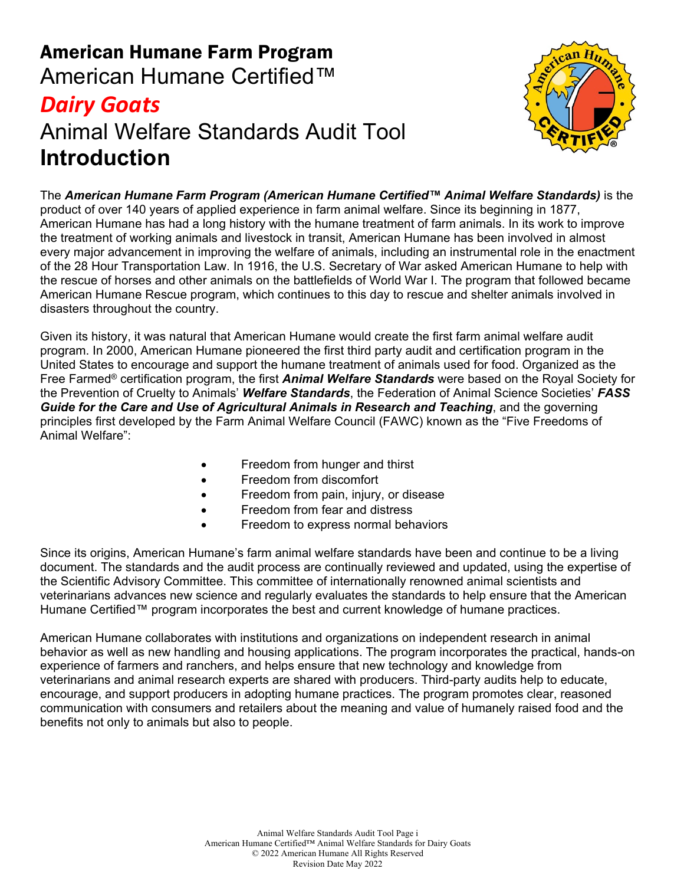# American Humane Farm Program American Humane Certified™ *Dairy Goats* Animal Welfare Standards Audit Tool **Introduction**



The *American Humane Farm Program (American Humane Certified™ Animal Welfare Standards)* is the product of over 140 years of applied experience in farm animal welfare. Since its beginning in 1877, American Humane has had a long history with the humane treatment of farm animals. In its work to improve the treatment of working animals and livestock in transit, American Humane has been involved in almost every major advancement in improving the welfare of animals, including an instrumental role in the enactment of the 28 Hour Transportation Law. In 1916, the U.S. Secretary of War asked American Humane to help with the rescue of horses and other animals on the battlefields of World War I. The program that followed became American Humane Rescue program, which continues to this day to rescue and shelter animals involved in disasters throughout the country.

Given its history, it was natural that American Humane would create the first farm animal welfare audit program. In 2000, American Humane pioneered the first third party audit and certification program in the United States to encourage and support the humane treatment of animals used for food. Organized as the Free Farmed® certification program, the first *Animal Welfare Standards* were based on the Royal Society for the Prevention of Cruelty to Animals' *Welfare Standards*, the Federation of Animal Science Societies' *FASS Guide for the Care and Use of Agricultural Animals in Research and Teaching*, and the governing principles first developed by the Farm Animal Welfare Council (FAWC) known as the "Five Freedoms of Animal Welfare":

- Freedom from hunger and thirst
- Freedom from discomfort
- Freedom from pain, injury, or disease
- Freedom from fear and distress
- Freedom to express normal behaviors

Since its origins, American Humane's farm animal welfare standards have been and continue to be a living document. The standards and the audit process are continually reviewed and updated, using the expertise of the Scientific Advisory Committee. This committee of internationally renowned animal scientists and veterinarians advances new science and regularly evaluates the standards to help ensure that the American Humane Certified™ program incorporates the best and current knowledge of humane practices.

American Humane collaborates with institutions and organizations on independent research in animal behavior as well as new handling and housing applications. The program incorporates the practical, hands-on experience of farmers and ranchers, and helps ensure that new technology and knowledge from veterinarians and animal research experts are shared with producers. Third-party audits help to educate, encourage, and support producers in adopting humane practices. The program promotes clear, reasoned communication with consumers and retailers about the meaning and value of humanely raised food and the benefits not only to animals but also to people.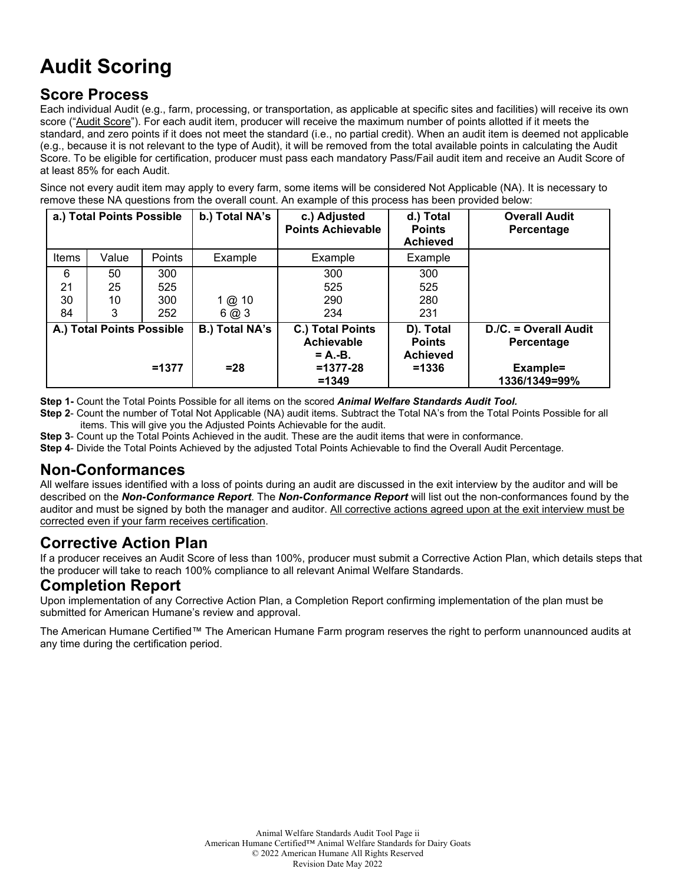# **Audit Scoring**

#### **Score Process**

Each individual Audit (e.g., farm, processing, or transportation, as applicable at specific sites and facilities) will receive its own score ("Audit Score"). For each audit item, producer will receive the maximum number of points allotted if it meets the standard, and zero points if it does not meet the standard (i.e., no partial credit). When an audit item is deemed not applicable (e.g., because it is not relevant to the type of Audit), it will be removed from the total available points in calculating the Audit Score. To be eligible for certification, producer must pass each mandatory Pass/Fail audit item and receive an Audit Score of at least 85% for each Audit.

Since not every audit item may apply to every farm, some items will be considered Not Applicable (NA). It is necessary to remove these NA questions from the overall count. An example of this process has been provided below:

|              | a.) Total Points Possible |               | b.) Total NA's        | c.) Adjusted<br><b>Points Achievable</b>    | d.) Total<br><b>Points</b><br><b>Achieved</b> | <b>Overall Audit</b><br>Percentage  |
|--------------|---------------------------|---------------|-----------------------|---------------------------------------------|-----------------------------------------------|-------------------------------------|
| <b>Items</b> | Value                     | <b>Points</b> | Example               | Example                                     | Example                                       |                                     |
| 6            | 50                        | 300           |                       | 300                                         | 300                                           |                                     |
| 21           | 25                        | 525           |                       | 525                                         | 525                                           |                                     |
| 30           | 10                        | 300           | 1 @ 10                | 290                                         | 280                                           |                                     |
| 84           | 3                         | 252           | 6@3                   | 234                                         | 231                                           |                                     |
|              | A.) Total Points Possible |               | <b>B.) Total NA's</b> | C.) Total Points<br>Achievable<br>$= A.-B.$ | D). Total<br><b>Points</b><br><b>Achieved</b> | D./C. = Overall Audit<br>Percentage |
|              |                           | $=1377$       | $= 28$                | $=1377-28$<br>$=1349$                       | $= 1336$                                      | Example=<br>1336/1349=99%           |

**Step 1-** Count the Total Points Possible for all items on the scored *Animal Welfare Standards Audit Tool.*

**Step 2**- Count the number of Total Not Applicable (NA) audit items. Subtract the Total NA's from the Total Points Possible for all items. This will give you the Adjusted Points Achievable for the audit.

**Step 3**- Count up the Total Points Achieved in the audit. These are the audit items that were in conformance.

**Step 4**- Divide the Total Points Achieved by the adjusted Total Points Achievable to find the Overall Audit Percentage.

#### **Non-Conformances**

All welfare issues identified with a loss of points during an audit are discussed in the exit interview by the auditor and will be described on the *Non-Conformance Report*. The *Non-Conformance Report* will list out the non-conformances found by the auditor and must be signed by both the manager and auditor. All corrective actions agreed upon at the exit interview must be corrected even if your farm receives certification.

#### **Corrective Action Plan**

If a producer receives an Audit Score of less than 100%, producer must submit a Corrective Action Plan, which details steps that the producer will take to reach 100% compliance to all relevant Animal Welfare Standards.

#### **Completion Report**

Upon implementation of any Corrective Action Plan, a Completion Report confirming implementation of the plan must be submitted for American Humane's review and approval.

The American Humane Certified™ The American Humane Farm program reserves the right to perform unannounced audits at any time during the certification period.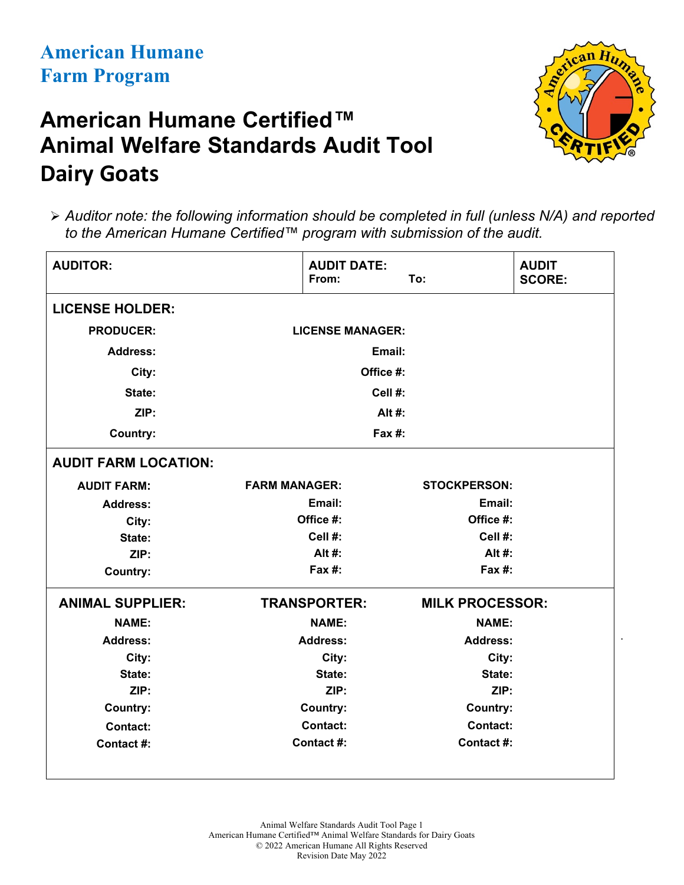# **American Humane Certified™ Animal Welfare Standards Audit Tool Dairy Goats**



.

 *Auditor note: the following information should be completed in full (unless N/A) and reported to the American Humane Certified™ program with submission of the audit.*

| <b>AUDITOR:</b>             | <b>AUDIT DATE:</b><br>From: | To:                    | <b>AUDIT</b><br><b>SCORE:</b> |
|-----------------------------|-----------------------------|------------------------|-------------------------------|
| <b>LICENSE HOLDER:</b>      |                             |                        |                               |
| <b>PRODUCER:</b>            | <b>LICENSE MANAGER:</b>     |                        |                               |
| <b>Address:</b>             | Email:                      |                        |                               |
| City:                       | Office #:                   |                        |                               |
| State:                      | Cell #:                     |                        |                               |
| ZIP:                        | Alt #:                      |                        |                               |
| Country:                    | $Fax#$ :                    |                        |                               |
| <b>AUDIT FARM LOCATION:</b> |                             |                        |                               |
| <b>AUDIT FARM:</b>          | <b>FARM MANAGER:</b>        | <b>STOCKPERSON:</b>    |                               |
| <b>Address:</b>             | Email:                      | Email:                 |                               |
| City:                       | Office #:                   | Office #:              |                               |
| State:                      | Cell #:                     | Cell #:                |                               |
| ZIP:                        | Alt #:                      | Alt #:                 |                               |
| <b>Country:</b>             | Fax $#$ :                   | Fax $#$ :              |                               |
| <b>ANIMAL SUPPLIER:</b>     | <b>TRANSPORTER:</b>         | <b>MILK PROCESSOR:</b> |                               |
| <b>NAME:</b>                | <b>NAME:</b>                | <b>NAME:</b>           |                               |
| <b>Address:</b>             | <b>Address:</b>             | <b>Address:</b>        |                               |
| City:                       | City:                       | City:                  |                               |
| State:                      | State:                      | State:                 |                               |
| ZIP:                        | ZIP:                        | ZIP:                   |                               |
| <b>Country:</b>             | <b>Country:</b>             | <b>Country:</b>        |                               |
| <b>Contact:</b>             | <b>Contact:</b>             | <b>Contact:</b>        |                               |
| Contact #:                  | Contact #:                  | Contact #:             |                               |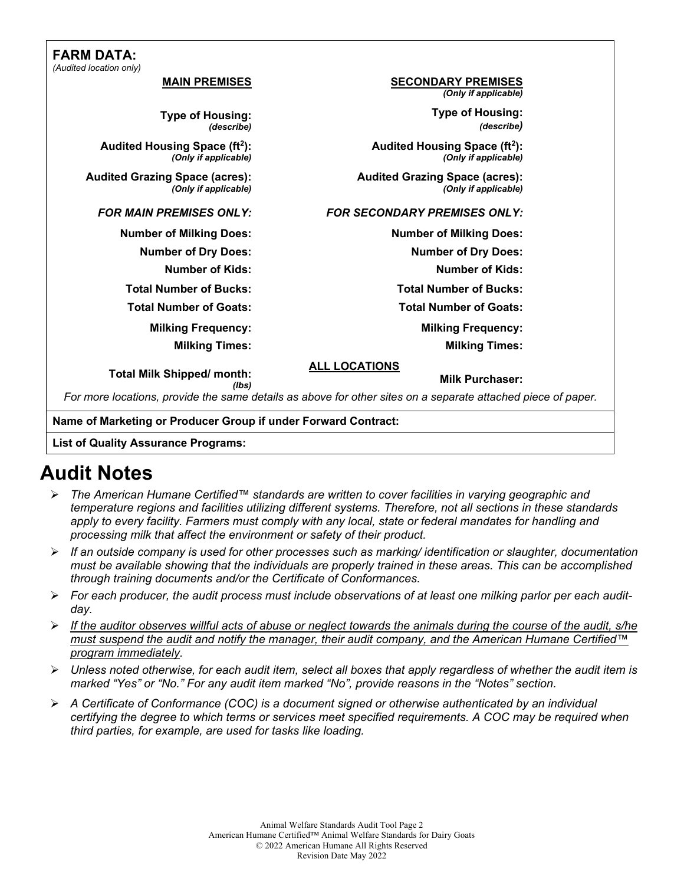#### **FARM DATA:** *(Audited location only)*

| ited location only)                                               |                                                                   |  |
|-------------------------------------------------------------------|-------------------------------------------------------------------|--|
| <b>MAIN PREMISES</b>                                              | <b>SECONDARY PREMISES</b><br>(Only if applicable)                 |  |
| <b>Type of Housing:</b><br>(describe)                             | <b>Type of Housing:</b><br>(describe)                             |  |
| Audited Housing Space (ft <sup>2</sup> ):<br>(Only if applicable) | Audited Housing Space (ft <sup>2</sup> ):<br>(Only if applicable) |  |
| <b>Audited Grazing Space (acres):</b><br>(Only if applicable)     | <b>Audited Grazing Space (acres):</b><br>(Only if applicable)     |  |
| <b>FOR MAIN PREMISES ONLY:</b>                                    | <b>FOR SECONDARY PREMISES ONLY:</b>                               |  |
| <b>Number of Milking Does:</b>                                    | <b>Number of Milking Does:</b>                                    |  |
| <b>Number of Dry Does:</b>                                        | <b>Number of Dry Does:</b>                                        |  |
| <b>Number of Kids:</b>                                            | <b>Number of Kids:</b>                                            |  |
| <b>Total Number of Bucks:</b>                                     | <b>Total Number of Bucks:</b>                                     |  |
| <b>Total Number of Goats:</b>                                     | <b>Total Number of Goats:</b>                                     |  |
| <b>Milking Frequency:</b>                                         | <b>Milking Frequency:</b>                                         |  |
| <b>Milking Times:</b>                                             | <b>Milking Times:</b>                                             |  |

**Total Milk Shipped/ month: ALL LOCATIONS**

**Milk Purchaser:**

*(lbs) For more locations, provide the same details as above for other sites on a separate attached piece of paper.*

**Name of Marketing or Producer Group if under Forward Contract:**

#### **List of Quality Assurance Programs:**

# **Audit Notes**

- *The American Humane Certified™ standards are written to cover facilities in varying geographic and temperature regions and facilities utilizing different systems. Therefore, not all sections in these standards*  apply to every facility. Farmers must comply with any local, state or federal mandates for handling and *processing milk that affect the environment or safety of their product.*
- *If an outside company is used for other processes such as marking/ identification or slaughter, documentation must be available showing that the individuals are properly trained in these areas. This can be accomplished through training documents and/or the Certificate of Conformances.*
- *For each producer, the audit process must include observations of at least one milking parlor per each auditday.*
- *If the auditor observes willful acts of abuse or neglect towards the animals during the course of the audit, s/he must suspend the audit and notify the manager, their audit company, and the American Humane Certified™ program immediately.*
- *Unless noted otherwise, for each audit item, select all boxes that apply regardless of whether the audit item is marked "Yes" or "No." For any audit item marked "No", provide reasons in the "Notes" section.*
- *A Certificate of Conformance (COC) is a document signed or otherwise authenticated by an individual certifying the degree to which terms or services meet specified requirements. A COC may be required when third parties, for example, are used for tasks like loading.*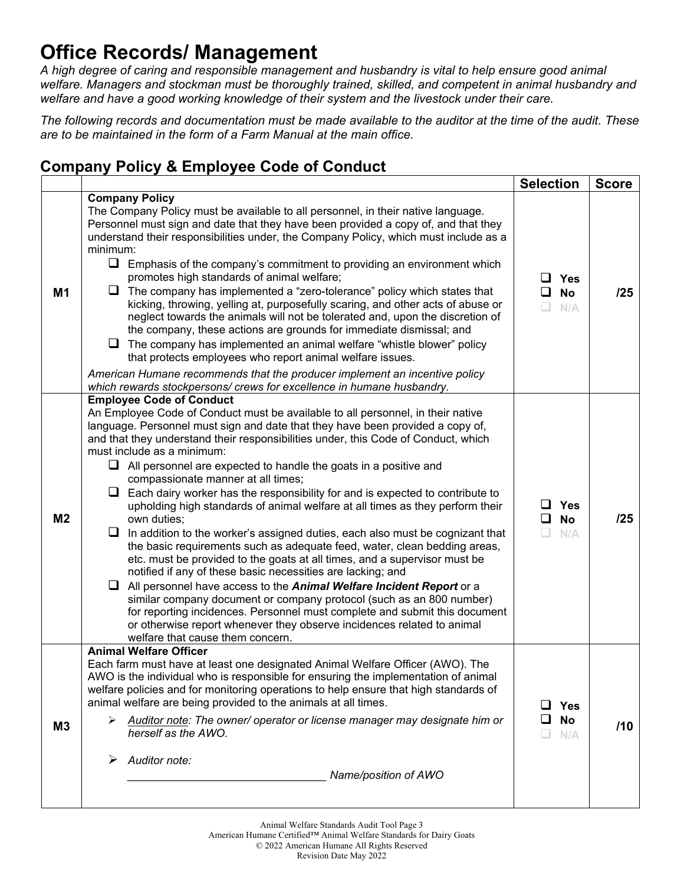# **Office Records/ Management**

*A high degree of caring and responsible management and husbandry is vital to help ensure good animal welfare. Managers and stockman must be thoroughly trained, skilled, and competent in animal husbandry and welfare and have a good working knowledge of their system and the livestock under their care.*

*The following records and documentation must be made available to the auditor at the time of the audit. These are to be maintained in the form of a Farm Manual at the main office.*

### **Company Policy & Employee Code of Conduct**

|                |                                                                                                                                                                                                                                                                                                                                                                                                                                                                                                                                                                                                                                                                                                                                                                                                                                                                                                                                                                                                                                                                                                                                                                                                                                                                                       | <b>Selection</b>                                   | <b>Score</b> |
|----------------|---------------------------------------------------------------------------------------------------------------------------------------------------------------------------------------------------------------------------------------------------------------------------------------------------------------------------------------------------------------------------------------------------------------------------------------------------------------------------------------------------------------------------------------------------------------------------------------------------------------------------------------------------------------------------------------------------------------------------------------------------------------------------------------------------------------------------------------------------------------------------------------------------------------------------------------------------------------------------------------------------------------------------------------------------------------------------------------------------------------------------------------------------------------------------------------------------------------------------------------------------------------------------------------|----------------------------------------------------|--------------|
| M1             | <b>Company Policy</b><br>The Company Policy must be available to all personnel, in their native language.<br>Personnel must sign and date that they have been provided a copy of, and that they<br>understand their responsibilities under, the Company Policy, which must include as a<br>minimum:<br>$\Box$<br>Emphasis of the company's commitment to providing an environment which<br>promotes high standards of animal welfare;<br>The company has implemented a "zero-tolerance" policy which states that<br>kicking, throwing, yelling at, purposefully scaring, and other acts of abuse or<br>neglect towards the animals will not be tolerated and, upon the discretion of<br>the company, these actions are grounds for immediate dismissal; and<br>$\Box$ The company has implemented an animal welfare "whistle blower" policy<br>that protects employees who report animal welfare issues.<br>American Humane recommends that the producer implement an incentive policy<br>which rewards stockpersons/ crews for excellence in humane husbandry.                                                                                                                                                                                                                       | ப<br>Yes<br>◻<br><b>No</b><br>$\Box$<br>N/A        | /25          |
| M <sub>2</sub> | <b>Employee Code of Conduct</b><br>An Employee Code of Conduct must be available to all personnel, in their native<br>language. Personnel must sign and date that they have been provided a copy of,<br>and that they understand their responsibilities under, this Code of Conduct, which<br>must include as a minimum:<br>$\Box$ All personnel are expected to handle the goats in a positive and<br>compassionate manner at all times;<br>Each dairy worker has the responsibility for and is expected to contribute to<br>upholding high standards of animal welfare at all times as they perform their<br>own duties;<br>In addition to the worker's assigned duties, each also must be cognizant that<br>the basic requirements such as adequate feed, water, clean bedding areas,<br>etc. must be provided to the goats at all times, and a supervisor must be<br>notified if any of these basic necessities are lacking; and<br>All personnel have access to the Animal Welfare Incident Report or a<br>⊔<br>similar company document or company protocol (such as an 800 number)<br>for reporting incidences. Personnel must complete and submit this document<br>or otherwise report whenever they observe incidences related to animal<br>welfare that cause them concern. | <b>Yes</b><br>ப<br>ப<br><b>No</b><br>$\Box$<br>N/A | /25          |
| M <sub>3</sub> | <b>Animal Welfare Officer</b><br>Each farm must have at least one designated Animal Welfare Officer (AWO). The<br>AWO is the individual who is responsible for ensuring the implementation of animal<br>welfare policies and for monitoring operations to help ensure that high standards of<br>animal welfare are being provided to the animals at all times.<br>Auditor note: The owner/ operator or license manager may designate him or<br>➤<br>herself as the AWO.<br>Auditor note:<br>Name/position of AWO                                                                                                                                                                                                                                                                                                                                                                                                                                                                                                                                                                                                                                                                                                                                                                      | <b>Yes</b><br><b>No</b><br>N/A                     | /10          |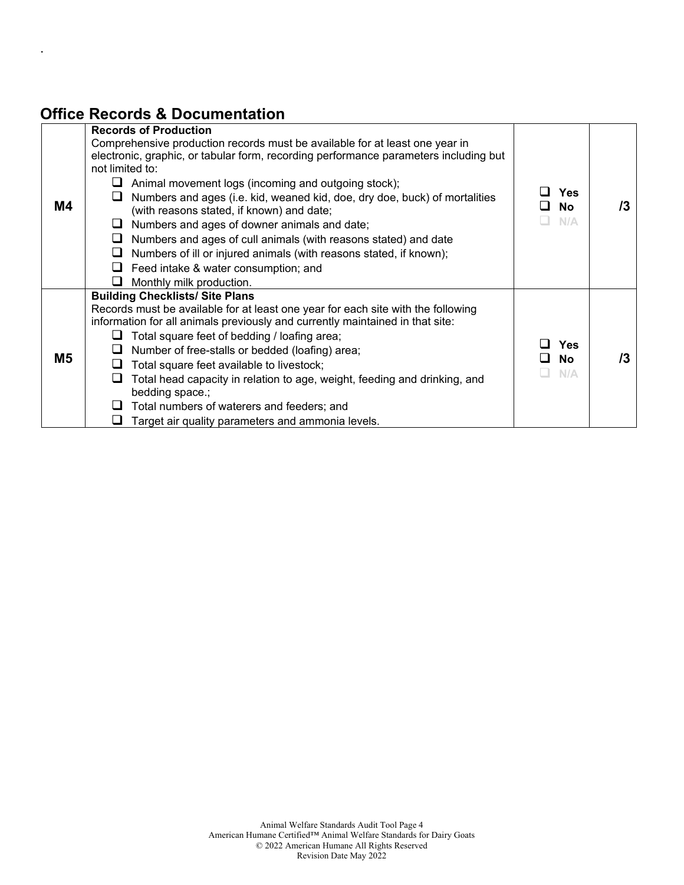# **Office Records & Documentation**

.

| M4             | <b>Records of Production</b><br>Comprehensive production records must be available for at least one year in<br>electronic, graphic, or tabular form, recording performance parameters including but<br>not limited to:<br>⊔<br>Animal movement logs (incoming and outgoing stock);<br>Numbers and ages (i.e. kid, weaned kid, doe, dry doe, buck) of mortalities<br>ப<br>(with reasons stated, if known) and date;<br>$\Box$ Numbers and ages of downer animals and date;<br>$\Box$ Numbers and ages of cull animals (with reasons stated) and date<br>$\Box$ Numbers of ill or injured animals (with reasons stated, if known);<br>$\Box$ Feed intake & water consumption; and<br>Monthly milk production. | <b>Yes</b><br><b>No</b><br>N/A | /3 |
|----------------|-------------------------------------------------------------------------------------------------------------------------------------------------------------------------------------------------------------------------------------------------------------------------------------------------------------------------------------------------------------------------------------------------------------------------------------------------------------------------------------------------------------------------------------------------------------------------------------------------------------------------------------------------------------------------------------------------------------|--------------------------------|----|
| M <sub>5</sub> | <b>Building Checklists/ Site Plans</b><br>Records must be available for at least one year for each site with the following<br>information for all animals previously and currently maintained in that site:<br>Total square feet of bedding / loafing area;<br>ப<br>Number of free-stalls or bedded (loafing) area;<br>⊔<br>Total square feet available to livestock;<br>Total head capacity in relation to age, weight, feeding and drinking, and<br>bedding space.;<br>Total numbers of waterers and feeders; and<br>Target air quality parameters and ammonia levels.                                                                                                                                    | <b>Yes</b><br><b>No</b><br>N/A | /3 |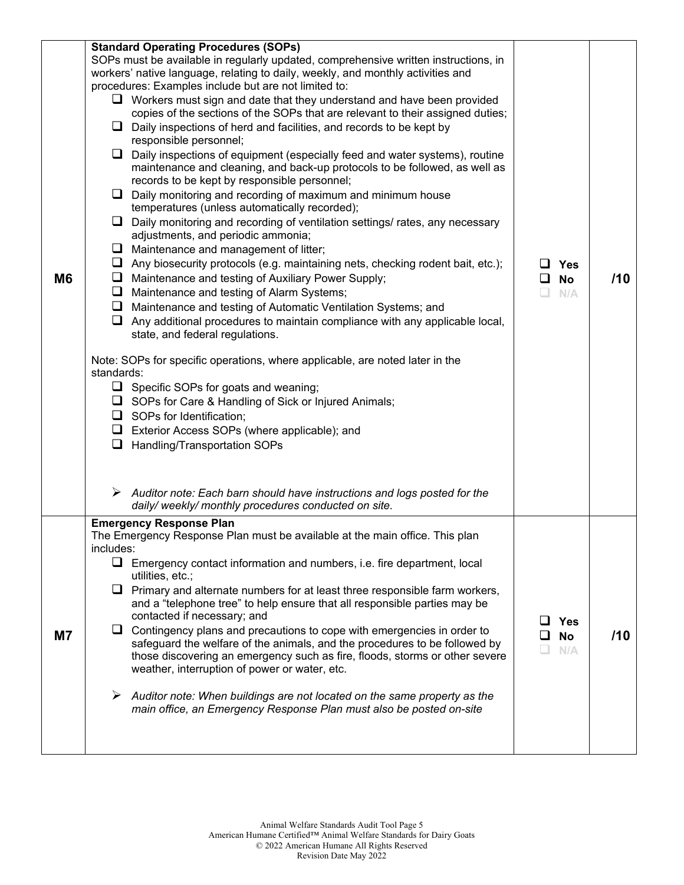| <b>M6</b> | <b>Standard Operating Procedures (SOPs)</b><br>SOPs must be available in regularly updated, comprehensive written instructions, in<br>workers' native language, relating to daily, weekly, and monthly activities and<br>procedures: Examples include but are not limited to:<br>$\Box$ Workers must sign and date that they understand and have been provided<br>copies of the sections of the SOPs that are relevant to their assigned duties;<br>$\Box$ Daily inspections of herd and facilities, and records to be kept by<br>responsible personnel;<br>$\Box$ Daily inspections of equipment (especially feed and water systems), routine<br>maintenance and cleaning, and back-up protocols to be followed, as well as<br>records to be kept by responsible personnel;<br>$\Box$ Daily monitoring and recording of maximum and minimum house<br>temperatures (unless automatically recorded);<br>$\Box$ Daily monitoring and recording of ventilation settings/ rates, any necessary<br>adjustments, and periodic ammonia;<br>$\Box$ Maintenance and management of litter;<br>$\Box$ Any biosecurity protocols (e.g. maintaining nets, checking rodent bait, etc.);<br>Maintenance and testing of Auxiliary Power Supply;<br>⊔<br>Maintenance and testing of Alarm Systems;<br>⊔<br>$\Box$ Maintenance and testing of Automatic Ventilation Systems; and<br>$\Box$ Any additional procedures to maintain compliance with any applicable local,<br>state, and federal regulations.<br>Note: SOPs for specific operations, where applicable, are noted later in the<br>standards:<br>$\Box$ Specific SOPs for goats and weaning;<br>□ SOPs for Care & Handling of Sick or Injured Animals;<br>$\Box$ SOPs for Identification;<br>Exterior Access SOPs (where applicable); and<br>$\Box$ Handling/Transportation SOPs | <b>Yes</b><br><b>No</b><br>ப<br>N/A | /10 |
|-----------|--------------------------------------------------------------------------------------------------------------------------------------------------------------------------------------------------------------------------------------------------------------------------------------------------------------------------------------------------------------------------------------------------------------------------------------------------------------------------------------------------------------------------------------------------------------------------------------------------------------------------------------------------------------------------------------------------------------------------------------------------------------------------------------------------------------------------------------------------------------------------------------------------------------------------------------------------------------------------------------------------------------------------------------------------------------------------------------------------------------------------------------------------------------------------------------------------------------------------------------------------------------------------------------------------------------------------------------------------------------------------------------------------------------------------------------------------------------------------------------------------------------------------------------------------------------------------------------------------------------------------------------------------------------------------------------------------------------------------------------------------------------------------------------------------------------------------|-------------------------------------|-----|
|           | $\triangleright$ Auditor note: Each barn should have instructions and logs posted for the<br>daily/weekly/monthly procedures conducted on site.                                                                                                                                                                                                                                                                                                                                                                                                                                                                                                                                                                                                                                                                                                                                                                                                                                                                                                                                                                                                                                                                                                                                                                                                                                                                                                                                                                                                                                                                                                                                                                                                                                                                          |                                     |     |
| <b>M7</b> | <b>Emergency Response Plan</b><br>The Emergency Response Plan must be available at the main office. This plan<br>includes:<br>$\Box$ Emergency contact information and numbers, i.e. fire department, local<br>utilities, etc.;<br>$\Box$ Primary and alternate numbers for at least three responsible farm workers,<br>and a "telephone tree" to help ensure that all responsible parties may be<br>contacted if necessary; and<br>$\Box$ Contingency plans and precautions to cope with emergencies in order to<br>safeguard the welfare of the animals, and the procedures to be followed by<br>those discovering an emergency such as fire, floods, storms or other severe<br>weather, interruption of power or water, etc.<br>$\triangleright$ Auditor note: When buildings are not located on the same property as the<br>main office, an Emergency Response Plan must also be posted on-site                                                                                                                                                                                                                                                                                                                                                                                                                                                                                                                                                                                                                                                                                                                                                                                                                                                                                                                      | Yes<br><b>No</b><br>N/A             | /10 |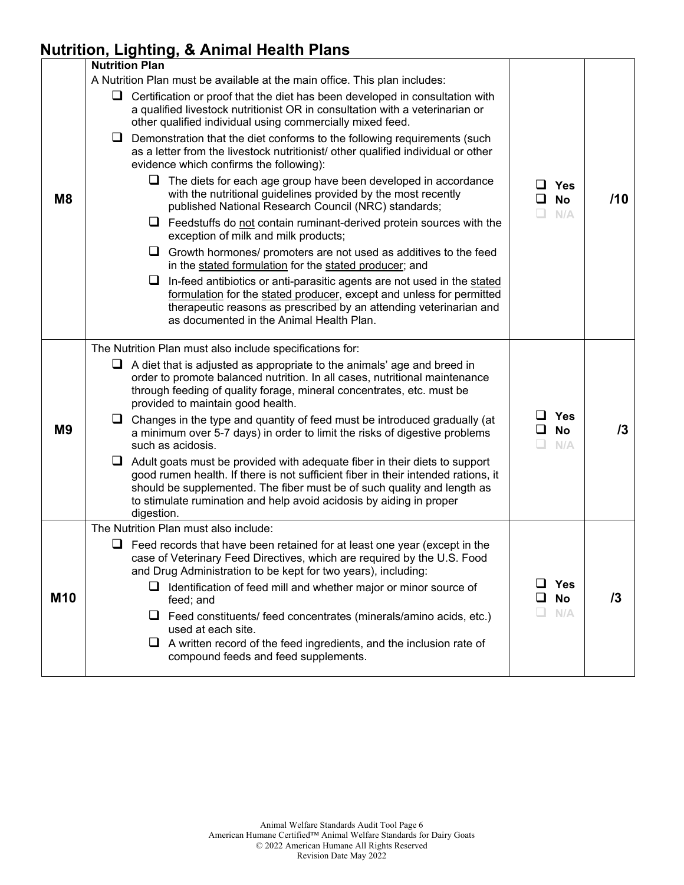## **Nutrition, Lighting, & Animal Health Plans**

|                | <b>Nutrition Plan</b>                                                                                                                                                                                                                                                                                                                                                                                                                                                                                                                                                                                                                                                                                                                                                                                                                                                                                                                                                                                                                                                                                                                                                                                                                                                   |                                                           |     |
|----------------|-------------------------------------------------------------------------------------------------------------------------------------------------------------------------------------------------------------------------------------------------------------------------------------------------------------------------------------------------------------------------------------------------------------------------------------------------------------------------------------------------------------------------------------------------------------------------------------------------------------------------------------------------------------------------------------------------------------------------------------------------------------------------------------------------------------------------------------------------------------------------------------------------------------------------------------------------------------------------------------------------------------------------------------------------------------------------------------------------------------------------------------------------------------------------------------------------------------------------------------------------------------------------|-----------------------------------------------------------|-----|
| M8             | A Nutrition Plan must be available at the main office. This plan includes:<br>$\Box$ Certification or proof that the diet has been developed in consultation with<br>a qualified livestock nutritionist OR in consultation with a veterinarian or<br>other qualified individual using commercially mixed feed.<br>$\Box$ Demonstration that the diet conforms to the following requirements (such<br>as a letter from the livestock nutritionist/ other qualified individual or other<br>evidence which confirms the following):<br>$\Box$ The diets for each age group have been developed in accordance<br>with the nutritional guidelines provided by the most recently<br>published National Research Council (NRC) standards;<br>$\Box$ Feedstuffs do not contain ruminant-derived protein sources with the<br>exception of milk and milk products;<br>Growth hormones/ promoters are not used as additives to the feed<br>⊔<br>in the stated formulation for the stated producer; and<br>$\Box$ In-feed antibiotics or anti-parasitic agents are not used in the stated<br>formulation for the stated producer, except and unless for permitted<br>therapeutic reasons as prescribed by an attending veterinarian and<br>as documented in the Animal Health Plan. | ப<br><b>Yes</b><br>$\Box$<br><b>No</b><br>$\Box$<br>N/A   | /10 |
| M <sub>9</sub> | The Nutrition Plan must also include specifications for:<br>$\Box$ A diet that is adjusted as appropriate to the animals' age and breed in<br>order to promote balanced nutrition. In all cases, nutritional maintenance<br>through feeding of quality forage, mineral concentrates, etc. must be<br>provided to maintain good health.<br>□ Changes in the type and quantity of feed must be introduced gradually (at<br>a minimum over 5-7 days) in order to limit the risks of digestive problems<br>such as acidosis.<br>$\Box$ Adult goats must be provided with adequate fiber in their diets to support<br>good rumen health. If there is not sufficient fiber in their intended rations, it<br>should be supplemented. The fiber must be of such quality and length as<br>to stimulate rumination and help avoid acidosis by aiding in proper<br>digestion.                                                                                                                                                                                                                                                                                                                                                                                                      | ப<br>Yes<br>$\Box$<br><b>No</b><br>N/A                    | /3  |
| <b>M10</b>     | The Nutrition Plan must also include:<br>$\Box$ Feed records that have been retained for at least one year (except in the<br>case of Veterinary Feed Directives, which are required by the U.S. Food<br>and Drug Administration to be kept for two years), including:<br>$\Box$ Identification of feed mill and whether major or minor source of<br>feed; and<br>$\Box$ Feed constituents/ feed concentrates (minerals/amino acids, etc.)<br>used at each site.<br>$\Box$ A written record of the feed ingredients, and the inclusion rate of<br>compound feeds and feed supplements.                                                                                                                                                                                                                                                                                                                                                                                                                                                                                                                                                                                                                                                                                   | <b>Yes</b><br>ப<br><b>No</b><br>$\sqcup$<br>N/A<br>$\Box$ | 13  |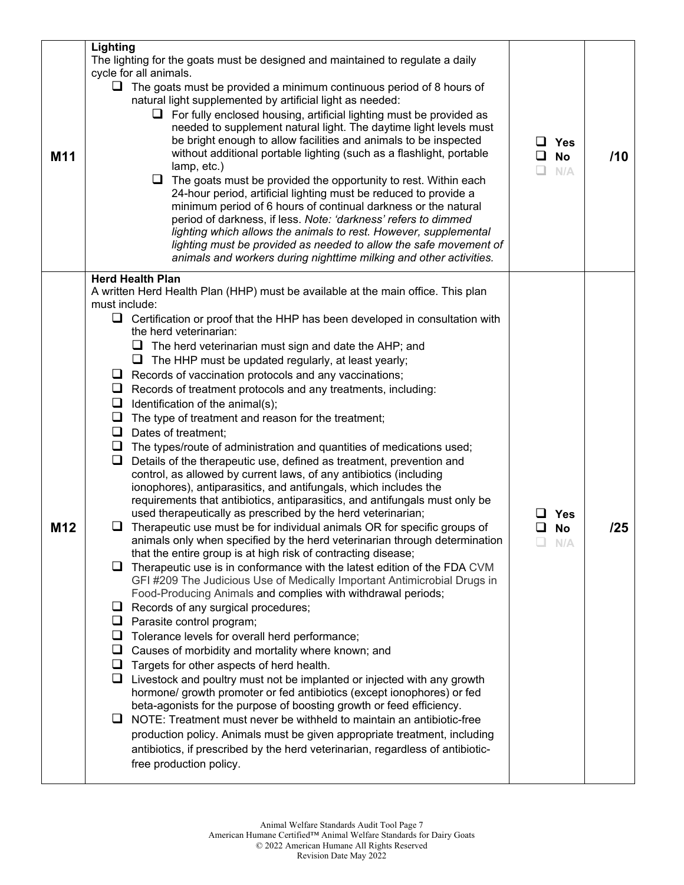| M11 | Lighting<br>The lighting for the goats must be designed and maintained to regulate a daily<br>cycle for all animals.<br>$\Box$ The goats must be provided a minimum continuous period of 8 hours of<br>natural light supplemented by artificial light as needed:<br>$\Box$ For fully enclosed housing, artificial lighting must be provided as<br>needed to supplement natural light. The daytime light levels must<br>be bright enough to allow facilities and animals to be inspected<br>without additional portable lighting (such as a flashlight, portable<br>lamp, etc.)<br>$\Box$<br>The goats must be provided the opportunity to rest. Within each<br>24-hour period, artificial lighting must be reduced to provide a<br>minimum period of 6 hours of continual darkness or the natural<br>period of darkness, if less. Note: 'darkness' refers to dimmed<br>lighting which allows the animals to rest. However, supplemental<br>lighting must be provided as needed to allow the safe movement of<br>animals and workers during nighttime milking and other activities.                                                                                                                                                                                                                                                                                                                                                                                                                                                                                                                                                                                                                                                                                                                                                                                                                                                                                                                                                                                                                                                                                                                                                                                                                                                          | ப<br>Yes<br>❏<br><b>No</b><br>N/A | /10 |
|-----|---------------------------------------------------------------------------------------------------------------------------------------------------------------------------------------------------------------------------------------------------------------------------------------------------------------------------------------------------------------------------------------------------------------------------------------------------------------------------------------------------------------------------------------------------------------------------------------------------------------------------------------------------------------------------------------------------------------------------------------------------------------------------------------------------------------------------------------------------------------------------------------------------------------------------------------------------------------------------------------------------------------------------------------------------------------------------------------------------------------------------------------------------------------------------------------------------------------------------------------------------------------------------------------------------------------------------------------------------------------------------------------------------------------------------------------------------------------------------------------------------------------------------------------------------------------------------------------------------------------------------------------------------------------------------------------------------------------------------------------------------------------------------------------------------------------------------------------------------------------------------------------------------------------------------------------------------------------------------------------------------------------------------------------------------------------------------------------------------------------------------------------------------------------------------------------------------------------------------------------------------------------------------------------------------------------------------------------------|-----------------------------------|-----|
| M12 | <b>Herd Health Plan</b><br>A written Herd Health Plan (HHP) must be available at the main office. This plan<br>must include:<br>$\Box$ Certification or proof that the HHP has been developed in consultation with<br>the herd veterinarian:<br>$\Box$ The herd veterinarian must sign and date the AHP; and<br>The HHP must be updated regularly, at least yearly;<br>⊔<br>$\Box$ Records of vaccination protocols and any vaccinations;<br>$\Box$ Records of treatment protocols and any treatments, including:<br>Identification of the animal(s);<br>⊔<br>$\Box$ The type of treatment and reason for the treatment;<br>$\Box$ Dates of treatment;<br>$\Box$ The types/route of administration and quantities of medications used;<br>Details of the therapeutic use, defined as treatment, prevention and<br>u.<br>control, as allowed by current laws, of any antibiotics (including<br>ionophores), antiparasitics, and antifungals, which includes the<br>requirements that antibiotics, antiparasitics, and antifungals must only be<br>used therapeutically as prescribed by the herd veterinarian;<br>$\Box$ Therapeutic use must be for individual animals OR for specific groups of<br>animals only when specified by the herd veterinarian through determination<br>that the entire group is at high risk of contracting disease;<br>$\Box$ Therapeutic use is in conformance with the latest edition of the FDA CVM<br>GFI #209 The Judicious Use of Medically Important Antimicrobial Drugs in<br>Food-Producing Animals and complies with withdrawal periods;<br>$\Box$ Records of any surgical procedures;<br>Parasite control program;<br>⊔<br>Tolerance levels for overall herd performance;<br>Causes of morbidity and mortality where known; and<br>⊔<br>Targets for other aspects of herd health.<br>⊔<br>$\Box$ Livestock and poultry must not be implanted or injected with any growth<br>hormone/ growth promoter or fed antibiotics (except ionophores) or fed<br>beta-agonists for the purpose of boosting growth or feed efficiency.<br>$\Box$ NOTE: Treatment must never be withheld to maintain an antibiotic-free<br>production policy. Animals must be given appropriate treatment, including<br>antibiotics, if prescribed by the herd veterinarian, regardless of antibiotic-<br>free production policy. | <b>Yes</b><br><b>No</b><br>N/A    | /25 |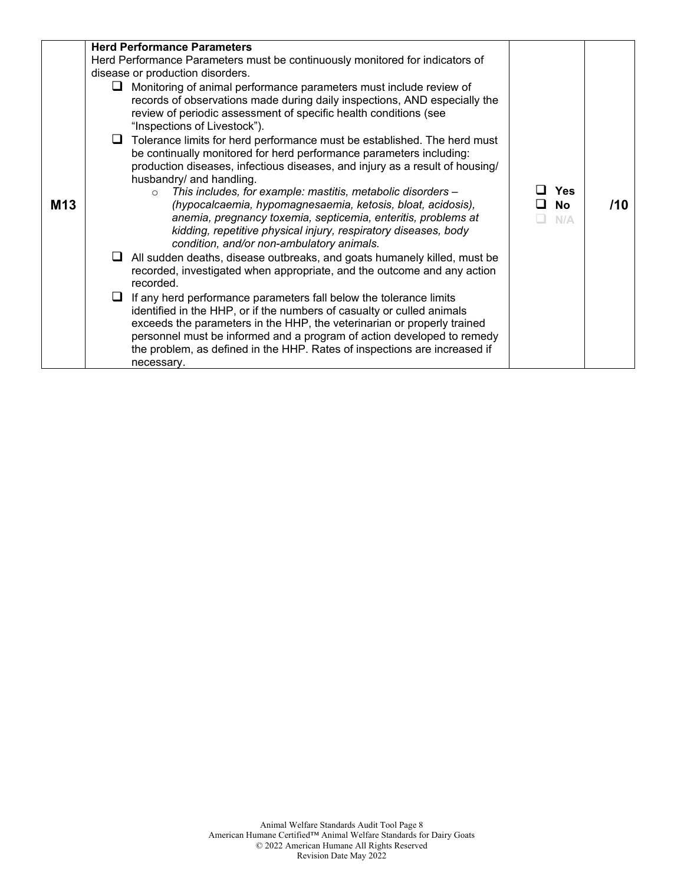| <b>M13</b> | <b>Herd Performance Parameters</b><br>Herd Performance Parameters must be continuously monitored for indicators of<br>disease or production disorders.<br>$\Box$ Monitoring of animal performance parameters must include review of<br>records of observations made during daily inspections, AND especially the<br>review of periodic assessment of specific health conditions (see<br>"Inspections of Livestock").<br>$\Box$ Tolerance limits for herd performance must be established. The herd must<br>be continually monitored for herd performance parameters including:<br>production diseases, infectious diseases, and injury as a result of housing/<br>husbandry/ and handling.<br>This includes, for example: mastitis, metabolic disorders -<br>$\Omega$<br>(hypocalcaemia, hypomagnesaemia, ketosis, bloat, acidosis),<br>anemia, pregnancy toxemia, septicemia, enteritis, problems at<br>kidding, repetitive physical injury, respiratory diseases, body<br>condition, and/or non-ambulatory animals.<br>$\Box$ All sudden deaths, disease outbreaks, and goats humanely killed, must be<br>recorded, investigated when appropriate, and the outcome and any action<br>recorded.<br>$\Box$ If any herd performance parameters fall below the tolerance limits<br>identified in the HHP, or if the numbers of casualty or culled animals<br>exceeds the parameters in the HHP, the veterinarian or properly trained | <b>Yes</b><br><b>No</b><br>$N/\Delta$ | /10 |
|------------|------------------------------------------------------------------------------------------------------------------------------------------------------------------------------------------------------------------------------------------------------------------------------------------------------------------------------------------------------------------------------------------------------------------------------------------------------------------------------------------------------------------------------------------------------------------------------------------------------------------------------------------------------------------------------------------------------------------------------------------------------------------------------------------------------------------------------------------------------------------------------------------------------------------------------------------------------------------------------------------------------------------------------------------------------------------------------------------------------------------------------------------------------------------------------------------------------------------------------------------------------------------------------------------------------------------------------------------------------------------------------------------------------------------------------------|---------------------------------------|-----|
|            | personnel must be informed and a program of action developed to remedy<br>the problem, as defined in the HHP. Rates of inspections are increased if<br>necessary.                                                                                                                                                                                                                                                                                                                                                                                                                                                                                                                                                                                                                                                                                                                                                                                                                                                                                                                                                                                                                                                                                                                                                                                                                                                                  |                                       |     |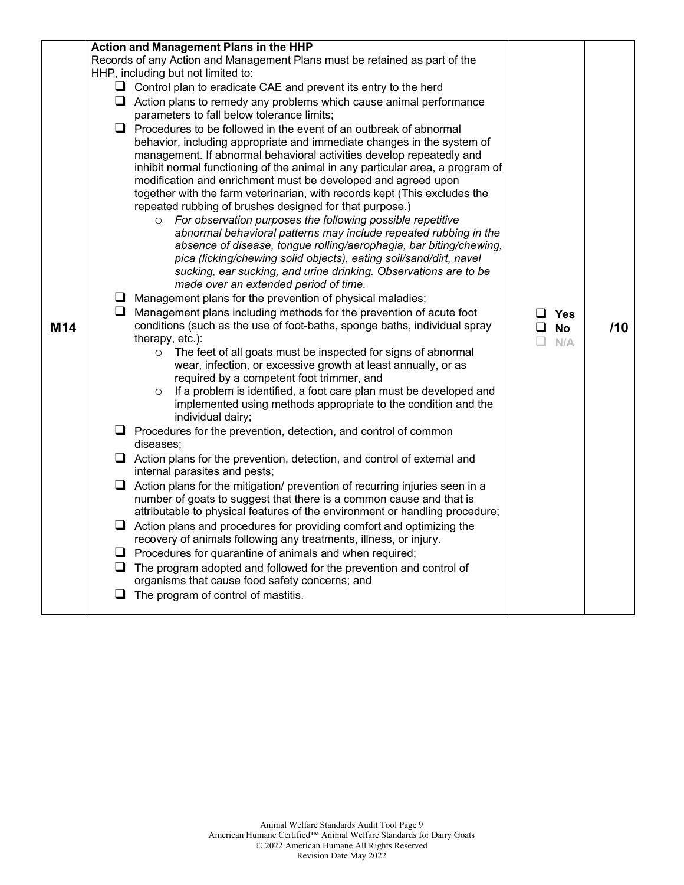| M <sub>14</sub> | Action and Management Plans in the HHP<br>Records of any Action and Management Plans must be retained as part of the<br>HHP, including but not limited to:<br>$\Box$ Control plan to eradicate CAE and prevent its entry to the herd<br>$\Box$ Action plans to remedy any problems which cause animal performance<br>parameters to fall below tolerance limits;<br>$\Box$ Procedures to be followed in the event of an outbreak of abnormal<br>behavior, including appropriate and immediate changes in the system of<br>management. If abnormal behavioral activities develop repeatedly and<br>inhibit normal functioning of the animal in any particular area, a program of<br>modification and enrichment must be developed and agreed upon<br>together with the farm veterinarian, with records kept (This excludes the<br>repeated rubbing of brushes designed for that purpose.)<br>For observation purposes the following possible repetitive<br>$\circ$<br>abnormal behavioral patterns may include repeated rubbing in the<br>absence of disease, tongue rolling/aerophagia, bar biting/chewing,<br>pica (licking/chewing solid objects), eating soil/sand/dirt, navel<br>sucking, ear sucking, and urine drinking. Observations are to be<br>made over an extended period of time.<br>$\Box$ Management plans for the prevention of physical maladies;<br>$\Box$ Management plans including methods for the prevention of acute foot<br>conditions (such as the use of foot-baths, sponge baths, individual spray<br>therapy, etc.):<br>The feet of all goats must be inspected for signs of abnormal<br>$\circ$<br>wear, infection, or excessive growth at least annually, or as<br>required by a competent foot trimmer, and<br>If a problem is identified, a foot care plan must be developed and<br>$\circ$<br>implemented using methods appropriate to the condition and the<br>individual dairy;<br>$\Box$ Procedures for the prevention, detection, and control of common<br>diseases;<br>$\Box$ Action plans for the prevention, detection, and control of external and<br>internal parasites and pests;<br>$\Box$ Action plans for the mitigation/ prevention of recurring injuries seen in a<br>number of goats to suggest that there is a common cause and that is<br>attributable to physical features of the environment or handling procedure;<br>$\Box$ Action plans and procedures for providing comfort and optimizing the<br>recovery of animals following any treatments, illness, or injury.<br>$\Box$ Procedures for quarantine of animals and when required;<br>$\Box$ The program adopted and followed for the prevention and control of<br>organisms that cause food safety concerns; and<br>$\Box$ The program of control of mastitis. | $\Box$ Yes<br>$\Box$ No<br>$\Box$<br>N/A | 110 |
|-----------------|----------------------------------------------------------------------------------------------------------------------------------------------------------------------------------------------------------------------------------------------------------------------------------------------------------------------------------------------------------------------------------------------------------------------------------------------------------------------------------------------------------------------------------------------------------------------------------------------------------------------------------------------------------------------------------------------------------------------------------------------------------------------------------------------------------------------------------------------------------------------------------------------------------------------------------------------------------------------------------------------------------------------------------------------------------------------------------------------------------------------------------------------------------------------------------------------------------------------------------------------------------------------------------------------------------------------------------------------------------------------------------------------------------------------------------------------------------------------------------------------------------------------------------------------------------------------------------------------------------------------------------------------------------------------------------------------------------------------------------------------------------------------------------------------------------------------------------------------------------------------------------------------------------------------------------------------------------------------------------------------------------------------------------------------------------------------------------------------------------------------------------------------------------------------------------------------------------------------------------------------------------------------------------------------------------------------------------------------------------------------------------------------------------------------------------------------------------------------------------------------------------------------------------------------------------------------------------------------------------------------------------------------------------------------------------------------------------------------------------------------------------------------------|------------------------------------------|-----|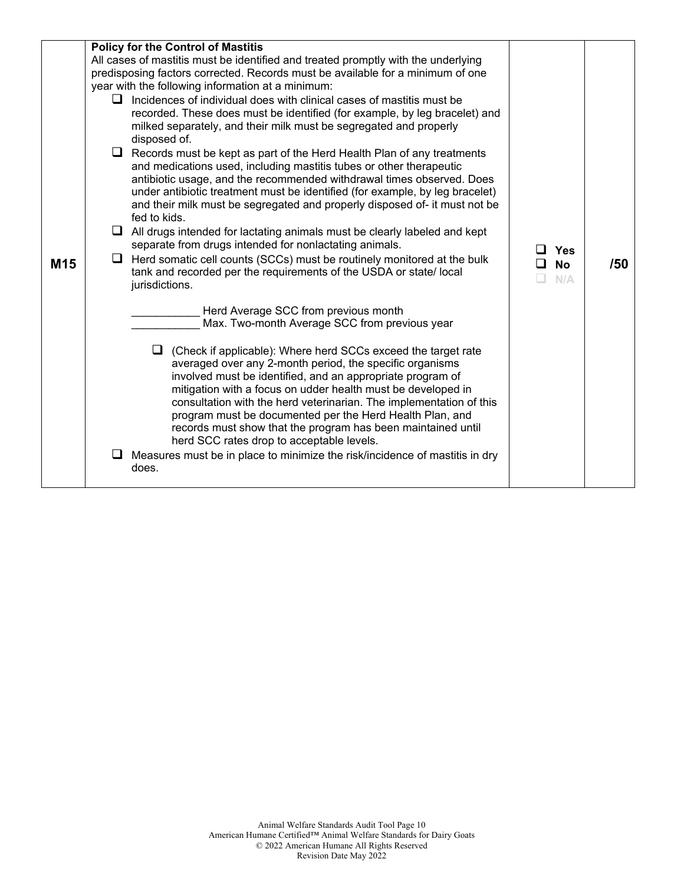| M <sub>15</sub> | <b>Policy for the Control of Mastitis</b><br>All cases of mastitis must be identified and treated promptly with the underlying<br>predisposing factors corrected. Records must be available for a minimum of one<br>year with the following information at a minimum:<br>$\Box$ Incidences of individual does with clinical cases of mastitis must be<br>recorded. These does must be identified (for example, by leg bracelet) and<br>milked separately, and their milk must be segregated and properly<br>disposed of.<br>$\Box$ Records must be kept as part of the Herd Health Plan of any treatments<br>and medications used, including mastitis tubes or other therapeutic<br>antibiotic usage, and the recommended withdrawal times observed. Does<br>under antibiotic treatment must be identified (for example, by leg bracelet)<br>and their milk must be segregated and properly disposed of- it must not be<br>fed to kids.<br>$\Box$ All drugs intended for lactating animals must be clearly labeled and kept<br>separate from drugs intended for nonlactating animals.<br>$\Box$ Herd somatic cell counts (SCCs) must be routinely monitored at the bulk | Yes<br><b>No</b><br>l 1 | /50 |
|-----------------|-------------------------------------------------------------------------------------------------------------------------------------------------------------------------------------------------------------------------------------------------------------------------------------------------------------------------------------------------------------------------------------------------------------------------------------------------------------------------------------------------------------------------------------------------------------------------------------------------------------------------------------------------------------------------------------------------------------------------------------------------------------------------------------------------------------------------------------------------------------------------------------------------------------------------------------------------------------------------------------------------------------------------------------------------------------------------------------------------------------------------------------------------------------------------|-------------------------|-----|
|                 | tank and recorded per the requirements of the USDA or state/local<br>jurisdictions.<br>Herd Average SCC from previous month<br>Max. Two-month Average SCC from previous year<br>$\Box$ (Check if applicable): Where herd SCCs exceed the target rate<br>averaged over any 2-month period, the specific organisms<br>involved must be identified, and an appropriate program of<br>mitigation with a focus on udder health must be developed in<br>consultation with the herd veterinarian. The implementation of this<br>program must be documented per the Herd Health Plan, and<br>records must show that the program has been maintained until<br>herd SCC rates drop to acceptable levels.<br>Measures must be in place to minimize the risk/incidence of mastitis in dry<br>does.                                                                                                                                                                                                                                                                                                                                                                                  | N/A                     |     |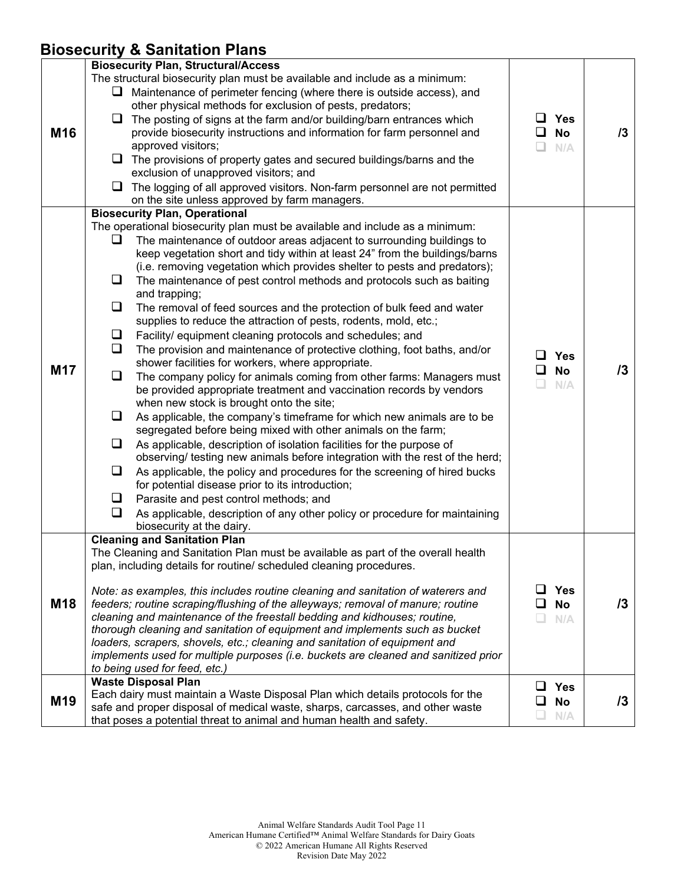### **Biosecurity & Sanitation Plans**

|                 | $\frac{1}{2}$                                                                                                                                                                                                                                                                                                                                                                                                                                                                                                                                                                                                                                                                                                                                                                                                                                                                                                                                                                                                                                                                                                                                                                                                                                                                                                                                                                                                                                                                                                                                                                                                                                                       |                                                    |            |
|-----------------|---------------------------------------------------------------------------------------------------------------------------------------------------------------------------------------------------------------------------------------------------------------------------------------------------------------------------------------------------------------------------------------------------------------------------------------------------------------------------------------------------------------------------------------------------------------------------------------------------------------------------------------------------------------------------------------------------------------------------------------------------------------------------------------------------------------------------------------------------------------------------------------------------------------------------------------------------------------------------------------------------------------------------------------------------------------------------------------------------------------------------------------------------------------------------------------------------------------------------------------------------------------------------------------------------------------------------------------------------------------------------------------------------------------------------------------------------------------------------------------------------------------------------------------------------------------------------------------------------------------------------------------------------------------------|----------------------------------------------------|------------|
| M16             | <b>Biosecurity Plan, Structural/Access</b><br>The structural biosecurity plan must be available and include as a minimum:<br>$\Box$ Maintenance of perimeter fencing (where there is outside access), and<br>other physical methods for exclusion of pests, predators;<br>$\Box$ The posting of signs at the farm and/or building/barn entrances which<br>provide biosecurity instructions and information for farm personnel and<br>approved visitors;<br>$\Box$ The provisions of property gates and secured buildings/barns and the<br>exclusion of unapproved visitors; and<br>$\Box$ The logging of all approved visitors. Non-farm personnel are not permitted<br>on the site unless approved by farm managers.                                                                                                                                                                                                                                                                                                                                                                                                                                                                                                                                                                                                                                                                                                                                                                                                                                                                                                                                               | <b>Yes</b><br>ப<br>ப<br><b>No</b><br>$\Box$<br>N/A | 13         |
| M17             | <b>Biosecurity Plan, Operational</b><br>The operational biosecurity plan must be available and include as a minimum:<br>Q<br>The maintenance of outdoor areas adjacent to surrounding buildings to<br>keep vegetation short and tidy within at least 24" from the buildings/barns<br>(i.e. removing vegetation which provides shelter to pests and predators);<br>❏<br>The maintenance of pest control methods and protocols such as baiting<br>and trapping;<br>❏<br>The removal of feed sources and the protection of bulk feed and water<br>supplies to reduce the attraction of pests, rodents, mold, etc.;<br>Facility/ equipment cleaning protocols and schedules; and<br>⊔<br>$\Box$<br>The provision and maintenance of protective clothing, foot baths, and/or<br>shower facilities for workers, where appropriate.<br>$\Box$<br>The company policy for animals coming from other farms: Managers must<br>be provided appropriate treatment and vaccination records by vendors<br>when new stock is brought onto the site;<br>Q.<br>As applicable, the company's timeframe for which new animals are to be<br>segregated before being mixed with other animals on the farm;<br>Q.<br>As applicable, description of isolation facilities for the purpose of<br>observing/ testing new animals before integration with the rest of the herd;<br>❏<br>As applicable, the policy and procedures for the screening of hired bucks<br>for potential disease prior to its introduction;<br>$\Box$<br>Parasite and pest control methods; and<br>$\Box$<br>As applicable, description of any other policy or procedure for maintaining<br>biosecurity at the dairy. | <b>Yes</b><br>ப<br><b>No</b><br>ப<br>$\Box$<br>N/A | 13         |
| M18             | <b>Cleaning and Sanitation Plan</b><br>The Cleaning and Sanitation Plan must be available as part of the overall health<br>plan, including details for routine/ scheduled cleaning procedures.<br>Note: as examples, this includes routine cleaning and sanitation of waterers and<br>feeders; routine scraping/flushing of the alleyways; removal of manure; routine<br>cleaning and maintenance of the freestall bedding and kidhouses; routine,<br>thorough cleaning and sanitation of equipment and implements such as bucket<br>loaders, scrapers, shovels, etc.; cleaning and sanitation of equipment and<br>implements used for multiple purposes (i.e. buckets are cleaned and sanitized prior<br>to being used for feed, etc.)                                                                                                                                                                                                                                                                                                                                                                                                                                                                                                                                                                                                                                                                                                                                                                                                                                                                                                                             | <b>Yes</b><br>ப<br><b>No</b><br>N/A                | $\sqrt{3}$ |
| M <sub>19</sub> | <b>Waste Disposal Plan</b><br>Each dairy must maintain a Waste Disposal Plan which details protocols for the<br>safe and proper disposal of medical waste, sharps, carcasses, and other waste<br>that poses a potential threat to animal and human health and safety.                                                                                                                                                                                                                                                                                                                                                                                                                                                                                                                                                                                                                                                                                                                                                                                                                                                                                                                                                                                                                                                                                                                                                                                                                                                                                                                                                                                               | ப<br><b>Yes</b><br>❏<br><b>No</b><br>N/A<br>u.     | $\sqrt{3}$ |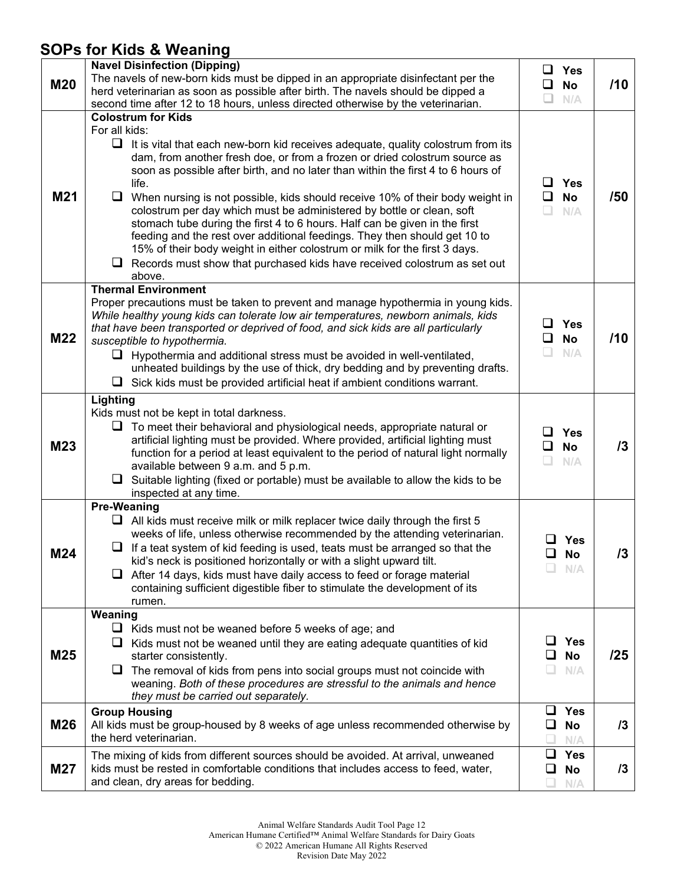### **SOPs for Kids & Weaning**

| <b>M20</b> | <b>Navel Disinfection (Dipping)</b><br>The navels of new-born kids must be dipped in an appropriate disinfectant per the<br>herd veterinarian as soon as possible after birth. The navels should be dipped a<br>second time after 12 to 18 hours, unless directed otherwise by the veterinarian.                                                                                                                                                                                                                                                                                                                                                                                                                                                                                                                           | ப<br>Yes<br><b>No</b><br>ப<br>N/A           | /10 |
|------------|----------------------------------------------------------------------------------------------------------------------------------------------------------------------------------------------------------------------------------------------------------------------------------------------------------------------------------------------------------------------------------------------------------------------------------------------------------------------------------------------------------------------------------------------------------------------------------------------------------------------------------------------------------------------------------------------------------------------------------------------------------------------------------------------------------------------------|---------------------------------------------|-----|
| M21        | <b>Colostrum for Kids</b><br>For all kids:<br>$\Box$<br>It is vital that each new-born kid receives adequate, quality colostrum from its<br>dam, from another fresh doe, or from a frozen or dried colostrum source as<br>soon as possible after birth, and no later than within the first 4 to 6 hours of<br>life.<br>$\Box$ When nursing is not possible, kids should receive 10% of their body weight in<br>colostrum per day which must be administered by bottle or clean, soft<br>stomach tube during the first 4 to 6 hours. Half can be given in the first<br>feeding and the rest over additional feedings. They then should get 10 to<br>15% of their body weight in either colostrum or milk for the first 3 days.<br>$\Box$ Records must show that purchased kids have received colostrum as set out<br>above. | $\Box$ Yes<br>$\Box$ No<br>N/A              | /50 |
| M22        | <b>Thermal Environment</b><br>Proper precautions must be taken to prevent and manage hypothermia in young kids.<br>While healthy young kids can tolerate low air temperatures, newborn animals, kids<br>that have been transported or deprived of food, and sick kids are all particularly<br>susceptible to hypothermia.<br>$\Box$ Hypothermia and additional stress must be avoided in well-ventilated,<br>unheated buildings by the use of thick, dry bedding and by preventing drafts.<br>$\Box$ Sick kids must be provided artificial heat if ambient conditions warrant.                                                                                                                                                                                                                                             | $\square$ Yes<br><b>No</b><br>$\Box$<br>N/A | /10 |
| M23        | Lighting<br>Kids must not be kept in total darkness.<br>To meet their behavioral and physiological needs, appropriate natural or<br>artificial lighting must be provided. Where provided, artificial lighting must<br>function for a period at least equivalent to the period of natural light normally<br>available between 9 a.m. and 5 p.m.<br>$\Box$<br>Suitable lighting (fixed or portable) must be available to allow the kids to be<br>inspected at any time.                                                                                                                                                                                                                                                                                                                                                      | Yes<br>ப<br><b>No</b><br>◻<br>n<br>N/A      | 13  |
| M24        | <b>Pre-Weaning</b><br>$\Box$ All kids must receive milk or milk replacer twice daily through the first 5<br>weeks of life, unless otherwise recommended by the attending veterinarian.<br>$\Box$ If a teat system of kid feeding is used, teats must be arranged so that the<br>kid's neck is positioned horizontally or with a slight upward tilt.<br>After 14 days, kids must have daily access to feed or forage material<br>u.<br>containing sufficient digestible fiber to stimulate the development of its<br>rumen.                                                                                                                                                                                                                                                                                                 | <b>Yes</b><br><b>No</b><br>N/A              | /3  |
| M25        | Weaning<br>⊔<br>Kids must not be weaned before 5 weeks of age; and<br>$\Box$<br>Kids must not be weaned until they are eating adequate quantities of kid<br>starter consistently.<br>The removal of kids from pens into social groups must not coincide with<br>weaning. Both of these procedures are stressful to the animals and hence<br>they must be carried out separately.                                                                                                                                                                                                                                                                                                                                                                                                                                           | <b>Yes</b><br><b>No</b><br>ப<br>N/A         | /25 |
| M26        | <b>Group Housing</b><br>All kids must be group-housed by 8 weeks of age unless recommended otherwise by<br>the herd veterinarian.                                                                                                                                                                                                                                                                                                                                                                                                                                                                                                                                                                                                                                                                                          | <b>Yes</b><br>ப<br>$\Box$<br>No<br>N/A      | 13  |
| <b>M27</b> | The mixing of kids from different sources should be avoided. At arrival, unweaned<br>kids must be rested in comfortable conditions that includes access to feed, water,<br>and clean, dry areas for bedding.                                                                                                                                                                                                                                                                                                                                                                                                                                                                                                                                                                                                               | ⊔<br><b>Yes</b><br><b>No</b><br>N/A         | 13  |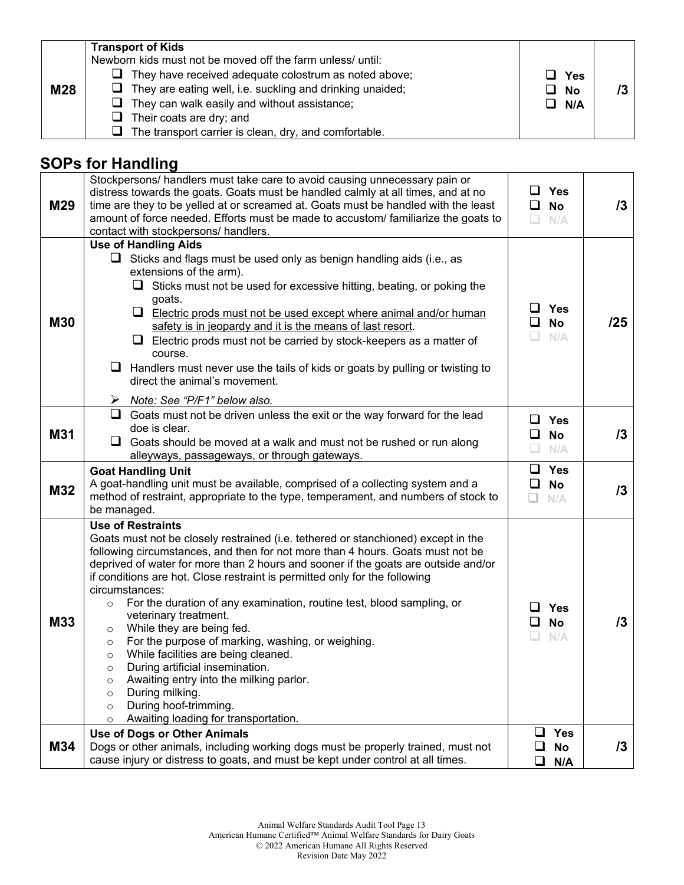| <b>M28</b> | <b>Transport of Kids</b><br>Newborn kids must not be moved off the farm unless/ until:<br>$\Box$ They have received adequate colostrum as noted above;<br>$\Box$ They are eating well, i.e. suckling and drinking unaided;<br>$\Box$ They can walk easily and without assistance; | □ Yes<br>⊔ No<br>$\Box$ N/A |  |
|------------|-----------------------------------------------------------------------------------------------------------------------------------------------------------------------------------------------------------------------------------------------------------------------------------|-----------------------------|--|
|            | $\Box$ Their coats are dry; and                                                                                                                                                                                                                                                   |                             |  |
|            | The transport carrier is clean, dry, and comfortable.                                                                                                                                                                                                                             |                             |  |

# **SOPs for Handling**

| M29        | Stockpersons/ handlers must take care to avoid causing unnecessary pain or<br>distress towards the goats. Goats must be handled calmly at all times, and at no<br>time are they to be yelled at or screamed at. Goats must be handled with the least<br>amount of force needed. Efforts must be made to accustom/ familiarize the goats to<br>contact with stockpersons/ handlers.                                                                                                                                                                                                                                                                                                                                                                                                                                                                                                    | ப<br>$\Box$ No<br>$\Box$ | <b>Yes</b><br>N/A              | /3         |
|------------|---------------------------------------------------------------------------------------------------------------------------------------------------------------------------------------------------------------------------------------------------------------------------------------------------------------------------------------------------------------------------------------------------------------------------------------------------------------------------------------------------------------------------------------------------------------------------------------------------------------------------------------------------------------------------------------------------------------------------------------------------------------------------------------------------------------------------------------------------------------------------------------|--------------------------|--------------------------------|------------|
| <b>M30</b> | <b>Use of Handling Aids</b><br>$\Box$ Sticks and flags must be used only as benign handling aids (i.e., as<br>extensions of the arm).<br>$\Box$ Sticks must not be used for excessive hitting, beating, or poking the<br>goats.<br>⊔<br>Electric prods must not be used except where animal and/or human<br>safety is in jeopardy and it is the means of last resort.<br>Electric prods must not be carried by stock-keepers as a matter of<br>⊔<br>course.<br>Handlers must never use the tails of kids or goats by pulling or twisting to<br>u.<br>direct the animal's movement.<br>$\triangleright$ Note: See "P/F1" below also.                                                                                                                                                                                                                                                   | ⊔.<br>❏                  | $\Box$ Yes<br><b>No</b><br>N/A | /25        |
| M31        | $\Box$ Goats must not be driven unless the exit or the way forward for the lead<br>doe is clear.<br>$\Box$ Goats should be moved at a walk and must not be rushed or run along<br>alleyways, passageways, or through gateways.                                                                                                                                                                                                                                                                                                                                                                                                                                                                                                                                                                                                                                                        | ப<br>ப<br>□              | <b>Yes</b><br><b>No</b><br>N/A | $\sqrt{3}$ |
| M32        | <b>Goat Handling Unit</b><br>A goat-handling unit must be available, comprised of a collecting system and a<br>method of restraint, appropriate to the type, temperament, and numbers of stock to<br>be managed.                                                                                                                                                                                                                                                                                                                                                                                                                                                                                                                                                                                                                                                                      | ◻<br>Q.                  | $\Box$ Yes<br><b>No</b><br>N/A | 13         |
| M33        | <b>Use of Restraints</b><br>Goats must not be closely restrained (i.e. tethered or stanchioned) except in the<br>following circumstances, and then for not more than 4 hours. Goats must not be<br>deprived of water for more than 2 hours and sooner if the goats are outside and/or<br>if conditions are hot. Close restraint is permitted only for the following<br>circumstances:<br>For the duration of any examination, routine test, blood sampling, or<br>$\circ$<br>veterinary treatment.<br>While they are being fed.<br>$\circ$<br>For the purpose of marking, washing, or weighing.<br>$\circ$<br>While facilities are being cleaned.<br>$\circ$<br>During artificial insemination.<br>$\circ$<br>Awaiting entry into the milking parlor.<br>$\circ$<br>During milking.<br>$\circ$<br>During hoof-trimming.<br>$\circ$<br>Awaiting loading for transportation.<br>$\circ$ | ш                        | <b>Yes</b><br><b>No</b><br>N/A | /3         |
| M34        | <b>Use of Dogs or Other Animals</b><br>Dogs or other animals, including working dogs must be properly trained, must not<br>cause injury or distress to goats, and must be kept under control at all times.                                                                                                                                                                                                                                                                                                                                                                                                                                                                                                                                                                                                                                                                            | $\Box$<br>❏<br>$\Box$    | <b>Yes</b><br><b>No</b><br>N/A | /3         |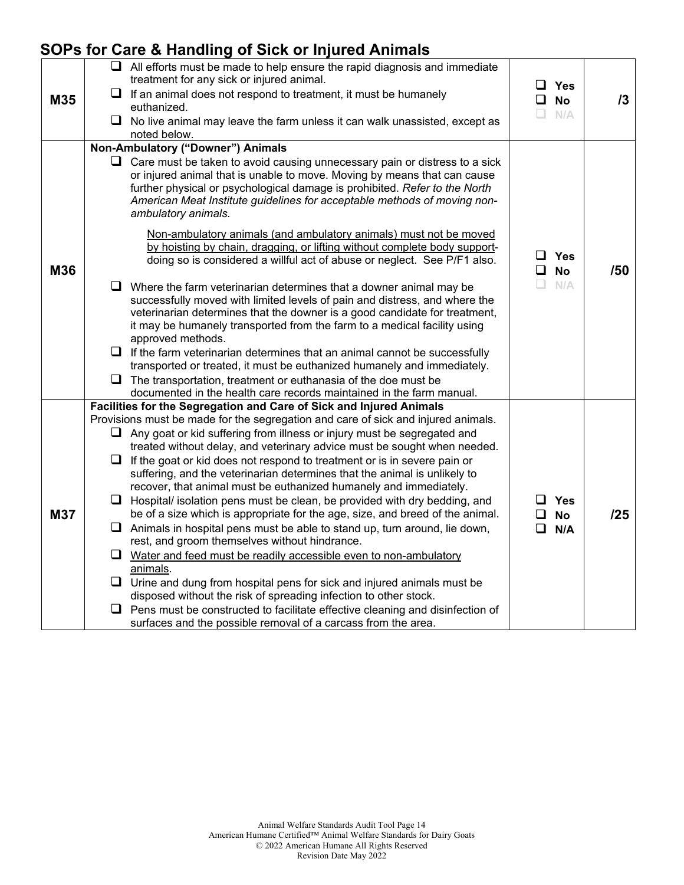### **SOPs for Care & Handling of Sick or Injured Animals**

| M35        | $\Box$ All efforts must be made to help ensure the rapid diagnosis and immediate<br>treatment for any sick or injured animal.<br>$\Box$ If an animal does not respond to treatment, it must be humanely                                                                                                                                        | ப<br>$\Box$ | Yes<br><b>No</b>        | 13  |
|------------|------------------------------------------------------------------------------------------------------------------------------------------------------------------------------------------------------------------------------------------------------------------------------------------------------------------------------------------------|-------------|-------------------------|-----|
|            | euthanized.                                                                                                                                                                                                                                                                                                                                    |             |                         |     |
|            | $\Box$ No live animal may leave the farm unless it can walk unassisted, except as                                                                                                                                                                                                                                                              | $\Box$      | N/A                     |     |
|            | noted below.                                                                                                                                                                                                                                                                                                                                   |             |                         |     |
|            | Non-Ambulatory ("Downer") Animals                                                                                                                                                                                                                                                                                                              |             |                         |     |
|            | $\Box$ Care must be taken to avoid causing unnecessary pain or distress to a sick<br>or injured animal that is unable to move. Moving by means that can cause<br>further physical or psychological damage is prohibited. Refer to the North<br>American Meat Institute guidelines for acceptable methods of moving non-<br>ambulatory animals. |             |                         |     |
| M36        | Non-ambulatory animals (and ambulatory animals) must not be moved<br>by hoisting by chain, dragging, or lifting without complete body support-<br>doing so is considered a willful act of abuse or neglect. See P/F1 also.                                                                                                                     | $\Box$      | $\Box$ Yes<br><b>No</b> | /50 |
|            | $\Box$ Where the farm veterinarian determines that a downer animal may be<br>successfully moved with limited levels of pain and distress, and where the<br>veterinarian determines that the downer is a good candidate for treatment,<br>it may be humanely transported from the farm to a medical facility using<br>approved methods.         | π.          | N/A                     |     |
|            | $\Box$ If the farm veterinarian determines that an animal cannot be successfully<br>transported or treated, it must be euthanized humanely and immediately.                                                                                                                                                                                    |             |                         |     |
|            | $\Box$ The transportation, treatment or euthanasia of the doe must be<br>documented in the health care records maintained in the farm manual.                                                                                                                                                                                                  |             |                         |     |
|            | Facilities for the Segregation and Care of Sick and Injured Animals                                                                                                                                                                                                                                                                            |             |                         |     |
|            | Provisions must be made for the segregation and care of sick and injured animals.                                                                                                                                                                                                                                                              |             |                         |     |
|            | $\Box$ Any goat or kid suffering from illness or injury must be segregated and                                                                                                                                                                                                                                                                 |             |                         |     |
|            | treated without delay, and veterinary advice must be sought when needed.<br>$\Box$ If the goat or kid does not respond to treatment or is in severe pain or                                                                                                                                                                                    |             |                         |     |
|            | suffering, and the veterinarian determines that the animal is unlikely to<br>recover, that animal must be euthanized humanely and immediately.                                                                                                                                                                                                 |             |                         |     |
| <b>M37</b> | $\Box$ Hospital/ isolation pens must be clean, be provided with dry bedding, and<br>be of a size which is appropriate for the age, size, and breed of the animal.                                                                                                                                                                              | 0           | ⊔ Yes<br><b>No</b>      | 125 |
|            | $\Box$ Animals in hospital pens must be able to stand up, turn around, lie down,                                                                                                                                                                                                                                                               | ◻           | N/A                     |     |
|            | rest, and groom themselves without hindrance.                                                                                                                                                                                                                                                                                                  |             |                         |     |
|            | $\Box$ Water and feed must be readily accessible even to non-ambulatory                                                                                                                                                                                                                                                                        |             |                         |     |
|            | animals.                                                                                                                                                                                                                                                                                                                                       |             |                         |     |
|            | $\Box$ Urine and dung from hospital pens for sick and injured animals must be                                                                                                                                                                                                                                                                  |             |                         |     |
|            | disposed without the risk of spreading infection to other stock.                                                                                                                                                                                                                                                                               |             |                         |     |
|            | $\Box$ Pens must be constructed to facilitate effective cleaning and disinfection of<br>surfaces and the possible removal of a carcass from the area.                                                                                                                                                                                          |             |                         |     |
|            |                                                                                                                                                                                                                                                                                                                                                |             |                         |     |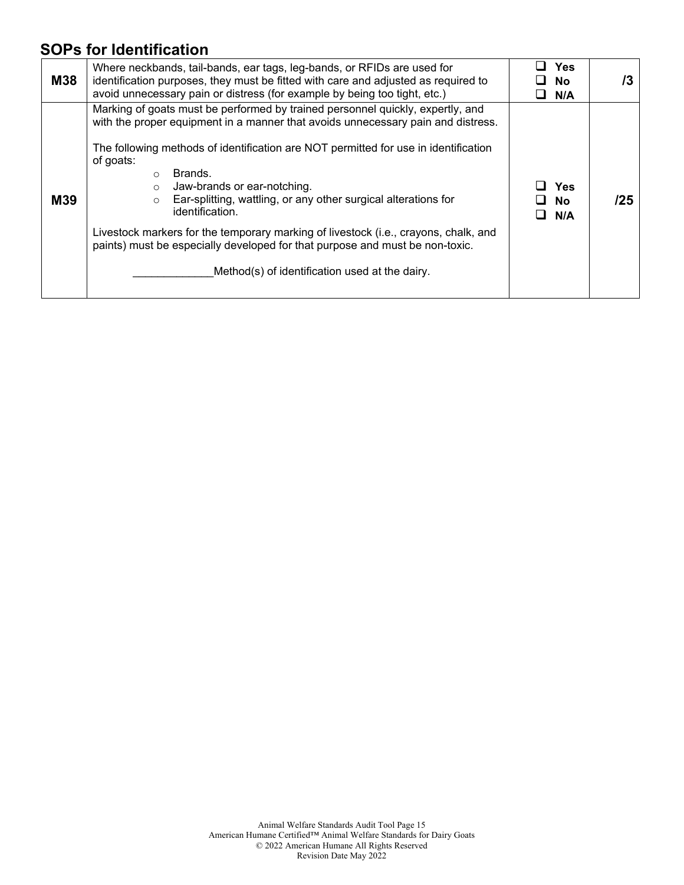### **SOPs for Identification**

| <b>M38</b> | Where neckbands, tail-bands, ear tags, leg-bands, or RFIDs are used for<br>identification purposes, they must be fitted with care and adjusted as required to<br>avoid unnecessary pain or distress (for example by being too tight, etc.)                                                                                                                                                                                                                                                                                                                                                                                                                       | Yes<br>No.<br>N/A | /3  |
|------------|------------------------------------------------------------------------------------------------------------------------------------------------------------------------------------------------------------------------------------------------------------------------------------------------------------------------------------------------------------------------------------------------------------------------------------------------------------------------------------------------------------------------------------------------------------------------------------------------------------------------------------------------------------------|-------------------|-----|
| M39        | Marking of goats must be performed by trained personnel quickly, expertly, and<br>with the proper equipment in a manner that avoids unnecessary pain and distress.<br>The following methods of identification are NOT permitted for use in identification<br>of goats:<br>Brands.<br>$\Omega$<br>Jaw-brands or ear-notching.<br>$\circ$<br>Ear-splitting, wattling, or any other surgical alterations for<br>$\circ$<br>identification.<br>Livestock markers for the temporary marking of livestock (i.e., crayons, chalk, and<br>paints) must be especially developed for that purpose and must be non-toxic.<br>Method(s) of identification used at the dairy. | Yes<br>No.<br>N/A | /25 |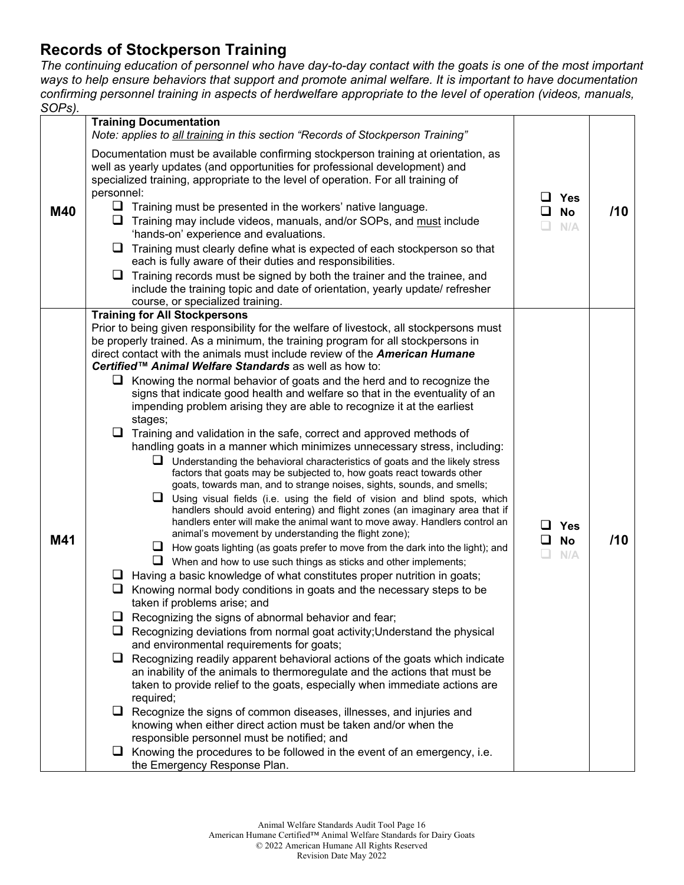#### **Records of Stockperson Training**

*The continuing education of personnel who have day-to-day contact with the goats is one of the most important ways to help ensure behaviors that support and promote animal welfare. It is important to have documentation confirming personnel training in aspects of herdwelfare appropriate to the level of operation (videos, manuals, SOPs).*

|     | <b>Training Documentation</b><br>Note: applies to all training in this section "Records of Stockperson Training"                                                                                                                                                                                                                                                                                                                                                                                                                                  |                                     |     |
|-----|---------------------------------------------------------------------------------------------------------------------------------------------------------------------------------------------------------------------------------------------------------------------------------------------------------------------------------------------------------------------------------------------------------------------------------------------------------------------------------------------------------------------------------------------------|-------------------------------------|-----|
| M40 | Documentation must be available confirming stockperson training at orientation, as<br>well as yearly updates (and opportunities for professional development) and<br>specialized training, appropriate to the level of operation. For all training of<br>personnel:<br>$\Box$ Training must be presented in the workers' native language.<br>⊔<br>Training may include videos, manuals, and/or SOPs, and must include<br>'hands-on' experience and evaluations.<br>❏<br>Training must clearly define what is expected of each stockperson so that | ப<br><b>Yes</b><br><b>No</b><br>N/A | /10 |
|     | each is fully aware of their duties and responsibilities.<br>⊔<br>Training records must be signed by both the trainer and the trainee, and                                                                                                                                                                                                                                                                                                                                                                                                        |                                     |     |
|     | include the training topic and date of orientation, yearly update/ refresher<br>course, or specialized training.                                                                                                                                                                                                                                                                                                                                                                                                                                  |                                     |     |
|     | <b>Training for All Stockpersons</b><br>Prior to being given responsibility for the welfare of livestock, all stockpersons must<br>be properly trained. As a minimum, the training program for all stockpersons in<br>direct contact with the animals must include review of the American Humane                                                                                                                                                                                                                                                  |                                     |     |
|     | Certified™ Animal Welfare Standards as well as how to:<br>$\Box$ Knowing the normal behavior of goats and the herd and to recognize the                                                                                                                                                                                                                                                                                                                                                                                                           |                                     |     |
|     | signs that indicate good health and welfare so that in the eventuality of an<br>impending problem arising they are able to recognize it at the earliest<br>stages;                                                                                                                                                                                                                                                                                                                                                                                |                                     |     |
|     | $\Box$ Training and validation in the safe, correct and approved methods of<br>handling goats in a manner which minimizes unnecessary stress, including:                                                                                                                                                                                                                                                                                                                                                                                          |                                     |     |
|     | $\Box$ Understanding the behavioral characteristics of goats and the likely stress<br>factors that goats may be subjected to, how goats react towards other<br>goats, towards man, and to strange noises, sights, sounds, and smells;                                                                                                                                                                                                                                                                                                             |                                     |     |
|     | $\Box$<br>Using visual fields (i.e. using the field of vision and blind spots, which<br>handlers should avoid entering) and flight zones (an imaginary area that if<br>handlers enter will make the animal want to move away. Handlers control an<br>animal's movement by understanding the flight zone);                                                                                                                                                                                                                                         | $\Box$ Yes                          |     |
| M41 | $\Box$ How goats lighting (as goats prefer to move from the dark into the light); and                                                                                                                                                                                                                                                                                                                                                                                                                                                             | ப<br><b>No</b><br>N/A               | /10 |
|     | $\Box$ When and how to use such things as sticks and other implements;<br>Having a basic knowledge of what constitutes proper nutrition in goats;<br>⊔                                                                                                                                                                                                                                                                                                                                                                                            |                                     |     |
|     | Knowing normal body conditions in goats and the necessary steps to be<br>u<br>taken if problems arise; and                                                                                                                                                                                                                                                                                                                                                                                                                                        |                                     |     |
|     | Recognizing the signs of abnormal behavior and fear;                                                                                                                                                                                                                                                                                                                                                                                                                                                                                              |                                     |     |
|     | Recognizing deviations from normal goat activity; Understand the physical<br>and environmental requirements for goats;                                                                                                                                                                                                                                                                                                                                                                                                                            |                                     |     |
|     | $\Box$<br>Recognizing readily apparent behavioral actions of the goats which indicate<br>an inability of the animals to thermoregulate and the actions that must be                                                                                                                                                                                                                                                                                                                                                                               |                                     |     |
|     | taken to provide relief to the goats, especially when immediate actions are<br>required;                                                                                                                                                                                                                                                                                                                                                                                                                                                          |                                     |     |
|     | Recognize the signs of common diseases, illnesses, and injuries and<br>$\Box$<br>knowing when either direct action must be taken and/or when the                                                                                                                                                                                                                                                                                                                                                                                                  |                                     |     |
|     | responsible personnel must be notified; and                                                                                                                                                                                                                                                                                                                                                                                                                                                                                                       |                                     |     |
|     | $\Box$ Knowing the procedures to be followed in the event of an emergency, i.e.<br>the Emergency Response Plan.                                                                                                                                                                                                                                                                                                                                                                                                                                   |                                     |     |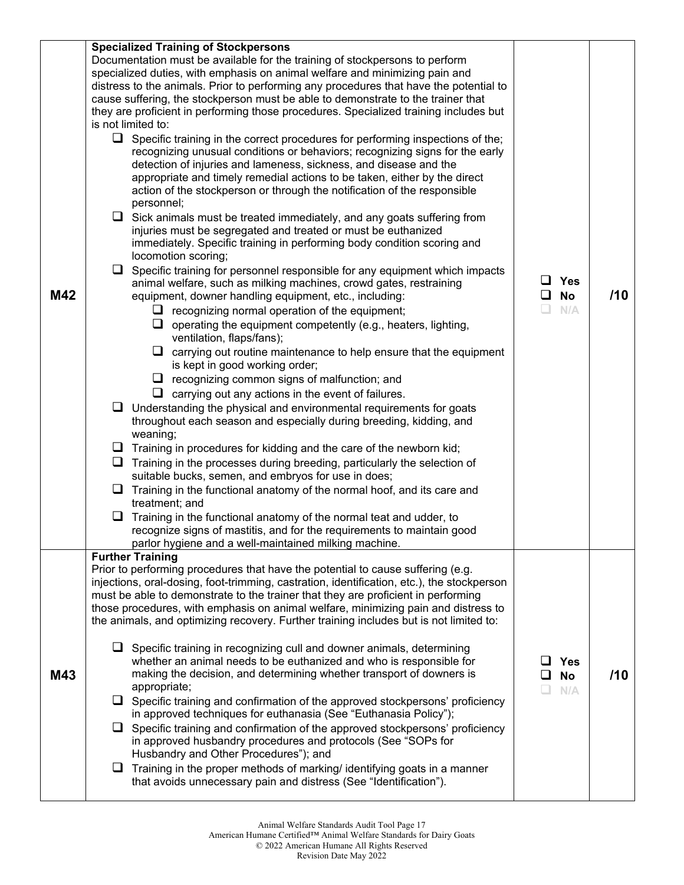| M42 | <b>Specialized Training of Stockpersons</b><br>Documentation must be available for the training of stockpersons to perform<br>specialized duties, with emphasis on animal welfare and minimizing pain and<br>distress to the animals. Prior to performing any procedures that have the potential to<br>cause suffering, the stockperson must be able to demonstrate to the trainer that<br>they are proficient in performing those procedures. Specialized training includes but<br>is not limited to:<br>$\Box$ Specific training in the correct procedures for performing inspections of the;<br>recognizing unusual conditions or behaviors; recognizing signs for the early<br>detection of injuries and lameness, sickness, and disease and the<br>appropriate and timely remedial actions to be taken, either by the direct<br>action of the stockperson or through the notification of the responsible<br>personnel;<br>$\Box$ Sick animals must be treated immediately, and any goats suffering from<br>injuries must be segregated and treated or must be euthanized<br>immediately. Specific training in performing body condition scoring and<br>locomotion scoring;<br>$\Box$ Specific training for personnel responsible for any equipment which impacts<br>animal welfare, such as milking machines, crowd gates, restraining<br>equipment, downer handling equipment, etc., including:<br>$\Box$ recognizing normal operation of the equipment;<br>$\Box$ operating the equipment competently (e.g., heaters, lighting,<br>ventilation, flaps/fans);<br>$\Box$ carrying out routine maintenance to help ensure that the equipment<br>is kept in good working order;<br>$\Box$ recognizing common signs of malfunction; and<br>$\Box$ carrying out any actions in the event of failures.<br>$\Box$ Understanding the physical and environmental requirements for goats<br>throughout each season and especially during breeding, kidding, and<br>weaning;<br>$\Box$ Training in procedures for kidding and the care of the newborn kid;<br>$\Box$ Training in the processes during breeding, particularly the selection of<br>suitable bucks, semen, and embryos for use in does;<br>$\Box$ Training in the functional anatomy of the normal hoof, and its care and<br>treatment; and<br>Q.<br>Training in the functional anatomy of the normal teat and udder, to | $\Box$ Yes<br>$\Box$ No<br>$\Box$<br>N/A | /10 |
|-----|----------------------------------------------------------------------------------------------------------------------------------------------------------------------------------------------------------------------------------------------------------------------------------------------------------------------------------------------------------------------------------------------------------------------------------------------------------------------------------------------------------------------------------------------------------------------------------------------------------------------------------------------------------------------------------------------------------------------------------------------------------------------------------------------------------------------------------------------------------------------------------------------------------------------------------------------------------------------------------------------------------------------------------------------------------------------------------------------------------------------------------------------------------------------------------------------------------------------------------------------------------------------------------------------------------------------------------------------------------------------------------------------------------------------------------------------------------------------------------------------------------------------------------------------------------------------------------------------------------------------------------------------------------------------------------------------------------------------------------------------------------------------------------------------------------------------------------------------------------------------------------------------------------------------------------------------------------------------------------------------------------------------------------------------------------------------------------------------------------------------------------------------------------------------------------------------------------------------------------------------------------------------------------------------------------------------------------------------------------------------------------|------------------------------------------|-----|
|     | recognize signs of mastitis, and for the requirements to maintain good<br>parlor hygiene and a well-maintained milking machine.                                                                                                                                                                                                                                                                                                                                                                                                                                                                                                                                                                                                                                                                                                                                                                                                                                                                                                                                                                                                                                                                                                                                                                                                                                                                                                                                                                                                                                                                                                                                                                                                                                                                                                                                                                                                                                                                                                                                                                                                                                                                                                                                                                                                                                                  |                                          |     |
| M43 | <b>Further Training</b><br>Prior to performing procedures that have the potential to cause suffering (e.g.<br>injections, oral-dosing, foot-trimming, castration, identification, etc.), the stockperson<br>must be able to demonstrate to the trainer that they are proficient in performing<br>those procedures, with emphasis on animal welfare, minimizing pain and distress to<br>the animals, and optimizing recovery. Further training includes but is not limited to:<br>$\Box$ Specific training in recognizing cull and downer animals, determining<br>whether an animal needs to be euthanized and who is responsible for<br>making the decision, and determining whether transport of downers is<br>appropriate;<br>$\Box$ Specific training and confirmation of the approved stockpersons' proficiency<br>in approved techniques for euthanasia (See "Euthanasia Policy");<br>$\Box$ Specific training and confirmation of the approved stockpersons' proficiency<br>in approved husbandry procedures and protocols (See "SOPs for<br>Husbandry and Other Procedures"); and<br>$\Box$ Training in the proper methods of marking/ identifying goats in a manner<br>that avoids unnecessary pain and distress (See "Identification").                                                                                                                                                                                                                                                                                                                                                                                                                                                                                                                                                                                                                                                                                                                                                                                                                                                                                                                                                                                                                                                                                                                                 | <b>Yes</b><br><b>No</b><br>N/A           | /10 |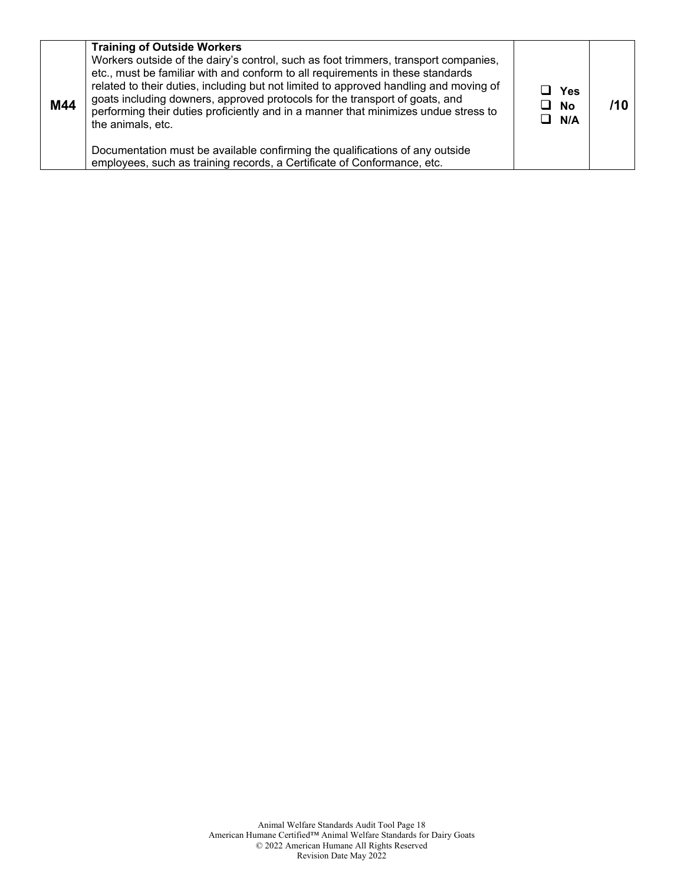| M44 | <b>Training of Outside Workers</b><br>Workers outside of the dairy's control, such as foot trimmers, transport companies,<br>etc., must be familiar with and conform to all requirements in these standards<br>related to their duties, including but not limited to approved handling and moving of<br>goats including downers, approved protocols for the transport of goats, and<br>performing their duties proficiently and in a manner that minimizes undue stress to<br>the animals, etc. | ⊔ Yes<br>$\Box$ No<br>$\Box$ N/A |  |
|-----|-------------------------------------------------------------------------------------------------------------------------------------------------------------------------------------------------------------------------------------------------------------------------------------------------------------------------------------------------------------------------------------------------------------------------------------------------------------------------------------------------|----------------------------------|--|
|     | Documentation must be available confirming the qualifications of any outside<br>employees, such as training records, a Certificate of Conformance, etc.                                                                                                                                                                                                                                                                                                                                         |                                  |  |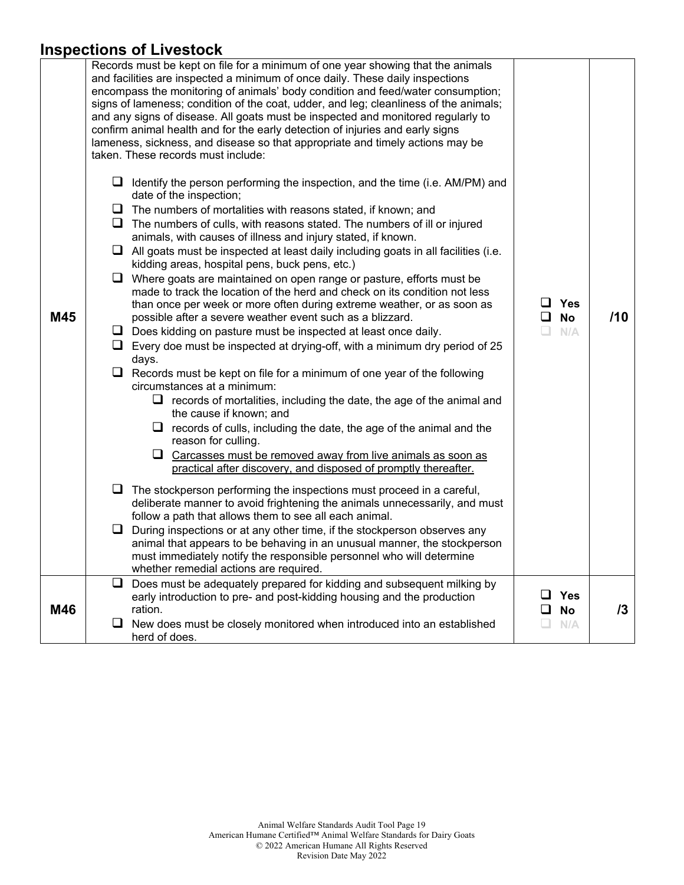#### **Inspections of Livestock**

|     |    | וואפטונטווא טו בוועפאנטע                                                                                                                                                                                                                                                                                                                                                                                                                                                                                                                                                                                                                                                                                                 |   |                           |     |
|-----|----|--------------------------------------------------------------------------------------------------------------------------------------------------------------------------------------------------------------------------------------------------------------------------------------------------------------------------------------------------------------------------------------------------------------------------------------------------------------------------------------------------------------------------------------------------------------------------------------------------------------------------------------------------------------------------------------------------------------------------|---|---------------------------|-----|
|     | ⊔  | Records must be kept on file for a minimum of one year showing that the animals<br>and facilities are inspected a minimum of once daily. These daily inspections<br>encompass the monitoring of animals' body condition and feed/water consumption;<br>signs of lameness; condition of the coat, udder, and leg; cleanliness of the animals;<br>and any signs of disease. All goats must be inspected and monitored regularly to<br>confirm animal health and for the early detection of injuries and early signs<br>lameness, sickness, and disease so that appropriate and timely actions may be<br>taken. These records must include:<br>Identify the person performing the inspection, and the time (i.e. AM/PM) and |   |                           |     |
|     |    | date of the inspection;                                                                                                                                                                                                                                                                                                                                                                                                                                                                                                                                                                                                                                                                                                  |   |                           |     |
|     | ⊔  | The numbers of mortalities with reasons stated, if known; and                                                                                                                                                                                                                                                                                                                                                                                                                                                                                                                                                                                                                                                            |   |                           |     |
|     | u  | The numbers of culls, with reasons stated. The numbers of ill or injured<br>animals, with causes of illness and injury stated, if known.                                                                                                                                                                                                                                                                                                                                                                                                                                                                                                                                                                                 |   |                           |     |
|     | u. | All goats must be inspected at least daily including goats in all facilities (i.e.<br>kidding areas, hospital pens, buck pens, etc.)                                                                                                                                                                                                                                                                                                                                                                                                                                                                                                                                                                                     |   |                           |     |
| M45 | ⊔  | Where goats are maintained on open range or pasture, efforts must be<br>made to track the location of the herd and check on its condition not less<br>than once per week or more often during extreme weather, or as soon as<br>possible after a severe weather event such as a blizzard.                                                                                                                                                                                                                                                                                                                                                                                                                                | ப | $\sqcup$ Yes<br><b>No</b> | /10 |
|     | ⊔  | Does kidding on pasture must be inspected at least once daily.                                                                                                                                                                                                                                                                                                                                                                                                                                                                                                                                                                                                                                                           |   | N/A                       |     |
|     | ⊔  | Every doe must be inspected at drying-off, with a minimum dry period of 25<br>days.                                                                                                                                                                                                                                                                                                                                                                                                                                                                                                                                                                                                                                      |   |                           |     |
|     |    | $\Box$ Records must be kept on file for a minimum of one year of the following<br>circumstances at a minimum:<br>$\Box$ records of mortalities, including the date, the age of the animal and                                                                                                                                                                                                                                                                                                                                                                                                                                                                                                                            |   |                           |     |
|     |    | the cause if known; and                                                                                                                                                                                                                                                                                                                                                                                                                                                                                                                                                                                                                                                                                                  |   |                           |     |
|     |    | $\Box$ records of culls, including the date, the age of the animal and the<br>reason for culling.                                                                                                                                                                                                                                                                                                                                                                                                                                                                                                                                                                                                                        |   |                           |     |
|     |    | $\Box$ Carcasses must be removed away from live animals as soon as<br>practical after discovery, and disposed of promptly thereafter.                                                                                                                                                                                                                                                                                                                                                                                                                                                                                                                                                                                    |   |                           |     |
|     | ⊔  | The stockperson performing the inspections must proceed in a careful,<br>deliberate manner to avoid frightening the animals unnecessarily, and must<br>follow a path that allows them to see all each animal.                                                                                                                                                                                                                                                                                                                                                                                                                                                                                                            |   |                           |     |
|     | ப  | During inspections or at any other time, if the stockperson observes any<br>animal that appears to be behaving in an unusual manner, the stockperson<br>must immediately notify the responsible personnel who will determine<br>whether remedial actions are required.                                                                                                                                                                                                                                                                                                                                                                                                                                                   |   |                           |     |
|     | ⊔  | Does must be adequately prepared for kidding and subsequent milking by                                                                                                                                                                                                                                                                                                                                                                                                                                                                                                                                                                                                                                                   |   |                           |     |
| M46 |    | early introduction to pre- and post-kidding housing and the production<br>ration.                                                                                                                                                                                                                                                                                                                                                                                                                                                                                                                                                                                                                                        |   | <b>Yes</b><br><b>No</b>   | /3  |
|     | ⊔  | New does must be closely monitored when introduced into an established<br>herd of does.                                                                                                                                                                                                                                                                                                                                                                                                                                                                                                                                                                                                                                  |   | N/A                       |     |
|     |    |                                                                                                                                                                                                                                                                                                                                                                                                                                                                                                                                                                                                                                                                                                                          |   |                           |     |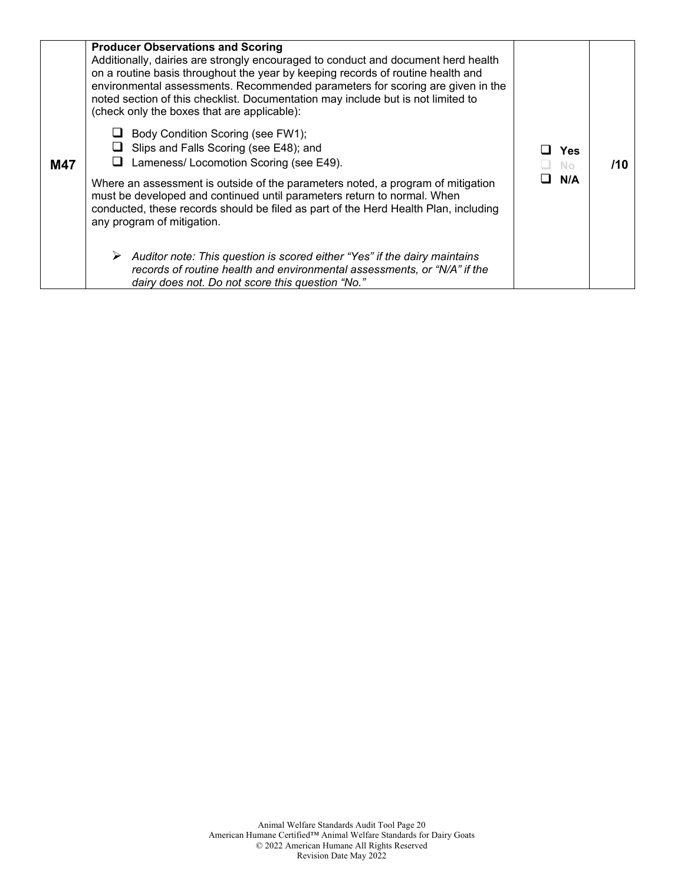| M47 | <b>Producer Observations and Scoring</b><br>Additionally, dairies are strongly encouraged to conduct and document herd health<br>on a routine basis throughout the year by keeping records of routine health and<br>environmental assessments. Recommended parameters for scoring are given in the<br>noted section of this checklist. Documentation may include but is not limited to<br>(check only the boxes that are applicable):<br>Body Condition Scoring (see FW1);<br>Slips and Falls Scoring (see E48); and<br>Lameness/ Locomotion Scoring (see E49).<br>Where an assessment is outside of the parameters noted, a program of mitigation<br>must be developed and continued until parameters return to normal. When<br>conducted, these records should be filed as part of the Herd Health Plan, including<br>any program of mitigation.<br>Auditor note: This question is scored either "Yes" if the dairy maintains<br>records of routine health and environmental assessments, or "N/A" if the<br>dairy does not. Do not score this question "No." | Yes<br>Nο<br>N/A | /10 |
|-----|-----------------------------------------------------------------------------------------------------------------------------------------------------------------------------------------------------------------------------------------------------------------------------------------------------------------------------------------------------------------------------------------------------------------------------------------------------------------------------------------------------------------------------------------------------------------------------------------------------------------------------------------------------------------------------------------------------------------------------------------------------------------------------------------------------------------------------------------------------------------------------------------------------------------------------------------------------------------------------------------------------------------------------------------------------------------|------------------|-----|
|-----|-----------------------------------------------------------------------------------------------------------------------------------------------------------------------------------------------------------------------------------------------------------------------------------------------------------------------------------------------------------------------------------------------------------------------------------------------------------------------------------------------------------------------------------------------------------------------------------------------------------------------------------------------------------------------------------------------------------------------------------------------------------------------------------------------------------------------------------------------------------------------------------------------------------------------------------------------------------------------------------------------------------------------------------------------------------------|------------------|-----|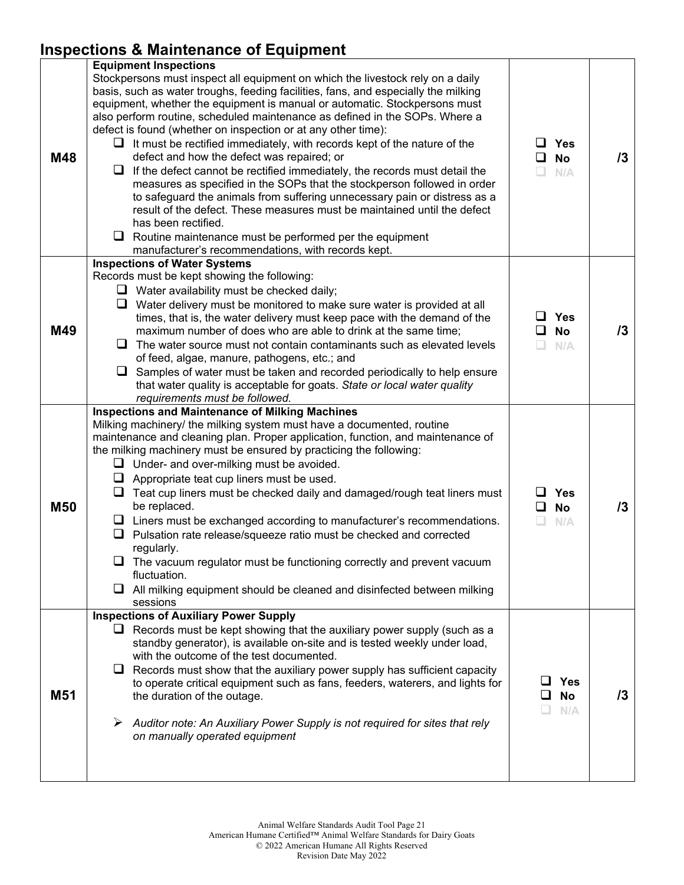### **Inspections & Maintenance of Equipment**

| M48             | <b>Equipment Inspections</b><br>Stockpersons must inspect all equipment on which the livestock rely on a daily<br>basis, such as water troughs, feeding facilities, fans, and especially the milking<br>equipment, whether the equipment is manual or automatic. Stockpersons must<br>also perform routine, scheduled maintenance as defined in the SOPs. Where a<br>defect is found (whether on inspection or at any other time):<br>$\Box$ It must be rectified immediately, with records kept of the nature of the<br>defect and how the defect was repaired; or<br>If the defect cannot be rectified immediately, the records must detail the<br>u.<br>measures as specified in the SOPs that the stockperson followed in order<br>to safeguard the animals from suffering unnecessary pain or distress as a<br>result of the defect. These measures must be maintained until the defect<br>has been rectified.<br>$\Box$ Routine maintenance must be performed per the equipment<br>manufacturer's recommendations, with records kept. | <b>Yes</b><br><b>No</b><br>ப<br>n<br>N/A      | 13 |
|-----------------|---------------------------------------------------------------------------------------------------------------------------------------------------------------------------------------------------------------------------------------------------------------------------------------------------------------------------------------------------------------------------------------------------------------------------------------------------------------------------------------------------------------------------------------------------------------------------------------------------------------------------------------------------------------------------------------------------------------------------------------------------------------------------------------------------------------------------------------------------------------------------------------------------------------------------------------------------------------------------------------------------------------------------------------------|-----------------------------------------------|----|
| M49             | <b>Inspections of Water Systems</b><br>Records must be kept showing the following:<br>$\Box$ Water availability must be checked daily;<br>Water delivery must be monitored to make sure water is provided at all<br>times, that is, the water delivery must keep pace with the demand of the<br>maximum number of does who are able to drink at the same time;<br>$\Box$ The water source must not contain contaminants such as elevated levels<br>of feed, algae, manure, pathogens, etc.; and<br>$\Box$<br>Samples of water must be taken and recorded periodically to help ensure<br>that water quality is acceptable for goats. State or local water quality<br>requirements must be followed.                                                                                                                                                                                                                                                                                                                                          | Yes<br>ப<br><b>No</b><br>$\Box$<br>N/A        | /3 |
| <b>M50</b>      | <b>Inspections and Maintenance of Milking Machines</b><br>Milking machinery/ the milking system must have a documented, routine<br>maintenance and cleaning plan. Proper application, function, and maintenance of<br>the milking machinery must be ensured by practicing the following:<br>$\Box$ Under- and over-milking must be avoided.<br>$\Box$ Appropriate teat cup liners must be used.<br>Teat cup liners must be checked daily and damaged/rough teat liners must<br>⊔<br>be replaced.<br>$\Box$ Liners must be exchanged according to manufacturer's recommendations.<br>Pulsation rate release/squeeze ratio must be checked and corrected<br>ப<br>regularly.<br>The vacuum regulator must be functioning correctly and prevent vacuum<br>fluctuation.<br>All milking equipment should be cleaned and disinfected between milking<br>u.<br>sessions                                                                                                                                                                             | <b>Yes</b><br><b>No</b><br>ப<br>$\Box$<br>N/A | /3 |
| M <sub>51</sub> | <b>Inspections of Auxiliary Power Supply</b><br>$\Box$ Records must be kept showing that the auxiliary power supply (such as a<br>standby generator), is available on-site and is tested weekly under load,<br>with the outcome of the test documented.<br>$\Box$ Records must show that the auxiliary power supply has sufficient capacity<br>to operate critical equipment such as fans, feeders, waterers, and lights for<br>the duration of the outage.<br>➤<br>Auditor note: An Auxiliary Power Supply is not required for sites that rely<br>on manually operated equipment                                                                                                                                                                                                                                                                                                                                                                                                                                                           | Yes<br><b>No</b><br>ப<br>N/A                  | 13 |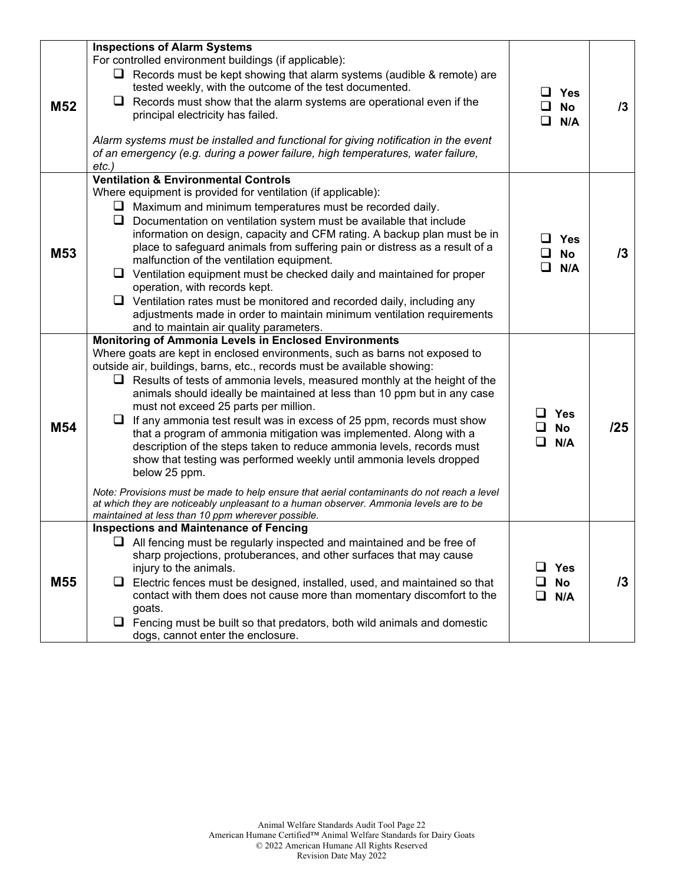|                 | <b>Inspections of Alarm Systems</b>                                                                                                                                                                                                                                                                                                                                                                                                                                                                                                                                                                                                                                                                                                                                                                                                                                                                                                                                                       |             |                                   |            |
|-----------------|-------------------------------------------------------------------------------------------------------------------------------------------------------------------------------------------------------------------------------------------------------------------------------------------------------------------------------------------------------------------------------------------------------------------------------------------------------------------------------------------------------------------------------------------------------------------------------------------------------------------------------------------------------------------------------------------------------------------------------------------------------------------------------------------------------------------------------------------------------------------------------------------------------------------------------------------------------------------------------------------|-------------|-----------------------------------|------------|
| M52             | For controlled environment buildings (if applicable):<br>$\Box$ Records must be kept showing that alarm systems (audible & remote) are<br>tested weekly, with the outcome of the test documented.<br>Records must show that the alarm systems are operational even if the<br>u<br>principal electricity has failed.<br>Alarm systems must be installed and functional for giving notification in the event<br>of an emergency (e.g. during a power failure, high temperatures, water failure,<br>etc.)                                                                                                                                                                                                                                                                                                                                                                                                                                                                                    | $\Box$      | $\Box$ Yes<br>$\square$ No<br>N/A | 13         |
| M <sub>53</sub> | <b>Ventilation &amp; Environmental Controls</b><br>Where equipment is provided for ventilation (if applicable):<br>Maximum and minimum temperatures must be recorded daily.<br>u<br>Q.<br>Documentation on ventilation system must be available that include<br>information on design, capacity and CFM rating. A backup plan must be in<br>place to safeguard animals from suffering pain or distress as a result of a<br>malfunction of the ventilation equipment.<br>⊔<br>Ventilation equipment must be checked daily and maintained for proper<br>operation, with records kept.<br>$\Box$ Ventilation rates must be monitored and recorded daily, including any<br>adjustments made in order to maintain minimum ventilation requirements<br>and to maintain air quality parameters.                                                                                                                                                                                                  | ◻           | $\square$ Yes<br>$\Box$ No<br>N/A | /3         |
| M54             | Monitoring of Ammonia Levels in Enclosed Environments<br>Where goats are kept in enclosed environments, such as barns not exposed to<br>outside air, buildings, barns, etc., records must be available showing:<br>$\Box$ Results of tests of ammonia levels, measured monthly at the height of the<br>animals should ideally be maintained at less than 10 ppm but in any case<br>must not exceed 25 parts per million.<br>⊔<br>If any ammonia test result was in excess of 25 ppm, records must show<br>that a program of ammonia mitigation was implemented. Along with a<br>description of the steps taken to reduce ammonia levels, records must<br>show that testing was performed weekly until ammonia levels dropped<br>below 25 ppm.<br>Note: Provisions must be made to help ensure that aerial contaminants do not reach a level<br>at which they are noticeably unpleasant to a human observer. Ammonia levels are to be<br>maintained at less than 10 ppm wherever possible. | □           | <b>Yes</b><br><b>No</b><br>N/A    | /25        |
| M <sub>55</sub> | <b>Inspections and Maintenance of Fencing</b><br>$\Box$ All fencing must be regularly inspected and maintained and be free of<br>sharp projections, protuberances, and other surfaces that may cause<br>injury to the animals.<br>Electric fences must be designed, installed, used, and maintained so that<br>u.<br>contact with them does not cause more than momentary discomfort to the<br>goats.<br>$\Box$ Fencing must be built so that predators, both wild animals and domestic<br>dogs, cannot enter the enclosure.                                                                                                                                                                                                                                                                                                                                                                                                                                                              | ப<br>$\Box$ | <b>Yes</b><br><b>No</b><br>N/A    | $\sqrt{3}$ |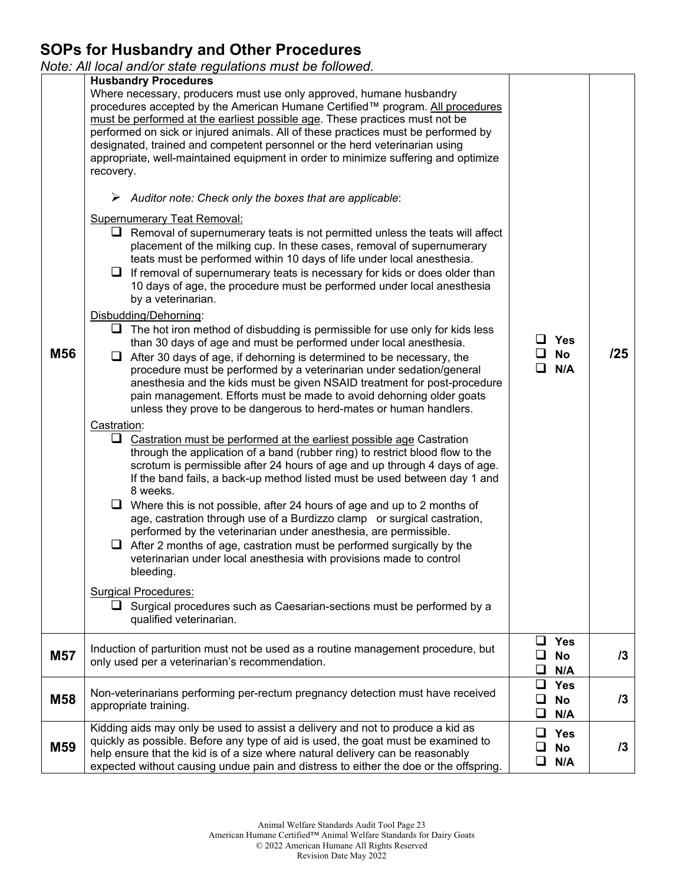### **SOPs for Husbandry and Other Procedures**

*Note: All local and/or state regulations must be followed.* 

|     | ivote. All local and/or state regulations must be followed.                                                                                                                                                                                                                                                                                                                                                                                                                                                                                                                                                                                                                                                                                                                                                                                                                                                                                                                                                                                                                                                                                                                                                                                                                                                                                                                                                                                                                                                                                                                                                                                                                                                                                                                                                                                                                                                                                                                                                                                                                                                                                                                                                                                                                                                                                                                                                                                                                                                                                                           |                                               |     |
|-----|-----------------------------------------------------------------------------------------------------------------------------------------------------------------------------------------------------------------------------------------------------------------------------------------------------------------------------------------------------------------------------------------------------------------------------------------------------------------------------------------------------------------------------------------------------------------------------------------------------------------------------------------------------------------------------------------------------------------------------------------------------------------------------------------------------------------------------------------------------------------------------------------------------------------------------------------------------------------------------------------------------------------------------------------------------------------------------------------------------------------------------------------------------------------------------------------------------------------------------------------------------------------------------------------------------------------------------------------------------------------------------------------------------------------------------------------------------------------------------------------------------------------------------------------------------------------------------------------------------------------------------------------------------------------------------------------------------------------------------------------------------------------------------------------------------------------------------------------------------------------------------------------------------------------------------------------------------------------------------------------------------------------------------------------------------------------------------------------------------------------------------------------------------------------------------------------------------------------------------------------------------------------------------------------------------------------------------------------------------------------------------------------------------------------------------------------------------------------------------------------------------------------------------------------------------------------------|-----------------------------------------------|-----|
| M56 | <b>Husbandry Procedures</b><br>Where necessary, producers must use only approved, humane husbandry<br>procedures accepted by the American Humane Certified™ program. All procedures<br>must be performed at the earliest possible age. These practices must not be<br>performed on sick or injured animals. All of these practices must be performed by<br>designated, trained and competent personnel or the herd veterinarian using<br>appropriate, well-maintained equipment in order to minimize suffering and optimize<br>recovery.<br>$\triangleright$ Auditor note: Check only the boxes that are applicable:<br><b>Supernumerary Teat Removal:</b><br>$\Box$ Removal of supernumerary teats is not permitted unless the teats will affect<br>placement of the milking cup. In these cases, removal of supernumerary<br>teats must be performed within 10 days of life under local anesthesia.<br>$\Box$ If removal of supernumerary teats is necessary for kids or does older than<br>10 days of age, the procedure must be performed under local anesthesia<br>by a veterinarian.<br>Disbudding/Dehorning:<br>$\Box$ The hot iron method of disbudding is permissible for use only for kids less<br>than 30 days of age and must be performed under local anesthesia.<br>$\Box$ After 30 days of age, if dehorning is determined to be necessary, the<br>procedure must be performed by a veterinarian under sedation/general<br>anesthesia and the kids must be given NSAID treatment for post-procedure<br>pain management. Efforts must be made to avoid dehorning older goats<br>unless they prove to be dangerous to herd-mates or human handlers.<br>Castration:<br>$\Box$ Castration must be performed at the earliest possible age Castration<br>through the application of a band (rubber ring) to restrict blood flow to the<br>scrotum is permissible after 24 hours of age and up through 4 days of age.<br>If the band fails, a back-up method listed must be used between day 1 and<br>8 weeks.<br>$\Box$ Where this is not possible, after 24 hours of age and up to 2 months of<br>age, castration through use of a Burdizzo clamp or surgical castration,<br>performed by the veterinarian under anesthesia, are permissible.<br>$\Box$ After 2 months of age, castration must be performed surgically by the<br>veterinarian under local anesthesia with provisions made to control<br>bleeding.<br><b>Surgical Procedures:</b><br>$\Box$ Surgical procedures such as Caesarian-sections must be performed by a<br>qualified veterinarian. | $\Box$ Yes<br>$\square$ No<br>$\Box$ N/A      | /25 |
| M57 | Induction of parturition must not be used as a routine management procedure, but<br>only used per a veterinarian's recommendation.                                                                                                                                                                                                                                                                                                                                                                                                                                                                                                                                                                                                                                                                                                                                                                                                                                                                                                                                                                                                                                                                                                                                                                                                                                                                                                                                                                                                                                                                                                                                                                                                                                                                                                                                                                                                                                                                                                                                                                                                                                                                                                                                                                                                                                                                                                                                                                                                                                    | $\Box$ Yes<br>❏<br><b>No</b><br>N/A<br>❏      | 13  |
| M58 | Non-veterinarians performing per-rectum pregnancy detection must have received<br>appropriate training.                                                                                                                                                                                                                                                                                                                                                                                                                                                                                                                                                                                                                                                                                                                                                                                                                                                                                                                                                                                                                                                                                                                                                                                                                                                                                                                                                                                                                                                                                                                                                                                                                                                                                                                                                                                                                                                                                                                                                                                                                                                                                                                                                                                                                                                                                                                                                                                                                                                               | ❏<br><b>Yes</b><br>❏<br><b>No</b><br>ப<br>N/A | 13  |
| M59 | Kidding aids may only be used to assist a delivery and not to produce a kid as<br>quickly as possible. Before any type of aid is used, the goat must be examined to<br>help ensure that the kid is of a size where natural delivery can be reasonably<br>expected without causing undue pain and distress to either the doe or the offspring.                                                                                                                                                                                                                                                                                                                                                                                                                                                                                                                                                                                                                                                                                                                                                                                                                                                                                                                                                                                                                                                                                                                                                                                                                                                                                                                                                                                                                                                                                                                                                                                                                                                                                                                                                                                                                                                                                                                                                                                                                                                                                                                                                                                                                         | <b>Yes</b><br>ப<br><b>No</b><br>N/A<br>⊔      | 13  |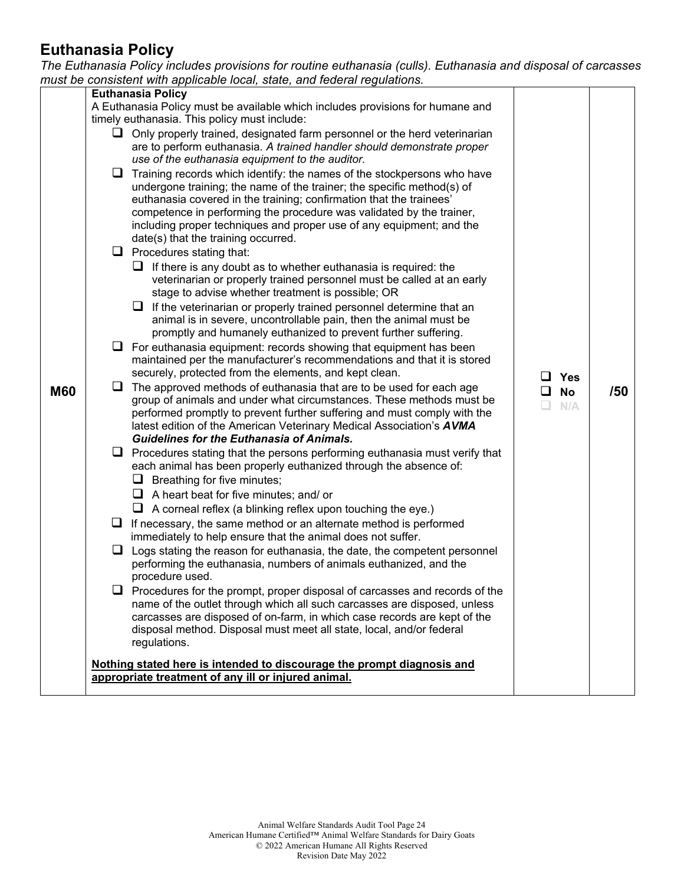#### **Euthanasia Policy**

*The Euthanasia Policy includes provisions for routine euthanasia (culls). Euthanasia and disposal of carcasses* 

|            | must be consistent with applicable local, state, and federal regulations.                                                                                     |                 |     |
|------------|---------------------------------------------------------------------------------------------------------------------------------------------------------------|-----------------|-----|
|            | <b>Euthanasia Policy</b>                                                                                                                                      |                 |     |
|            | A Euthanasia Policy must be available which includes provisions for humane and                                                                                |                 |     |
|            | timely euthanasia. This policy must include:                                                                                                                  |                 |     |
|            | $\Box$ Only properly trained, designated farm personnel or the herd veterinarian                                                                              |                 |     |
|            | are to perform euthanasia. A trained handler should demonstrate proper                                                                                        |                 |     |
|            | use of the euthanasia equipment to the auditor.                                                                                                               |                 |     |
|            | $\Box$ Training records which identify: the names of the stockpersons who have                                                                                |                 |     |
|            | undergone training; the name of the trainer; the specific method(s) of                                                                                        |                 |     |
|            | euthanasia covered in the training; confirmation that the trainees'                                                                                           |                 |     |
|            | competence in performing the procedure was validated by the trainer,                                                                                          |                 |     |
|            | including proper techniques and proper use of any equipment; and the                                                                                          |                 |     |
|            | date(s) that the training occurred.                                                                                                                           |                 |     |
|            | $\Box$ Procedures stating that:                                                                                                                               |                 |     |
|            | $\Box$ If there is any doubt as to whether euthanasia is required: the                                                                                        |                 |     |
|            | veterinarian or properly trained personnel must be called at an early                                                                                         |                 |     |
|            | stage to advise whether treatment is possible; OR                                                                                                             |                 |     |
|            | $\Box$ If the veterinarian or properly trained personnel determine that an                                                                                    |                 |     |
|            | animal is in severe, uncontrollable pain, then the animal must be                                                                                             |                 |     |
|            | promptly and humanely euthanized to prevent further suffering.                                                                                                |                 |     |
|            | $\Box$ For euthanasia equipment: records showing that equipment has been                                                                                      |                 |     |
|            | maintained per the manufacturer's recommendations and that it is stored                                                                                       |                 |     |
|            | securely, protected from the elements, and kept clean.                                                                                                        | $\Box$ Yes      |     |
| <b>M60</b> | $\Box$<br>The approved methods of euthanasia that are to be used for each age                                                                                 | <b>No</b><br>⊔. | /50 |
|            | group of animals and under what circumstances. These methods must be                                                                                          | N/A<br>L.       |     |
|            | performed promptly to prevent further suffering and must comply with the                                                                                      |                 |     |
|            | latest edition of the American Veterinary Medical Association's AVMA                                                                                          |                 |     |
|            | <b>Guidelines for the Euthanasia of Animals.</b>                                                                                                              |                 |     |
|            | $\Box$ Procedures stating that the persons performing euthanasia must verify that                                                                             |                 |     |
|            | each animal has been properly euthanized through the absence of:                                                                                              |                 |     |
|            | $\Box$ Breathing for five minutes;                                                                                                                            |                 |     |
|            | $\Box$ A heart beat for five minutes; and/ or                                                                                                                 |                 |     |
|            | $\Box$ A corneal reflex (a blinking reflex upon touching the eye.)                                                                                            |                 |     |
|            | If necessary, the same method or an alternate method is performed<br>u.                                                                                       |                 |     |
|            | immediately to help ensure that the animal does not suffer.                                                                                                   |                 |     |
|            | $\Box$ Logs stating the reason for euthanasia, the date, the competent personnel                                                                              |                 |     |
|            | performing the euthanasia, numbers of animals euthanized, and the                                                                                             |                 |     |
|            | procedure used.                                                                                                                                               |                 |     |
|            | $\Box$ Procedures for the prompt, proper disposal of carcasses and records of the<br>name of the outlet through which all such carcasses are disposed, unless |                 |     |
|            | carcasses are disposed of on-farm, in which case records are kept of the                                                                                      |                 |     |
|            | disposal method. Disposal must meet all state, local, and/or federal                                                                                          |                 |     |
|            | regulations.                                                                                                                                                  |                 |     |
|            |                                                                                                                                                               |                 |     |
|            | Nothing stated here is intended to discourage the prompt diagnosis and                                                                                        |                 |     |
|            | appropriate treatment of any ill or injured animal.                                                                                                           |                 |     |
|            |                                                                                                                                                               |                 |     |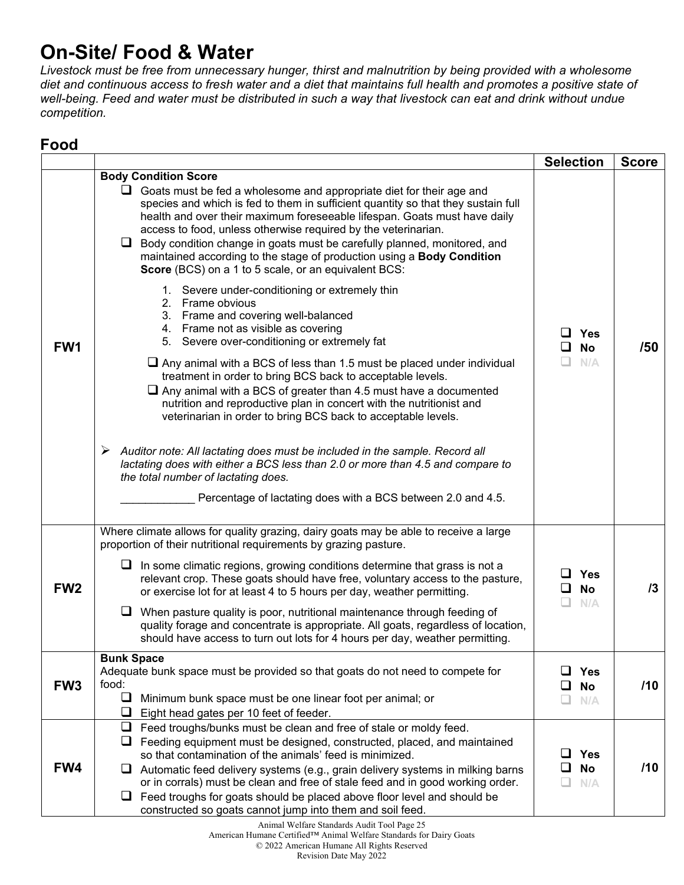# **On-Site/ Food & Water**

*Livestock must be free from unnecessary hunger, thirst and malnutrition by being provided with a wholesome diet and continuous access to fresh water and a diet that maintains full health and promotes a positive state of well-being. Feed and water must be distributed in such a way that livestock can eat and drink without undue competition.* 

#### **Food**

|                 |                                                                                                                                                                                                                                                                                                                                                                                                                                                                                                                                                                                                                      | <b>Selection</b>                                     | <b>Score</b> |
|-----------------|----------------------------------------------------------------------------------------------------------------------------------------------------------------------------------------------------------------------------------------------------------------------------------------------------------------------------------------------------------------------------------------------------------------------------------------------------------------------------------------------------------------------------------------------------------------------------------------------------------------------|------------------------------------------------------|--------------|
|                 | <b>Body Condition Score</b><br>$\Box$ Goats must be fed a wholesome and appropriate diet for their age and<br>species and which is fed to them in sufficient quantity so that they sustain full<br>health and over their maximum foreseeable lifespan. Goats must have daily<br>access to food, unless otherwise required by the veterinarian.<br>Q.<br>Body condition change in goats must be carefully planned, monitored, and<br>maintained according to the stage of production using a Body Condition<br>Score (BCS) on a 1 to 5 scale, or an equivalent BCS:<br>1. Severe under-conditioning or extremely thin |                                                      |              |
| FW <sub>1</sub> | 2. Frame obvious<br>3. Frame and covering well-balanced<br>4. Frame not as visible as covering<br>5. Severe over-conditioning or extremely fat                                                                                                                                                                                                                                                                                                                                                                                                                                                                       | Yes<br><b>No</b><br>N/A                              | /50          |
|                 | $\Box$ Any animal with a BCS of less than 1.5 must be placed under individual<br>treatment in order to bring BCS back to acceptable levels.<br>$\Box$ Any animal with a BCS of greater than 4.5 must have a documented<br>nutrition and reproductive plan in concert with the nutritionist and<br>veterinarian in order to bring BCS back to acceptable levels.                                                                                                                                                                                                                                                      |                                                      |              |
|                 | $\triangleright$ Auditor note: All lactating does must be included in the sample. Record all<br>lactating does with either a BCS less than 2.0 or more than 4.5 and compare to<br>the total number of lactating does.<br>Percentage of lactating does with a BCS between 2.0 and 4.5.                                                                                                                                                                                                                                                                                                                                |                                                      |              |
|                 | Where climate allows for quality grazing, dairy goats may be able to receive a large                                                                                                                                                                                                                                                                                                                                                                                                                                                                                                                                 |                                                      |              |
| FW <sub>2</sub> | proportion of their nutritional requirements by grazing pasture.<br>In some climatic regions, growing conditions determine that grass is not a<br>⊔.<br>relevant crop. These goats should have free, voluntary access to the pasture,<br>or exercise lot for at least 4 to 5 hours per day, weather permitting.                                                                                                                                                                                                                                                                                                      | Yes<br><b>No</b><br>ப<br>n.<br>N/A                   | 13           |
|                 | When pasture quality is poor, nutritional maintenance through feeding of<br>quality forage and concentrate is appropriate. All goats, regardless of location,<br>should have access to turn out lots for 4 hours per day, weather permitting.                                                                                                                                                                                                                                                                                                                                                                        |                                                      |              |
| FW <sub>3</sub> | <b>Bunk Space</b><br>Adequate bunk space must be provided so that goats do not need to compete for<br>food:<br>❏<br>Minimum bunk space must be one linear foot per animal; or<br>❏<br>Eight head gates per 10 feet of feeder.                                                                                                                                                                                                                                                                                                                                                                                        | <b>Yes</b><br>ப<br><b>No</b><br>$\Box$<br>N/A<br>LI. | /10          |
| FW4             | $\Box$<br>Feed troughs/bunks must be clean and free of stale or moldy feed.<br>Feeding equipment must be designed, constructed, placed, and maintained<br>⊔<br>so that contamination of the animals' feed is minimized.<br>Automatic feed delivery systems (e.g., grain delivery systems in milking barns<br>ப<br>or in corrals) must be clean and free of stale feed and in good working order.<br>Feed troughs for goats should be placed above floor level and should be<br>⊔<br>constructed so goats cannot jump into them and soil feed.                                                                        | ப<br><b>Yes</b><br><b>No</b><br>$\Box$<br>N/A        | /10          |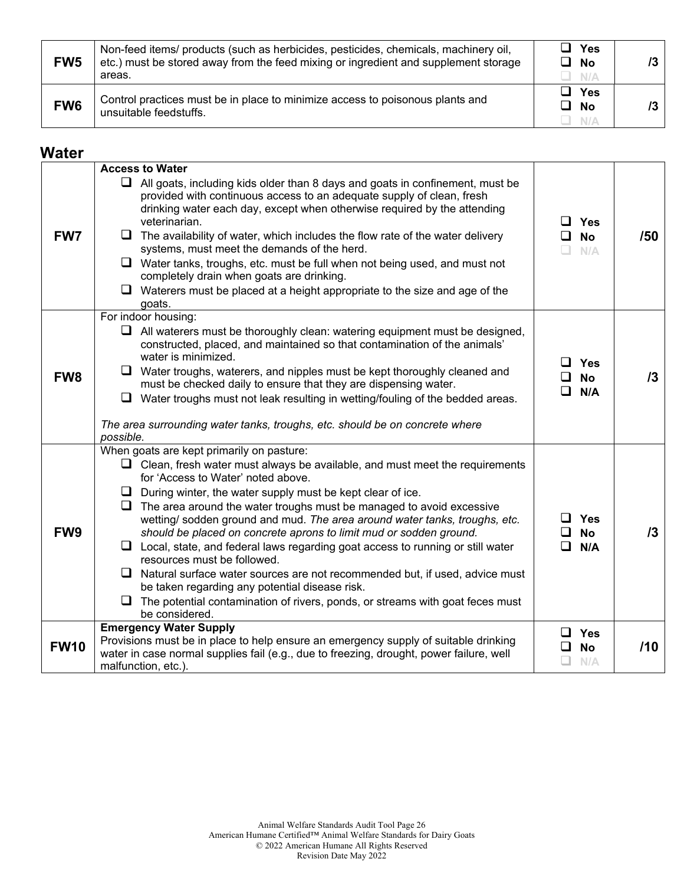| FW <sub>5</sub> | Non-feed items/ products (such as herbicides, pesticides, chemicals, machinery oil,<br>etc.) must be stored away from the feed mixing or ingredient and supplement storage<br>areas. | □ Yes<br>$\Box$ No<br>N/A    |  |
|-----------------|--------------------------------------------------------------------------------------------------------------------------------------------------------------------------------------|------------------------------|--|
| FW <sub>6</sub> | Control practices must be in place to minimize access to poisonous plants and<br>unsuitable feedstuffs.                                                                              | コ Yes<br>$\square$ No<br>N/A |  |

#### **Water**

|                 | <b>Access to Water</b>                                                                                                                                                                                                                                                                                                                                                                                                                                                                                                                                                                                                            |                                       |     |
|-----------------|-----------------------------------------------------------------------------------------------------------------------------------------------------------------------------------------------------------------------------------------------------------------------------------------------------------------------------------------------------------------------------------------------------------------------------------------------------------------------------------------------------------------------------------------------------------------------------------------------------------------------------------|---------------------------------------|-----|
| FW7             | $\Box$ All goats, including kids older than 8 days and goats in confinement, must be<br>provided with continuous access to an adequate supply of clean, fresh<br>drinking water each day, except when otherwise required by the attending<br>veterinarian.<br>$\Box$ The availability of water, which includes the flow rate of the water delivery<br>systems, must meet the demands of the herd.<br>$\Box$ Water tanks, troughs, etc. must be full when not being used, and must not<br>completely drain when goats are drinking.<br>$\Box$ Waterers must be placed at a height appropriate to the size and age of the<br>goats. | $\Box$ Yes<br>$\Box$ No<br>$\Box$ N/A | /50 |
|                 | For indoor housing:                                                                                                                                                                                                                                                                                                                                                                                                                                                                                                                                                                                                               |                                       |     |
|                 | $\Box$ All waterers must be thoroughly clean: watering equipment must be designed,<br>constructed, placed, and maintained so that contamination of the animals'<br>water is minimized.                                                                                                                                                                                                                                                                                                                                                                                                                                            | Yes                                   |     |
| FW <sub>8</sub> | $\Box$ Water troughs, waterers, and nipples must be kept thoroughly cleaned and<br>must be checked daily to ensure that they are dispensing water.                                                                                                                                                                                                                                                                                                                                                                                                                                                                                | <b>No</b><br>ப                        | /3  |
|                 | $\Box$ Water troughs must not leak resulting in wetting/fouling of the bedded areas.                                                                                                                                                                                                                                                                                                                                                                                                                                                                                                                                              | $\Box$<br>N/A                         |     |
|                 | The area surrounding water tanks, troughs, etc. should be on concrete where<br>possible.                                                                                                                                                                                                                                                                                                                                                                                                                                                                                                                                          |                                       |     |
|                 | When goats are kept primarily on pasture:                                                                                                                                                                                                                                                                                                                                                                                                                                                                                                                                                                                         |                                       |     |
|                 | $\Box$ Clean, fresh water must always be available, and must meet the requirements<br>for 'Access to Water' noted above.                                                                                                                                                                                                                                                                                                                                                                                                                                                                                                          |                                       |     |
|                 | $\Box$ During winter, the water supply must be kept clear of ice.                                                                                                                                                                                                                                                                                                                                                                                                                                                                                                                                                                 |                                       |     |
|                 | $\Box$ The area around the water troughs must be managed to avoid excessive<br>wetting/ sodden ground and mud. The area around water tanks, troughs, etc.                                                                                                                                                                                                                                                                                                                                                                                                                                                                         | $\Box$ Yes                            |     |
| FW <sub>9</sub> | should be placed on concrete aprons to limit mud or sodden ground.<br>$\Box$ Local, state, and federal laws regarding goat access to running or still water<br>resources must be followed.                                                                                                                                                                                                                                                                                                                                                                                                                                        | <b>No</b><br>ப<br>□<br>N/A            | 13  |
|                 | $\Box$ Natural surface water sources are not recommended but, if used, advice must<br>be taken regarding any potential disease risk.                                                                                                                                                                                                                                                                                                                                                                                                                                                                                              |                                       |     |
|                 | $\Box$ The potential contamination of rivers, ponds, or streams with goat feces must<br>be considered.                                                                                                                                                                                                                                                                                                                                                                                                                                                                                                                            |                                       |     |
|                 | <b>Emergency Water Supply</b>                                                                                                                                                                                                                                                                                                                                                                                                                                                                                                                                                                                                     | $\Box$ Yes                            |     |
| <b>FW10</b>     | Provisions must be in place to help ensure an emergency supply of suitable drinking                                                                                                                                                                                                                                                                                                                                                                                                                                                                                                                                               | $\Box$<br><b>No</b>                   | /10 |
|                 | water in case normal supplies fail (e.g., due to freezing, drought, power failure, well<br>malfunction, etc.).                                                                                                                                                                                                                                                                                                                                                                                                                                                                                                                    | $\Box$ n/a                            |     |
|                 |                                                                                                                                                                                                                                                                                                                                                                                                                                                                                                                                                                                                                                   |                                       |     |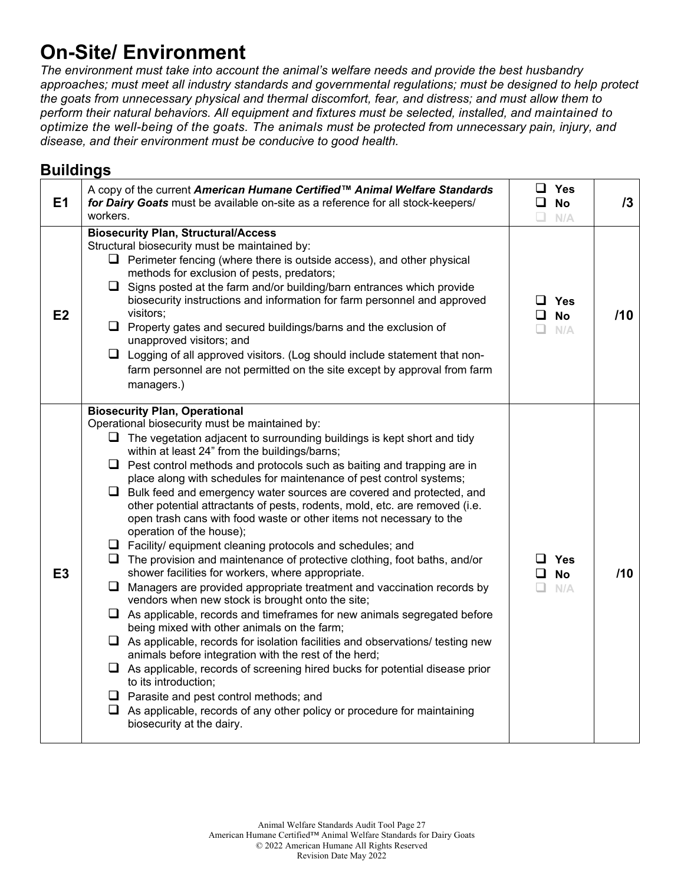# **On-Site/ Environment**

*The environment must take into account the animal's welfare needs and provide the best husbandry approaches; must meet all industry standards and governmental regulations; must be designed to help protect the goats from unnecessary physical and thermal discomfort, fear, and distress; and must allow them to perform their natural behaviors. All equipment and fixtures must be selected, installed, and maintained to optimize the well-being of the goats. The animals must be protected from unnecessary pain, injury, and disease, and their environment must be conducive to good health.*

#### **Buildings**

| E <sub>1</sub> | A copy of the current American Humane Certified™ Animal Welfare Standards<br>for Dairy Goats must be available on-site as a reference for all stock-keepers/<br>workers.                                                                                                                                                                                                                                                                                                                                                                                                                                                                                                                                                                                                                                                                                                                                                                                                                                                                                                                                                                                                                                                                                                                                                                                                                                                                                                                                                                                           | ப<br>n. | Yes<br>$\square$ No<br>N/A        | /3  |
|----------------|--------------------------------------------------------------------------------------------------------------------------------------------------------------------------------------------------------------------------------------------------------------------------------------------------------------------------------------------------------------------------------------------------------------------------------------------------------------------------------------------------------------------------------------------------------------------------------------------------------------------------------------------------------------------------------------------------------------------------------------------------------------------------------------------------------------------------------------------------------------------------------------------------------------------------------------------------------------------------------------------------------------------------------------------------------------------------------------------------------------------------------------------------------------------------------------------------------------------------------------------------------------------------------------------------------------------------------------------------------------------------------------------------------------------------------------------------------------------------------------------------------------------------------------------------------------------|---------|-----------------------------------|-----|
| E2             | <b>Biosecurity Plan, Structural/Access</b><br>Structural biosecurity must be maintained by:<br>$\Box$ Perimeter fencing (where there is outside access), and other physical<br>methods for exclusion of pests, predators;<br>$\Box$ Signs posted at the farm and/or building/barn entrances which provide<br>biosecurity instructions and information for farm personnel and approved<br>visitors;<br>$\Box$ Property gates and secured buildings/barns and the exclusion of<br>unapproved visitors; and<br>$\Box$ Logging of all approved visitors. (Log should include statement that non-<br>farm personnel are not permitted on the site except by approval from farm<br>managers.)                                                                                                                                                                                                                                                                                                                                                                                                                                                                                                                                                                                                                                                                                                                                                                                                                                                                            |         | ⊔ Yes<br>$\Box$ No<br>$\Box$ N/A  | /10 |
| E <sub>3</sub> | <b>Biosecurity Plan, Operational</b><br>Operational biosecurity must be maintained by:<br>$\Box$ The vegetation adjacent to surrounding buildings is kept short and tidy<br>within at least 24" from the buildings/barns;<br>$\Box$ Pest control methods and protocols such as baiting and trapping are in<br>place along with schedules for maintenance of pest control systems;<br>$\Box$ Bulk feed and emergency water sources are covered and protected, and<br>other potential attractants of pests, rodents, mold, etc. are removed (i.e.<br>open trash cans with food waste or other items not necessary to the<br>operation of the house);<br>$\Box$ Facility/ equipment cleaning protocols and schedules; and<br>$\Box$ The provision and maintenance of protective clothing, foot baths, and/or<br>shower facilities for workers, where appropriate.<br>Managers are provided appropriate treatment and vaccination records by<br>u.<br>vendors when new stock is brought onto the site;<br>$\Box$ As applicable, records and timeframes for new animals segregated before<br>being mixed with other animals on the farm;<br>$\Box$ As applicable, records for isolation facilities and observations/ testing new<br>animals before integration with the rest of the herd;<br>$\Box$ As applicable, records of screening hired bucks for potential disease prior<br>to its introduction;<br>$\Box$ Parasite and pest control methods; and<br>$\Box$ As applicable, records of any other policy or procedure for maintaining<br>biosecurity at the dairy. | ப       | $\square$ Yes<br><b>No</b><br>N/A | /10 |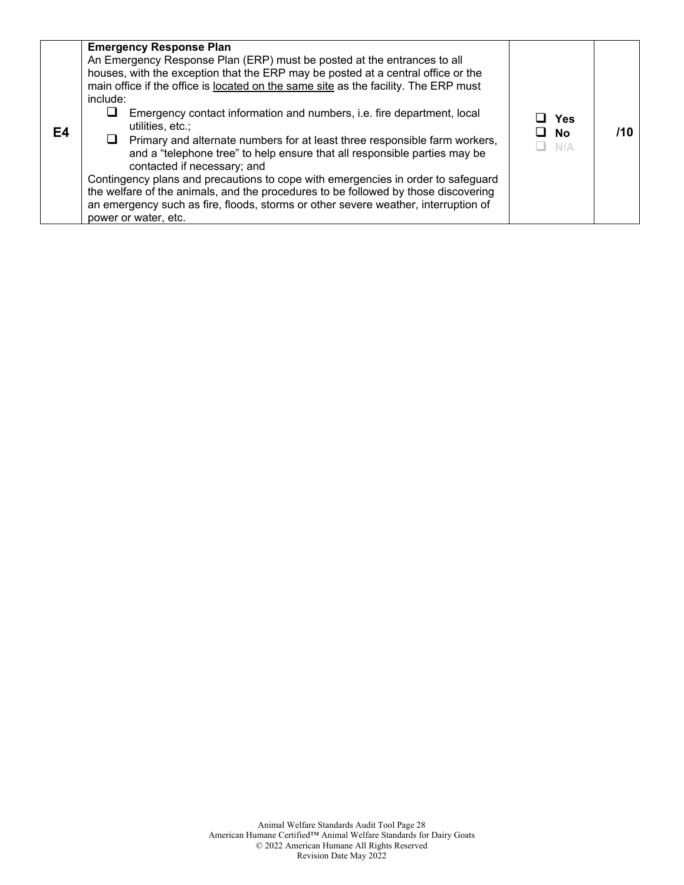| E4 | <b>Emergency Response Plan</b><br>An Emergency Response Plan (ERP) must be posted at the entrances to all<br>houses, with the exception that the ERP may be posted at a central office or the<br>main office if the office is located on the same site as the facility. The ERP must<br>include:<br>Emergency contact information and numbers, i.e. fire department, local<br>⊔<br>utilities, etc.;<br>$\Box$ Primary and alternate numbers for at least three responsible farm workers,<br>and a "telephone tree" to help ensure that all responsible parties may be<br>contacted if necessary; and<br>Contingency plans and precautions to cope with emergencies in order to safeguard<br>the welfare of the animals, and the procedures to be followed by those discovering<br>an emergency such as fire, floods, storms or other severe weather, interruption of<br>power or water, etc. | Yes<br>No<br>N/A | /10 |
|----|----------------------------------------------------------------------------------------------------------------------------------------------------------------------------------------------------------------------------------------------------------------------------------------------------------------------------------------------------------------------------------------------------------------------------------------------------------------------------------------------------------------------------------------------------------------------------------------------------------------------------------------------------------------------------------------------------------------------------------------------------------------------------------------------------------------------------------------------------------------------------------------------|------------------|-----|
|----|----------------------------------------------------------------------------------------------------------------------------------------------------------------------------------------------------------------------------------------------------------------------------------------------------------------------------------------------------------------------------------------------------------------------------------------------------------------------------------------------------------------------------------------------------------------------------------------------------------------------------------------------------------------------------------------------------------------------------------------------------------------------------------------------------------------------------------------------------------------------------------------------|------------------|-----|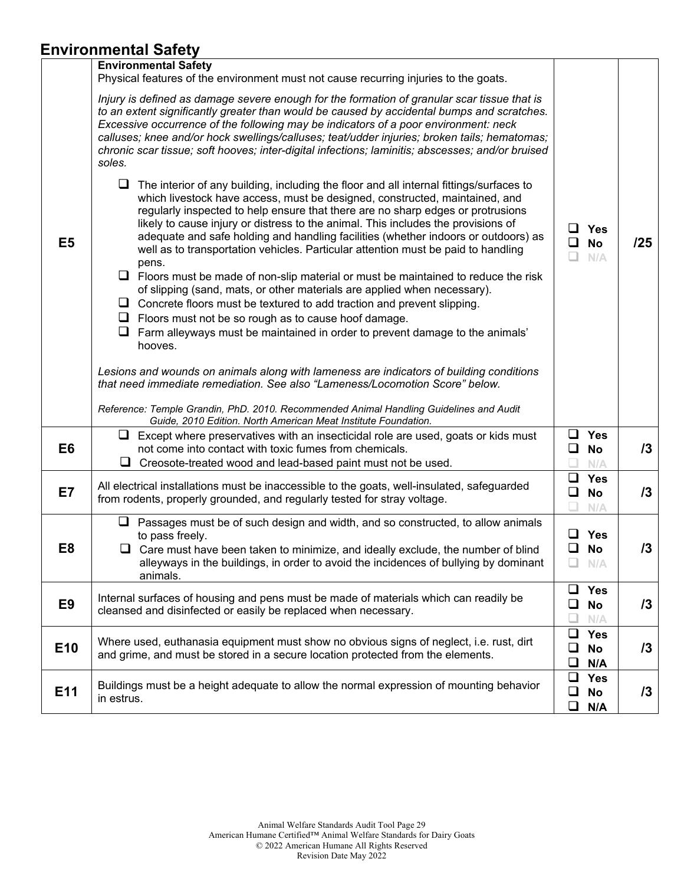### **Environmental Safety**

|                 | ,                                                                                                                                                                                                                                                                                                                                                                                                                                                                                                                                                                                                                                                                                                                                                                                                                                                                                                                                                                 |                  |                                   |            |
|-----------------|-------------------------------------------------------------------------------------------------------------------------------------------------------------------------------------------------------------------------------------------------------------------------------------------------------------------------------------------------------------------------------------------------------------------------------------------------------------------------------------------------------------------------------------------------------------------------------------------------------------------------------------------------------------------------------------------------------------------------------------------------------------------------------------------------------------------------------------------------------------------------------------------------------------------------------------------------------------------|------------------|-----------------------------------|------------|
|                 | <b>Environmental Safety</b><br>Physical features of the environment must not cause recurring injuries to the goats.                                                                                                                                                                                                                                                                                                                                                                                                                                                                                                                                                                                                                                                                                                                                                                                                                                               |                  |                                   |            |
|                 | Injury is defined as damage severe enough for the formation of granular scar tissue that is<br>to an extent significantly greater than would be caused by accidental bumps and scratches.<br>Excessive occurrence of the following may be indicators of a poor environment: neck<br>calluses; knee and/or hock swellings/calluses; teat/udder injuries; broken tails; hematomas;<br>chronic scar tissue; soft hooves; inter-digital infections; laminitis; abscesses; and/or bruised<br>soles.                                                                                                                                                                                                                                                                                                                                                                                                                                                                    |                  |                                   |            |
| E <sub>5</sub>  | $\Box$ The interior of any building, including the floor and all internal fittings/surfaces to<br>which livestock have access, must be designed, constructed, maintained, and<br>regularly inspected to help ensure that there are no sharp edges or protrusions<br>likely to cause injury or distress to the animal. This includes the provisions of<br>adequate and safe holding and handling facilities (whether indoors or outdoors) as<br>well as to transportation vehicles. Particular attention must be paid to handling<br>pens.<br>$\Box$ Floors must be made of non-slip material or must be maintained to reduce the risk<br>of slipping (sand, mats, or other materials are applied when necessary).<br>Concrete floors must be textured to add traction and prevent slipping.<br>⊔<br>$\Box$ Floors must not be so rough as to cause hoof damage.<br>$\Box$ Farm alleyways must be maintained in order to prevent damage to the animals'<br>hooves. | <b>□</b>         | $\Box$ Yes<br><b>No</b><br>N/A    | /25        |
|                 | Lesions and wounds on animals along with lameness are indicators of building conditions<br>that need immediate remediation. See also "Lameness/Locomotion Score" below.<br>Reference: Temple Grandin, PhD. 2010. Recommended Animal Handling Guidelines and Audit<br>Guide, 2010 Edition. North American Meat Institute Foundation.                                                                                                                                                                                                                                                                                                                                                                                                                                                                                                                                                                                                                               |                  |                                   |            |
| E <sub>6</sub>  | $\Box$ Except where preservatives with an insecticidal role are used, goats or kids must<br>not come into contact with toxic fumes from chemicals.<br>u.<br>Creosote-treated wood and lead-based paint must not be used.                                                                                                                                                                                                                                                                                                                                                                                                                                                                                                                                                                                                                                                                                                                                          |                  | $\Box$ Yes<br>$\square$ No<br>N/A | 13         |
| E7              | All electrical installations must be inaccessible to the goats, well-insulated, safeguarded<br>from rodents, properly grounded, and regularly tested for stray voltage.                                                                                                                                                                                                                                                                                                                                                                                                                                                                                                                                                                                                                                                                                                                                                                                           | ❏                | $\Box$ Yes<br><b>No</b><br>N/A    | 13         |
| E8              | $\Box$ Passages must be of such design and width, and so constructed, to allow animals<br>to pass freely.<br>$\Box$ Care must have been taken to minimize, and ideally exclude, the number of blind<br>alleyways in the buildings, in order to avoid the incidences of bullying by dominant<br>animals.                                                                                                                                                                                                                                                                                                                                                                                                                                                                                                                                                                                                                                                           | ❏<br>❏           | $\Box$ Yes<br><b>No</b><br>N/A    | 13         |
| E <sub>9</sub>  | Internal surfaces of housing and pens must be made of materials which can readily be<br>cleansed and disinfected or easily be replaced when necessary.                                                                                                                                                                                                                                                                                                                                                                                                                                                                                                                                                                                                                                                                                                                                                                                                            | ❏<br>❏           | Yes<br><b>No</b><br>N/A           | $\sqrt{3}$ |
| E <sub>10</sub> | Where used, euthanasia equipment must show no obvious signs of neglect, i.e. rust, dirt<br>and grime, and must be stored in a secure location protected from the elements.                                                                                                                                                                                                                                                                                                                                                                                                                                                                                                                                                                                                                                                                                                                                                                                        | ❏<br>❏<br>❏      | <b>Yes</b><br><b>No</b><br>N/A    | 13         |
| E <sub>11</sub> | Buildings must be a height adequate to allow the normal expression of mounting behavior<br>in estrus.                                                                                                                                                                                                                                                                                                                                                                                                                                                                                                                                                                                                                                                                                                                                                                                                                                                             | $\Box$<br>❏<br>❏ | <b>Yes</b><br><b>No</b><br>N/A    | 13         |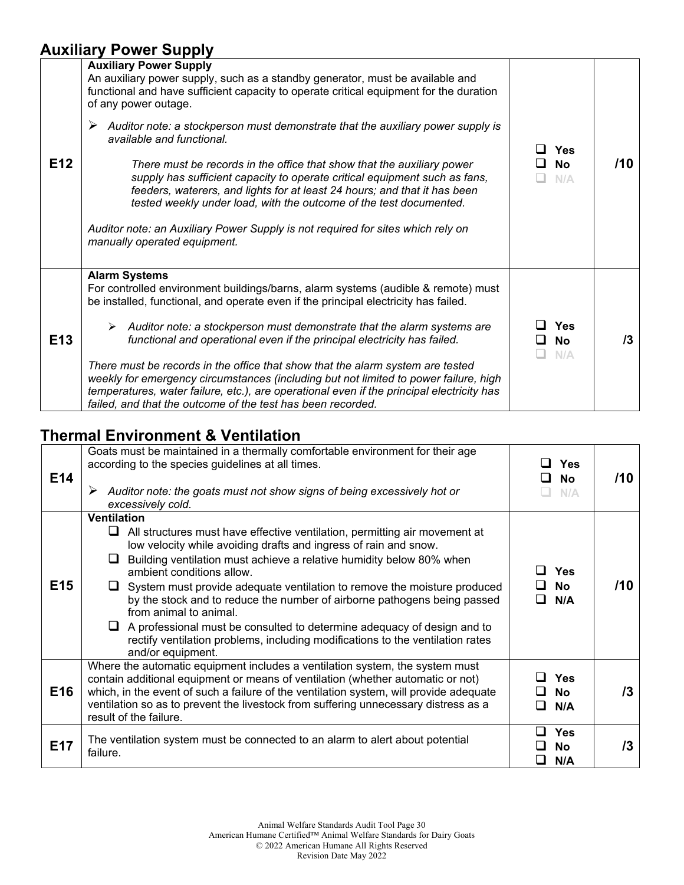### **Auxiliary Power Supply**

| E <sub>12</sub> | <b>Auxiliary Power Supply</b><br>An auxiliary power supply, such as a standby generator, must be available and<br>functional and have sufficient capacity to operate critical equipment for the duration<br>of any power outage.<br>Auditor note: a stockperson must demonstrate that the auxiliary power supply is<br>➤<br>available and functional.<br>There must be records in the office that show that the auxiliary power<br>supply has sufficient capacity to operate critical equipment such as fans,<br>feeders, waterers, and lights for at least 24 hours; and that it has been<br>tested weekly under load, with the outcome of the test documented.<br>Auditor note: an Auxiliary Power Supply is not required for sites which rely on<br>manually operated equipment. | Yes<br><b>No</b><br>N/A        | /10     |
|-----------------|-------------------------------------------------------------------------------------------------------------------------------------------------------------------------------------------------------------------------------------------------------------------------------------------------------------------------------------------------------------------------------------------------------------------------------------------------------------------------------------------------------------------------------------------------------------------------------------------------------------------------------------------------------------------------------------------------------------------------------------------------------------------------------------|--------------------------------|---------|
| E <sub>13</sub> | <b>Alarm Systems</b><br>For controlled environment buildings/barns, alarm systems (audible & remote) must<br>be installed, functional, and operate even if the principal electricity has failed.<br>$\triangleright$ Auditor note: a stockperson must demonstrate that the alarm systems are<br>functional and operational even if the principal electricity has failed.<br>There must be records in the office that show that the alarm system are tested<br>weekly for emergency circumstances (including but not limited to power failure, high<br>temperatures, water failure, etc.), are operational even if the principal electricity has<br>failed, and that the outcome of the test has been recorded.                                                                      | <b>Yes</b><br><b>No</b><br>N/A | $13 \,$ |

# **Thermal Environment & Ventilation**

| E14             | Goats must be maintained in a thermally comfortable environment for their age<br>according to the species guidelines at all times.<br>Auditor note: the goats must not show signs of being excessively hot or<br>➤<br>excessively cold.                                                                                                                                                                                                                                                                                                                                                                                                                              | <b>Yes</b><br><b>No</b><br>. .<br>N/A | /10 |
|-----------------|----------------------------------------------------------------------------------------------------------------------------------------------------------------------------------------------------------------------------------------------------------------------------------------------------------------------------------------------------------------------------------------------------------------------------------------------------------------------------------------------------------------------------------------------------------------------------------------------------------------------------------------------------------------------|---------------------------------------|-----|
| E <sub>15</sub> | <b>Ventilation</b><br>All structures must have effective ventilation, permitting air movement at<br>ப<br>low velocity while avoiding drafts and ingress of rain and snow.<br>Building ventilation must achieve a relative humidity below 80% when<br>ப<br>ambient conditions allow.<br>$\Box$ System must provide adequate ventilation to remove the moisture produced<br>by the stock and to reduce the number of airborne pathogens being passed<br>from animal to animal.<br>A professional must be consulted to determine adequacy of design and to<br>⊔.<br>rectify ventilation problems, including modifications to the ventilation rates<br>and/or equipment. | Yes<br><b>No</b><br>N/A               | /10 |
| E <sub>16</sub> | Where the automatic equipment includes a ventilation system, the system must<br>contain additional equipment or means of ventilation (whether automatic or not)<br>which, in the event of such a failure of the ventilation system, will provide adequate<br>ventilation so as to prevent the livestock from suffering unnecessary distress as a<br>result of the failure.                                                                                                                                                                                                                                                                                           | <b>Yes</b><br><b>No</b><br>N/A        | /3  |
| E17             | The ventilation system must be connected to an alarm to alert about potential<br>failure.                                                                                                                                                                                                                                                                                                                                                                                                                                                                                                                                                                            | <b>Yes</b><br><b>No</b><br>N/A        | /3  |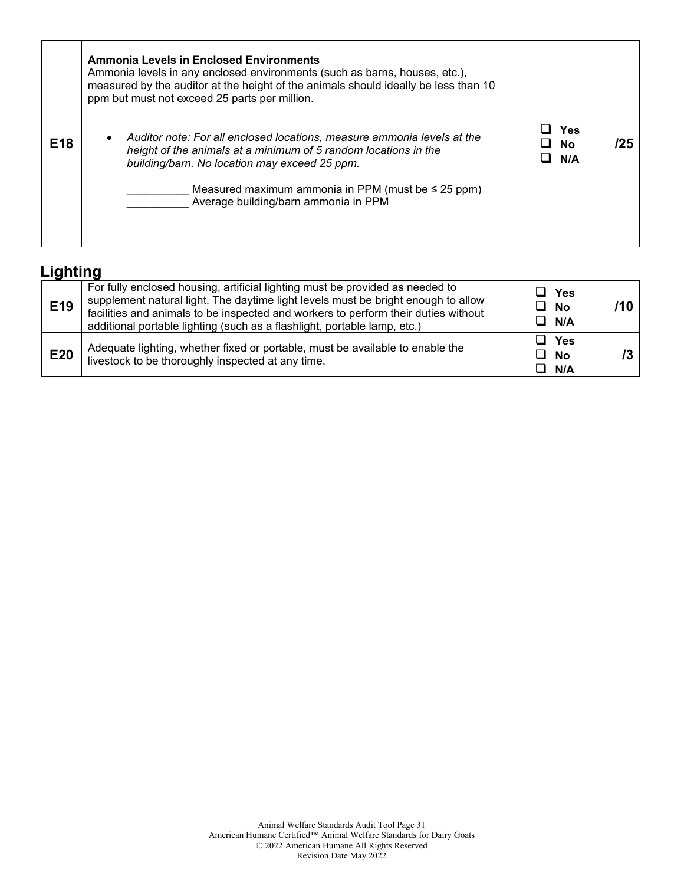|                 | <b>Ammonia Levels in Enclosed Environments</b><br>Ammonia levels in any enclosed environments (such as barns, houses, etc.),<br>measured by the auditor at the height of the animals should ideally be less than 10<br>ppm but must not exceed 25 parts per million.                           |                  |     |
|-----------------|------------------------------------------------------------------------------------------------------------------------------------------------------------------------------------------------------------------------------------------------------------------------------------------------|------------------|-----|
| E <sub>18</sub> | Auditor note: For all enclosed locations, measure ammonia levels at the<br>height of the animals at a minimum of 5 random locations in the<br>building/barn. No location may exceed 25 ppm.<br>Measured maximum ammonia in PPM (must be $\leq$ 25 ppm)<br>Average building/barn ammonia in PPM | Yes<br>No<br>N/A | '25 |

### **Lighting**

| E19 | For fully enclosed housing, artificial lighting must be provided as needed to<br>supplement natural light. The daytime light levels must be bright enough to allow<br>facilities and animals to be inspected and workers to perform their duties without<br>additional portable lighting (such as a flashlight, portable lamp, etc.) | ⊔ Yes<br>$\Box$ No<br>$\Box$ N/A |  |
|-----|--------------------------------------------------------------------------------------------------------------------------------------------------------------------------------------------------------------------------------------------------------------------------------------------------------------------------------------|----------------------------------|--|
| E20 | Adequate lighting, whether fixed or portable, must be available to enable the<br>livestock to be thoroughly inspected at any time.                                                                                                                                                                                                   | $\Box$ Yes<br>$\Box$ No<br>N/A   |  |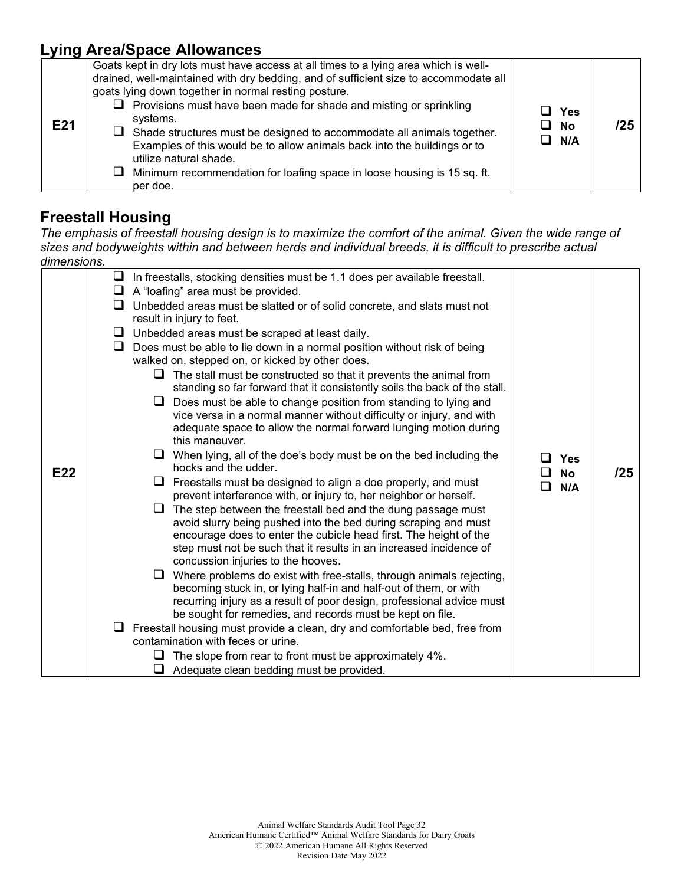### **Lying Area/Space Allowances**

| E21 | Goats kept in dry lots must have access at all times to a lying area which is well-<br>drained, well-maintained with dry bedding, and of sufficient size to accommodate all<br>goats lying down together in normal resting posture.<br>$\Box$ Provisions must have been made for shade and misting or sprinkling<br>systems.<br>$\Box$ Shade structures must be designed to accommodate all animals together.<br>Examples of this would be to allow animals back into the buildings or to<br>utilize natural shade.<br>$\Box$ Minimum recommendation for loafing space in loose housing is 15 sq. ft.<br>per doe. | ⊿ Yes<br>□ No<br>$\Box$ N/A | 125 |
|-----|-------------------------------------------------------------------------------------------------------------------------------------------------------------------------------------------------------------------------------------------------------------------------------------------------------------------------------------------------------------------------------------------------------------------------------------------------------------------------------------------------------------------------------------------------------------------------------------------------------------------|-----------------------------|-----|
|-----|-------------------------------------------------------------------------------------------------------------------------------------------------------------------------------------------------------------------------------------------------------------------------------------------------------------------------------------------------------------------------------------------------------------------------------------------------------------------------------------------------------------------------------------------------------------------------------------------------------------------|-----------------------------|-----|

#### **Freestall Housing**

*The emphasis of freestall housing design is to maximize the comfort of the animal. Given the wide range of sizes and bodyweights within and between herds and individual breeds, it is difficult to prescribe actual dimensions.* 

|     | $\Box$ In freestalls, stocking densities must be 1.1 does per available freestall.                                                                                                                                                                                                                                                                                                                                                                                                                                                                                                                                                                                                                                                                                                                                                                                                                                                                                                                                                                                                                                                                                                                                                                                                                                                                                                                                                                                                                                                                                                                                                                                                                                                |                                     |     |
|-----|-----------------------------------------------------------------------------------------------------------------------------------------------------------------------------------------------------------------------------------------------------------------------------------------------------------------------------------------------------------------------------------------------------------------------------------------------------------------------------------------------------------------------------------------------------------------------------------------------------------------------------------------------------------------------------------------------------------------------------------------------------------------------------------------------------------------------------------------------------------------------------------------------------------------------------------------------------------------------------------------------------------------------------------------------------------------------------------------------------------------------------------------------------------------------------------------------------------------------------------------------------------------------------------------------------------------------------------------------------------------------------------------------------------------------------------------------------------------------------------------------------------------------------------------------------------------------------------------------------------------------------------------------------------------------------------------------------------------------------------|-------------------------------------|-----|
| E22 | $\Box$ A "loafing" area must be provided.<br>Unbedded areas must be slatted or of solid concrete, and slats must not<br>ப<br>result in injury to feet.<br>$\Box$ Unbedded areas must be scraped at least daily.<br>Does must be able to lie down in a normal position without risk of being<br>u.<br>walked on, stepped on, or kicked by other does.<br>The stall must be constructed so that it prevents the animal from<br>ப<br>standing so far forward that it consistently soils the back of the stall.<br>Does must be able to change position from standing to lying and<br>⊔<br>vice versa in a normal manner without difficulty or injury, and with<br>adequate space to allow the normal forward lunging motion during<br>this maneuver.<br>When lying, all of the doe's body must be on the bed including the<br>hocks and the udder.<br>Freestalls must be designed to align a doe properly, and must<br>ப<br>prevent interference with, or injury to, her neighbor or herself.<br>The step between the freestall bed and the dung passage must<br>ப<br>avoid slurry being pushed into the bed during scraping and must<br>encourage does to enter the cubicle head first. The height of the<br>step must not be such that it results in an increased incidence of<br>concussion injuries to the hooves.<br>Where problems do exist with free-stalls, through animals rejecting,<br>becoming stuck in, or lying half-in and half-out of them, or with<br>recurring injury as a result of poor design, professional advice must<br>be sought for remedies, and records must be kept on file.<br>$\Box$ Freestall housing must provide a clean, dry and comfortable bed, free from<br>contamination with feces or urine. | Yes<br><b>No</b><br>- 1<br>N/A<br>П | /25 |
|     |                                                                                                                                                                                                                                                                                                                                                                                                                                                                                                                                                                                                                                                                                                                                                                                                                                                                                                                                                                                                                                                                                                                                                                                                                                                                                                                                                                                                                                                                                                                                                                                                                                                                                                                                   |                                     |     |
|     | The slope from rear to front must be approximately 4%.<br>ப                                                                                                                                                                                                                                                                                                                                                                                                                                                                                                                                                                                                                                                                                                                                                                                                                                                                                                                                                                                                                                                                                                                                                                                                                                                                                                                                                                                                                                                                                                                                                                                                                                                                       |                                     |     |
|     | $\Box$ Adequate clean bedding must be provided.                                                                                                                                                                                                                                                                                                                                                                                                                                                                                                                                                                                                                                                                                                                                                                                                                                                                                                                                                                                                                                                                                                                                                                                                                                                                                                                                                                                                                                                                                                                                                                                                                                                                                   |                                     |     |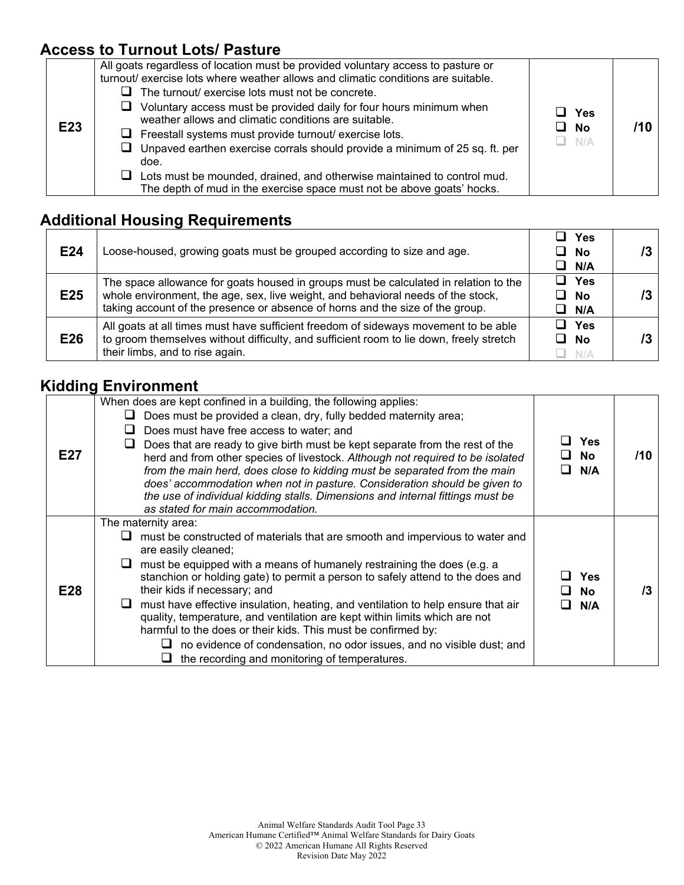### **Access to Turnout Lots/ Pasture**

| E23 | All goats regardless of location must be provided voluntary access to pasture or<br>turnout/ exercise lots where weather allows and climatic conditions are suitable.<br>The turnout/ exercise lots must not be concrete.<br>Voluntary access must be provided daily for four hours minimum when<br>⊔<br>weather allows and climatic conditions are suitable.<br>$\Box$ Freestall systems must provide turnout/ exercise lots.<br>$\Box$ Unpaved earthen exercise corrals should provide a minimum of 25 sq. ft. per<br>doe.<br>Lots must be mounded, drained, and otherwise maintained to control mud.<br>ப<br>The depth of mud in the exercise space must not be above goats' hocks. | Yes<br>No<br>$\Box$ N/A |  |
|-----|----------------------------------------------------------------------------------------------------------------------------------------------------------------------------------------------------------------------------------------------------------------------------------------------------------------------------------------------------------------------------------------------------------------------------------------------------------------------------------------------------------------------------------------------------------------------------------------------------------------------------------------------------------------------------------------|-------------------------|--|
|-----|----------------------------------------------------------------------------------------------------------------------------------------------------------------------------------------------------------------------------------------------------------------------------------------------------------------------------------------------------------------------------------------------------------------------------------------------------------------------------------------------------------------------------------------------------------------------------------------------------------------------------------------------------------------------------------------|-------------------------|--|

# **Additional Housing Requirements**

| E24 | Loose-housed, growing goats must be grouped according to size and age.                                                                                                                                                                                    | Yes<br>$\Box$ No<br>$\Box$ N/A      |  |
|-----|-----------------------------------------------------------------------------------------------------------------------------------------------------------------------------------------------------------------------------------------------------------|-------------------------------------|--|
| E25 | The space allowance for goats housed in groups must be calculated in relation to the<br>whole environment, the age, sex, live weight, and behavioral needs of the stock,<br>taking account of the presence or absence of horns and the size of the group. | $\Box$ Yes<br><b>No</b><br>ப<br>N/A |  |
| E26 | All goats at all times must have sufficient freedom of sideways movement to be able<br>to groom themselves without difficulty, and sufficient room to lie down, freely stretch<br>their limbs, and to rise again.                                         | $\Box$ Yes<br>□ No<br>N/A           |  |

┯

#### **Kidding Environment**

| E27 | When does are kept confined in a building, the following applies:<br>Does must be provided a clean, dry, fully bedded maternity area;<br>⊔<br>Does must have free access to water; and<br>ப<br>Does that are ready to give birth must be kept separate from the rest of the<br>herd and from other species of livestock. Although not required to be isolated<br>from the main herd, does close to kidding must be separated from the main<br>does' accommodation when not in pasture. Consideration should be given to<br>the use of individual kidding stalls. Dimensions and internal fittings must be<br>as stated for main accommodation.                                            | <b>Yes</b><br><b>No</b><br>N/A | /10 |
|-----|-------------------------------------------------------------------------------------------------------------------------------------------------------------------------------------------------------------------------------------------------------------------------------------------------------------------------------------------------------------------------------------------------------------------------------------------------------------------------------------------------------------------------------------------------------------------------------------------------------------------------------------------------------------------------------------------|--------------------------------|-----|
| E28 | The maternity area:<br>must be constructed of materials that are smooth and impervious to water and<br>are easily cleaned;<br>must be equipped with a means of humanely restraining the does (e.g. a<br>u.<br>stanchion or holding gate) to permit a person to safely attend to the does and<br>their kids if necessary; and<br>must have effective insulation, heating, and ventilation to help ensure that air<br>quality, temperature, and ventilation are kept within limits which are not<br>harmful to the does or their kids. This must be confirmed by:<br>no evidence of condensation, no odor issues, and no visible dust; and<br>the recording and monitoring of temperatures. | <b>Yes</b><br><b>No</b><br>N/A | /3  |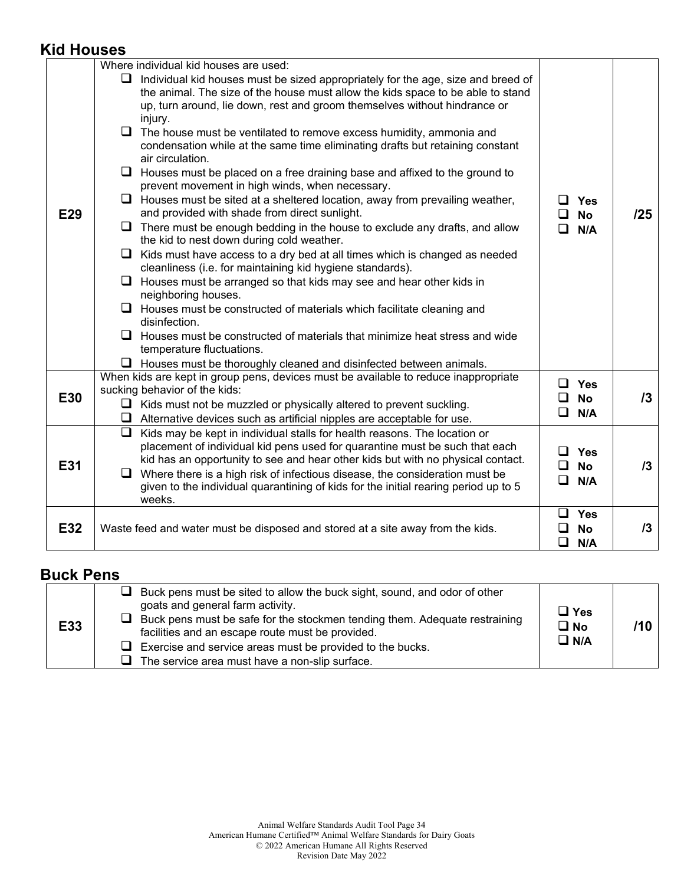#### **Kid Houses**

| E32        | Waste feed and water must be disposed and stored at a site away from the kids.                                                                                                                                                                                                                                                                                                                                                                                                                                                                                                                                                                                                                                                                                                                                                                                                                                                                                                                                                                                                                                                                                                                                                                                                                                                                                                                                                        | $\Box$<br>Yes<br>ப<br><b>No</b><br>❏<br>N/A                     | 13  |
|------------|---------------------------------------------------------------------------------------------------------------------------------------------------------------------------------------------------------------------------------------------------------------------------------------------------------------------------------------------------------------------------------------------------------------------------------------------------------------------------------------------------------------------------------------------------------------------------------------------------------------------------------------------------------------------------------------------------------------------------------------------------------------------------------------------------------------------------------------------------------------------------------------------------------------------------------------------------------------------------------------------------------------------------------------------------------------------------------------------------------------------------------------------------------------------------------------------------------------------------------------------------------------------------------------------------------------------------------------------------------------------------------------------------------------------------------------|-----------------------------------------------------------------|-----|
| <b>E31</b> | Q.<br>Kids may be kept in individual stalls for health reasons. The location or<br>placement of individual kid pens used for quarantine must be such that each<br>kid has an opportunity to see and hear other kids but with no physical contact.<br>Where there is a high risk of infectious disease, the consideration must be<br>$\Box$<br>given to the individual quarantining of kids for the initial rearing period up to 5<br>weeks.                                                                                                                                                                                                                                                                                                                                                                                                                                                                                                                                                                                                                                                                                                                                                                                                                                                                                                                                                                                           | <b>Yes</b><br>ப<br>n<br><b>No</b><br>$\Box$<br>N/A              | 13  |
| E30        | When kids are kept in group pens, devices must be available to reduce inappropriate<br>sucking behavior of the kids:<br>$\Box$ Kids must not be muzzled or physically altered to prevent suckling.<br>$\Box$ Alternative devices such as artificial nipples are acceptable for use.                                                                                                                                                                                                                                                                                                                                                                                                                                                                                                                                                                                                                                                                                                                                                                                                                                                                                                                                                                                                                                                                                                                                                   | $\Box$<br>Yes<br>□<br><b>No</b><br>$\Box$<br>N/A                | 13  |
| <b>E29</b> | Individual kid houses must be sized appropriately for the age, size and breed of<br>the animal. The size of the house must allow the kids space to be able to stand<br>up, turn around, lie down, rest and groom themselves without hindrance or<br>injury.<br>$\Box$ The house must be ventilated to remove excess humidity, ammonia and<br>condensation while at the same time eliminating drafts but retaining constant<br>air circulation.<br>$\Box$<br>Houses must be placed on a free draining base and affixed to the ground to<br>prevent movement in high winds, when necessary.<br>Houses must be sited at a sheltered location, away from prevailing weather,<br>$\Box$<br>and provided with shade from direct sunlight.<br>$\Box$<br>There must be enough bedding in the house to exclude any drafts, and allow<br>the kid to nest down during cold weather.<br>$\Box$<br>Kids must have access to a dry bed at all times which is changed as needed<br>cleanliness (i.e. for maintaining kid hygiene standards).<br>$\Box$<br>Houses must be arranged so that kids may see and hear other kids in<br>neighboring houses.<br>$\Box$ Houses must be constructed of materials which facilitate cleaning and<br>disinfection.<br>$\Box$ Houses must be constructed of materials that minimize heat stress and wide<br>temperature fluctuations.<br>$\Box$ Houses must be thoroughly cleaned and disinfected between animals. | $\blacksquare$<br><b>Yes</b><br>□<br><b>No</b><br>$\Box$<br>N/A | /25 |
|            | Where individual kid houses are used:                                                                                                                                                                                                                                                                                                                                                                                                                                                                                                                                                                                                                                                                                                                                                                                                                                                                                                                                                                                                                                                                                                                                                                                                                                                                                                                                                                                                 |                                                                 |     |

#### **Buck Pens**

| E33 | $\Box$ Buck pens must be sited to allow the buck sight, sound, and odor of other<br>goats and general farm activity.<br>$\Box$ Buck pens must be safe for the stockmen tending them. Adequate restraining<br>facilities and an escape route must be provided.<br>$\Box$ Exercise and service areas must be provided to the bucks.<br>The service area must have a non-slip surface. | $\Box$ Yes<br>$\square$ No<br>$\square$ N/A |  |
|-----|-------------------------------------------------------------------------------------------------------------------------------------------------------------------------------------------------------------------------------------------------------------------------------------------------------------------------------------------------------------------------------------|---------------------------------------------|--|
|-----|-------------------------------------------------------------------------------------------------------------------------------------------------------------------------------------------------------------------------------------------------------------------------------------------------------------------------------------------------------------------------------------|---------------------------------------------|--|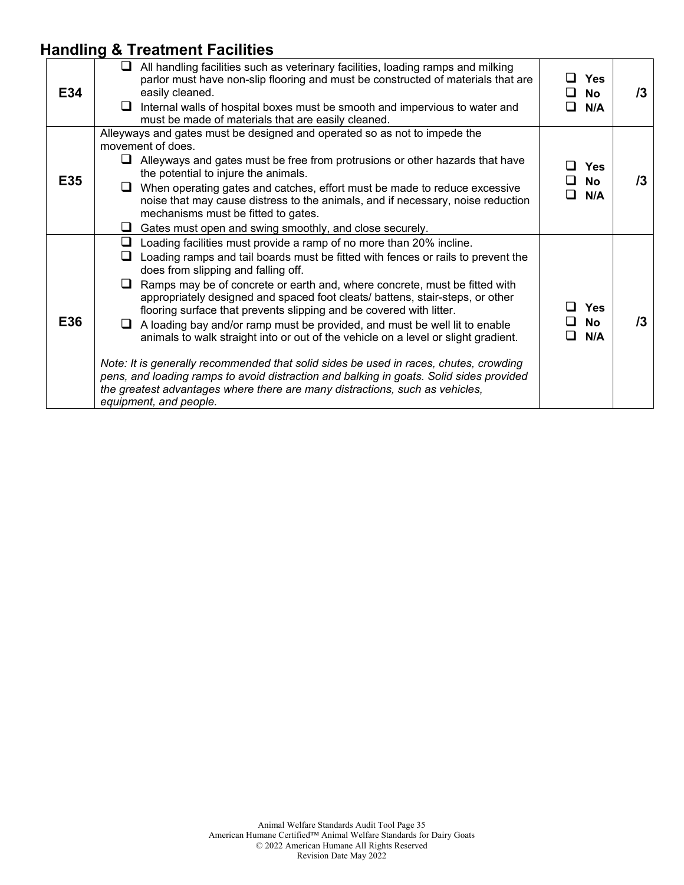# **Handling & Treatment Facilities**

| E34 | $\Box$ All handling facilities such as veterinary facilities, loading ramps and milking<br>parlor must have non-slip flooring and must be constructed of materials that are<br>easily cleaned.<br>Internal walls of hospital boxes must be smooth and impervious to water and<br>ப<br>must be made of materials that are easily cleaned.                                                                                                                                                                                                                                                                                                                                                                                                                                                                                                                                                                                    | $\square$ Yes<br>⊔ No<br>N/A<br>П.    | /3 |
|-----|-----------------------------------------------------------------------------------------------------------------------------------------------------------------------------------------------------------------------------------------------------------------------------------------------------------------------------------------------------------------------------------------------------------------------------------------------------------------------------------------------------------------------------------------------------------------------------------------------------------------------------------------------------------------------------------------------------------------------------------------------------------------------------------------------------------------------------------------------------------------------------------------------------------------------------|---------------------------------------|----|
| E35 | Alleyways and gates must be designed and operated so as not to impede the<br>movement of does.<br>$\Box$ Alleyways and gates must be free from protrusions or other hazards that have<br>the potential to injure the animals.<br>When operating gates and catches, effort must be made to reduce excessive<br>u.<br>noise that may cause distress to the animals, and if necessary, noise reduction<br>mechanisms must be fitted to gates.<br>Gates must open and swing smoothly, and close securely.<br>⊔.                                                                                                                                                                                                                                                                                                                                                                                                                 | <b>Yes</b><br><b>No</b><br>l I<br>N/A | /3 |
| E36 | Loading facilities must provide a ramp of no more than 20% incline.<br>⊔<br>Loading ramps and tail boards must be fitted with fences or rails to prevent the<br>⊔<br>does from slipping and falling off.<br>Ramps may be of concrete or earth and, where concrete, must be fitted with<br>u.<br>appropriately designed and spaced foot cleats/ battens, stair-steps, or other<br>flooring surface that prevents slipping and be covered with litter.<br>A loading bay and/or ramp must be provided, and must be well lit to enable<br>ப<br>animals to walk straight into or out of the vehicle on a level or slight gradient.<br>Note: It is generally recommended that solid sides be used in races, chutes, crowding<br>pens, and loading ramps to avoid distraction and balking in goats. Solid sides provided<br>the greatest advantages where there are many distractions, such as vehicles,<br>equipment, and people. | $\square$ Yes<br>□ No<br>N/A<br>l I   | /3 |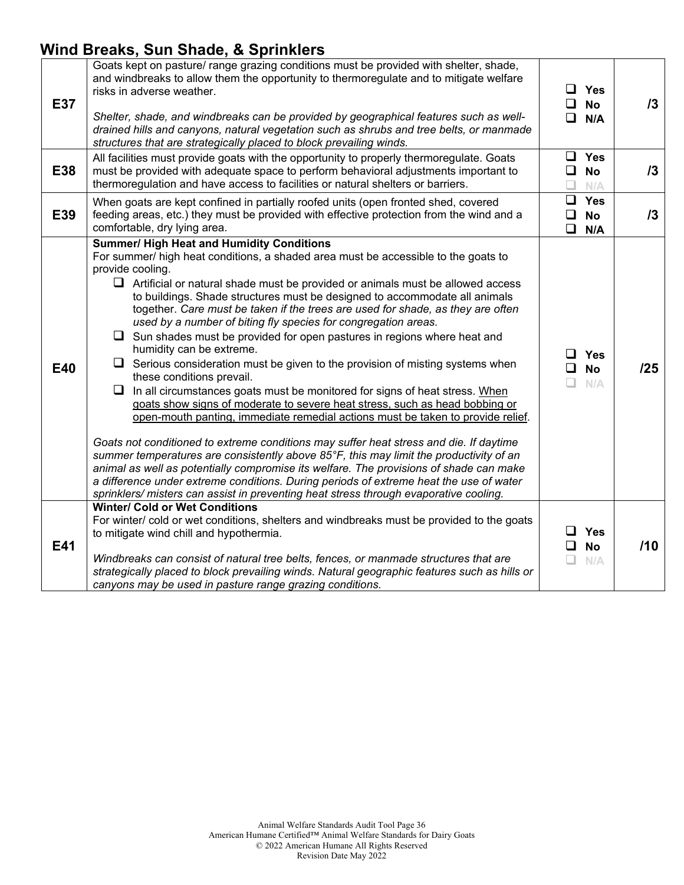### **Wind Breaks, Sun Shade, & Sprinklers**

| <b>E37</b> | Goats kept on pasture/ range grazing conditions must be provided with shelter, shade,<br>and windbreaks to allow them the opportunity to thermoregulate and to mitigate welfare<br>risks in adverse weather.<br>Shelter, shade, and windbreaks can be provided by geographical features such as well-<br>drained hills and canyons, natural vegetation such as shrubs and tree belts, or manmade<br>structures that are strategically placed to block prevailing winds.                                                                                                                                                                                                                                                                                                                                                                                                                                                                                                                                                                                                                                                                                                                                                                                                                                                                                                                                                                         |             | $\Box$ Yes<br>$\Box$ No<br>$\Box$ N/A | 13  |
|------------|-------------------------------------------------------------------------------------------------------------------------------------------------------------------------------------------------------------------------------------------------------------------------------------------------------------------------------------------------------------------------------------------------------------------------------------------------------------------------------------------------------------------------------------------------------------------------------------------------------------------------------------------------------------------------------------------------------------------------------------------------------------------------------------------------------------------------------------------------------------------------------------------------------------------------------------------------------------------------------------------------------------------------------------------------------------------------------------------------------------------------------------------------------------------------------------------------------------------------------------------------------------------------------------------------------------------------------------------------------------------------------------------------------------------------------------------------|-------------|---------------------------------------|-----|
| E38        | All facilities must provide goats with the opportunity to properly thermoregulate. Goats<br>must be provided with adequate space to perform behavioral adjustments important to<br>thermoregulation and have access to facilities or natural shelters or barriers.                                                                                                                                                                                                                                                                                                                                                                                                                                                                                                                                                                                                                                                                                                                                                                                                                                                                                                                                                                                                                                                                                                                                                                              | ப           | $\Box$ Yes<br>$\square$ No<br>N/A     | 13  |
| E39        | When goats are kept confined in partially roofed units (open fronted shed, covered<br>feeding areas, etc.) they must be provided with effective protection from the wind and a<br>comfortable, dry lying area.                                                                                                                                                                                                                                                                                                                                                                                                                                                                                                                                                                                                                                                                                                                                                                                                                                                                                                                                                                                                                                                                                                                                                                                                                                  | ❏<br>$\Box$ | $\Box$ Yes<br><b>No</b><br>N/A        | 13  |
| E40        | <b>Summer/ High Heat and Humidity Conditions</b><br>For summer/ high heat conditions, a shaded area must be accessible to the goats to<br>provide cooling.<br>$\Box$ Artificial or natural shade must be provided or animals must be allowed access<br>to buildings. Shade structures must be designed to accommodate all animals<br>together. Care must be taken if the trees are used for shade, as they are often<br>used by a number of biting fly species for congregation areas.<br>$\Box$ Sun shades must be provided for open pastures in regions where heat and<br>humidity can be extreme.<br>$\Box$ Serious consideration must be given to the provision of misting systems when<br>these conditions prevail.<br>In all circumstances goats must be monitored for signs of heat stress. When<br>⊔<br>goats show signs of moderate to severe heat stress, such as head bobbing or<br>open-mouth panting, immediate remedial actions must be taken to provide relief.<br>Goats not conditioned to extreme conditions may suffer heat stress and die. If daytime<br>summer temperatures are consistently above 85°F, this may limit the productivity of an<br>animal as well as potentially compromise its welfare. The provisions of shade can make<br>a difference under extreme conditions. During periods of extreme heat the use of water<br>sprinklers/ misters can assist in preventing heat stress through evaporative cooling. | □<br>n.     | $\Box$ Yes<br><b>No</b><br>N/A        | /25 |
| E41        | <b>Winter/ Cold or Wet Conditions</b><br>For winter/ cold or wet conditions, shelters and windbreaks must be provided to the goats<br>to mitigate wind chill and hypothermia.<br>Windbreaks can consist of natural tree belts, fences, or manmade structures that are<br>strategically placed to block prevailing winds. Natural geographic features such as hills or<br>canyons may be used in pasture range grazing conditions.                                                                                                                                                                                                                                                                                                                                                                                                                                                                                                                                                                                                                                                                                                                                                                                                                                                                                                                                                                                                               | ப           | $\Box$ Yes<br><b>No</b><br>N/A        | /10 |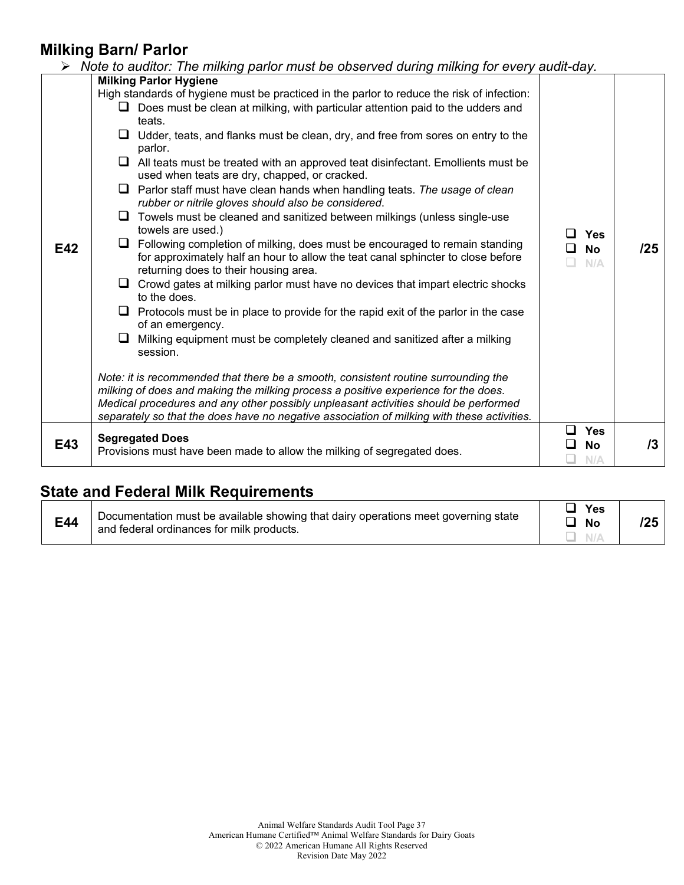#### **Milking Barn/ Parlor**

|     | Note to auditor: The milking parlor must be observed during milking for every audit-day.                                                                                                                                                                                                                                                                      |              |                         |     |
|-----|---------------------------------------------------------------------------------------------------------------------------------------------------------------------------------------------------------------------------------------------------------------------------------------------------------------------------------------------------------------|--------------|-------------------------|-----|
|     | <b>Milking Parlor Hygiene</b>                                                                                                                                                                                                                                                                                                                                 |              |                         |     |
|     | High standards of hygiene must be practiced in the parlor to reduce the risk of infection:                                                                                                                                                                                                                                                                    |              |                         |     |
|     | $\Box$ Does must be clean at milking, with particular attention paid to the udders and                                                                                                                                                                                                                                                                        |              |                         |     |
|     | teats.                                                                                                                                                                                                                                                                                                                                                        |              |                         |     |
|     | Udder, teats, and flanks must be clean, dry, and free from sores on entry to the<br>⊔<br>parlor.                                                                                                                                                                                                                                                              |              |                         |     |
|     | $\Box$ All teats must be treated with an approved teat disinfectant. Emollients must be<br>used when teats are dry, chapped, or cracked.                                                                                                                                                                                                                      |              |                         |     |
|     | Parlor staff must have clean hands when handling teats. The usage of clean<br>⊔<br>rubber or nitrile gloves should also be considered.                                                                                                                                                                                                                        |              |                         |     |
|     | Towels must be cleaned and sanitized between milkings (unless single-use<br>⊔<br>towels are used.)                                                                                                                                                                                                                                                            |              | $\Box$ Yes              |     |
| E42 | Following completion of milking, does must be encouraged to remain standing<br>⊔<br>for approximately half an hour to allow the teat canal sphincter to close before<br>returning does to their housing area.                                                                                                                                                 | $\mathsf{L}$ | <b>No</b><br>N/A        | /25 |
|     | Crowd gates at milking parlor must have no devices that impart electric shocks<br>⊔<br>to the does.                                                                                                                                                                                                                                                           |              |                         |     |
|     | Protocols must be in place to provide for the rapid exit of the parlor in the case<br>⊔<br>of an emergency.                                                                                                                                                                                                                                                   |              |                         |     |
|     | Milking equipment must be completely cleaned and sanitized after a milking<br>$\Box$<br>session.                                                                                                                                                                                                                                                              |              |                         |     |
|     | Note: it is recommended that there be a smooth, consistent routine surrounding the<br>milking of does and making the milking process a positive experience for the does.<br>Medical procedures and any other possibly unpleasant activities should be performed<br>separately so that the does have no negative association of milking with these activities. |              |                         |     |
| E43 | <b>Segregated Does</b>                                                                                                                                                                                                                                                                                                                                        |              | <b>Yes</b><br><b>No</b> | 13  |
|     | Provisions must have been made to allow the milking of segregated does.                                                                                                                                                                                                                                                                                       |              | N/A                     |     |

# **State and Federal Milk Requirements**

| E44 | Documentation must be available showing that dairy operations meet governing state<br>and federal ordinances for milk products. | Yes<br><b>N</b> C |  |  |
|-----|---------------------------------------------------------------------------------------------------------------------------------|-------------------|--|--|
|-----|---------------------------------------------------------------------------------------------------------------------------------|-------------------|--|--|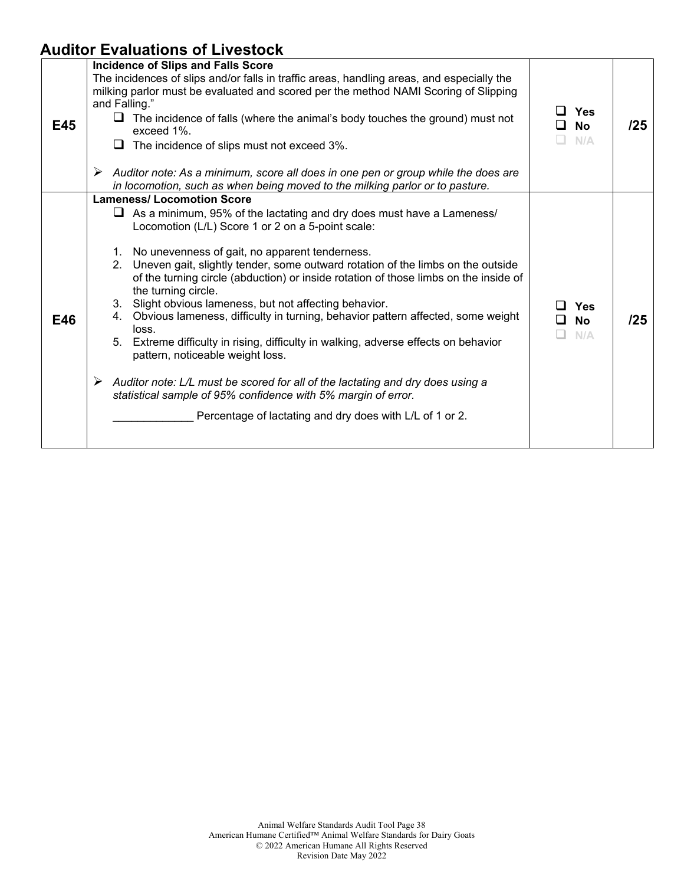# **Auditor Evaluations of Livestock**

| <b>E45</b> | Incidence of Slips and Falls Score<br>The incidences of slips and/or falls in traffic areas, handling areas, and especially the<br>milking parlor must be evaluated and scored per the method NAMI Scoring of Slipping<br>and Falling."<br>$\Box$ The incidence of falls (where the animal's body touches the ground) must not<br>exceed 1%.<br>$\Box$ The incidence of slips must not exceed 3%.                                                                                                                                                                                                                                                                                                                                                                                                                                                                                                                                         | $\Box$ Yes<br>□ No<br>N/A  | /25 |
|------------|-------------------------------------------------------------------------------------------------------------------------------------------------------------------------------------------------------------------------------------------------------------------------------------------------------------------------------------------------------------------------------------------------------------------------------------------------------------------------------------------------------------------------------------------------------------------------------------------------------------------------------------------------------------------------------------------------------------------------------------------------------------------------------------------------------------------------------------------------------------------------------------------------------------------------------------------|----------------------------|-----|
|            | Auditor note: As a minimum, score all does in one pen or group while the does are<br>in locomotion, such as when being moved to the milking parlor or to pasture.                                                                                                                                                                                                                                                                                                                                                                                                                                                                                                                                                                                                                                                                                                                                                                         |                            |     |
| E46        | <b>Lameness/ Locomotion Score</b><br>$\Box$ As a minimum, 95% of the lactating and dry does must have a Lameness/<br>Locomotion (L/L) Score 1 or 2 on a 5-point scale:<br>1. No unevenness of gait, no apparent tenderness.<br>2. Uneven gait, slightly tender, some outward rotation of the limbs on the outside<br>of the turning circle (abduction) or inside rotation of those limbs on the inside of<br>the turning circle.<br>3. Slight obvious lameness, but not affecting behavior.<br>4. Obvious lameness, difficulty in turning, behavior pattern affected, some weight<br>loss.<br>5. Extreme difficulty in rising, difficulty in walking, adverse effects on behavior<br>pattern, noticeable weight loss.<br>Auditor note: L/L must be scored for all of the lactating and dry does using a<br>➤<br>statistical sample of 95% confidence with 5% margin of error.<br>Percentage of lactating and dry does with L/L of 1 or 2. | Yes<br>$\square$ No<br>N/A | /25 |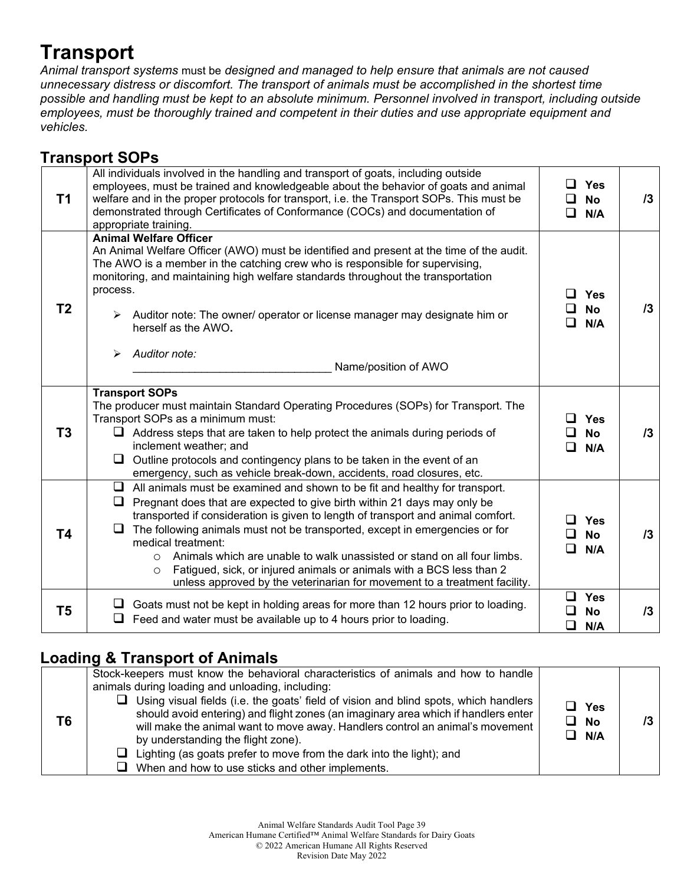# **Transport**

*Animal transport systems* must be *designed and managed to help ensure that animals are not caused unnecessary distress or discomfort. The transport of animals must be accomplished in the shortest time possible and handling must be kept to an absolute minimum. Personnel involved in transport, including outside employees, must be thoroughly trained and competent in their duties and use appropriate equipment and vehicles.*

# **Transport SOPs**

| T1             | All individuals involved in the handling and transport of goats, including outside<br>employees, must be trained and knowledgeable about the behavior of goats and animal<br>welfare and in the proper protocols for transport, i.e. the Transport SOPs. This must be<br>demonstrated through Certificates of Conformance (COCs) and documentation of<br>appropriate training.                                                                                                                                                                                                                                | Yes<br><b>No</b><br>ப<br>□<br>N/A              | 13 |
|----------------|---------------------------------------------------------------------------------------------------------------------------------------------------------------------------------------------------------------------------------------------------------------------------------------------------------------------------------------------------------------------------------------------------------------------------------------------------------------------------------------------------------------------------------------------------------------------------------------------------------------|------------------------------------------------|----|
| T <sub>2</sub> | <b>Animal Welfare Officer</b><br>An Animal Welfare Officer (AWO) must be identified and present at the time of the audit.<br>The AWO is a member in the catching crew who is responsible for supervising,<br>monitoring, and maintaining high welfare standards throughout the transportation<br>process.<br>$\triangleright$ Auditor note: The owner/ operator or license manager may designate him or<br>herself as the AWO.<br>Auditor note:<br>➤<br>Name/position of AWO                                                                                                                                  | Yes<br>$\mathbf{I}$<br><b>No</b><br>N/A        | 13 |
| T <sub>3</sub> | <b>Transport SOPs</b><br>The producer must maintain Standard Operating Procedures (SOPs) for Transport. The<br>Transport SOPs as a minimum must:<br>$\Box$ Address steps that are taken to help protect the animals during periods of<br>inclement weather; and<br>Outline protocols and contingency plans to be taken in the event of an<br>emergency, such as vehicle break-down, accidents, road closures, etc.                                                                                                                                                                                            | <b>Yes</b><br>$\perp$<br><b>No</b><br>N/A<br>ப | 13 |
| <b>T4</b>      | $\Box$ All animals must be examined and shown to be fit and healthy for transport.<br>Pregnant does that are expected to give birth within 21 days may only be<br>transported if consideration is given to length of transport and animal comfort.<br>The following animals must not be transported, except in emergencies or for<br>medical treatment:<br>Animals which are unable to walk unassisted or stand on all four limbs.<br>$\circ$<br>Fatigued, sick, or injured animals or animals with a BCS less than 2<br>$\circ$<br>unless approved by the veterinarian for movement to a treatment facility. | Yes<br>l I<br><b>No</b><br>N/A<br>ப            | 13 |
| T <sub>5</sub> | Goats must not be kept in holding areas for more than 12 hours prior to loading.<br>$\Box$ Feed and water must be available up to 4 hours prior to loading.                                                                                                                                                                                                                                                                                                                                                                                                                                                   | $\Box$<br><b>Yes</b><br><b>No</b><br>◻<br>N/A  | 13 |

### **Loading & Transport of Animals**

| T6 | Stock-keepers must know the behavioral characteristics of animals and how to handle<br>animals during loading and unloading, including:<br>$\Box$ Using visual fields (i.e. the goats' field of vision and blind spots, which handlers<br>should avoid entering) and flight zones (an imaginary area which if handlers enter<br>will make the animal want to move away. Handlers control an animal's movement<br>by understanding the flight zone).<br>$\Box$ Lighting (as goats prefer to move from the dark into the light); and<br>$\Box$ When and how to use sticks and other implements. | $\sqcup$ Yes<br>$\Box$ No<br>$\Box$ N/A |  |
|----|-----------------------------------------------------------------------------------------------------------------------------------------------------------------------------------------------------------------------------------------------------------------------------------------------------------------------------------------------------------------------------------------------------------------------------------------------------------------------------------------------------------------------------------------------------------------------------------------------|-----------------------------------------|--|
|----|-----------------------------------------------------------------------------------------------------------------------------------------------------------------------------------------------------------------------------------------------------------------------------------------------------------------------------------------------------------------------------------------------------------------------------------------------------------------------------------------------------------------------------------------------------------------------------------------------|-----------------------------------------|--|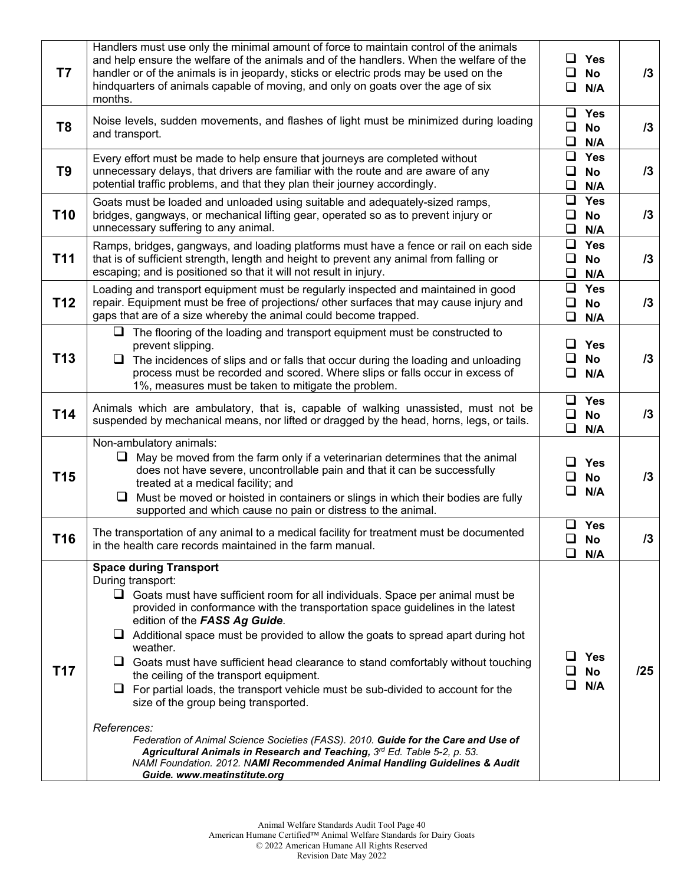| T7              | Handlers must use only the minimal amount of force to maintain control of the animals<br>and help ensure the welfare of the animals and of the handlers. When the welfare of the<br>handler or of the animals is in jeopardy, sticks or electric prods may be used on the<br>hindquarters of animals capable of moving, and only on goats over the age of six<br>months.                                                                                                                                                                                                                                                                                                                                                                                                                                                                                                                                                                  | ⊔ ⊢<br>ப<br>$\Box$         | <b>Yes</b><br><b>No</b><br>N/A        | 13  |
|-----------------|-------------------------------------------------------------------------------------------------------------------------------------------------------------------------------------------------------------------------------------------------------------------------------------------------------------------------------------------------------------------------------------------------------------------------------------------------------------------------------------------------------------------------------------------------------------------------------------------------------------------------------------------------------------------------------------------------------------------------------------------------------------------------------------------------------------------------------------------------------------------------------------------------------------------------------------------|----------------------------|---------------------------------------|-----|
| T <sub>8</sub>  | Noise levels, sudden movements, and flashes of light must be minimized during loading<br>and transport.                                                                                                                                                                                                                                                                                                                                                                                                                                                                                                                                                                                                                                                                                                                                                                                                                                   | ❏<br>□                     | $\Box$ Yes<br>No<br>N/A               | 13  |
| T <sub>9</sub>  | Every effort must be made to help ensure that journeys are completed without<br>unnecessary delays, that drivers are familiar with the route and are aware of any<br>potential traffic problems, and that they plan their journey accordingly.                                                                                                                                                                                                                                                                                                                                                                                                                                                                                                                                                                                                                                                                                            | ❏<br>$\Box$<br>$\Box$      | <b>Yes</b><br>No<br>N/A               | 13  |
| <b>T10</b>      | Goats must be loaded and unloaded using suitable and adequately-sized ramps,<br>bridges, gangways, or mechanical lifting gear, operated so as to prevent injury or<br>unnecessary suffering to any animal.                                                                                                                                                                                                                                                                                                                                                                                                                                                                                                                                                                                                                                                                                                                                | ⊔<br>$\Box$<br>$\Box$      | <b>Yes</b><br>No<br>N/A               | 13  |
| T <sub>11</sub> | Ramps, bridges, gangways, and loading platforms must have a fence or rail on each side<br>that is of sufficient strength, length and height to prevent any animal from falling or<br>escaping; and is positioned so that it will not result in injury.                                                                                                                                                                                                                                                                                                                                                                                                                                                                                                                                                                                                                                                                                    | $\Box$<br>$\Box$<br>$\Box$ | <b>Yes</b><br><b>No</b><br>N/A        | 13  |
| T <sub>12</sub> | Loading and transport equipment must be regularly inspected and maintained in good<br>repair. Equipment must be free of projections/ other surfaces that may cause injury and<br>gaps that are of a size whereby the animal could become trapped.                                                                                                                                                                                                                                                                                                                                                                                                                                                                                                                                                                                                                                                                                         | ⊔<br>$\Box$<br>$\Box$      | <b>Yes</b><br>No<br>N/A               | 13  |
| T13             | $\Box$ The flooring of the loading and transport equipment must be constructed to<br>prevent slipping.<br>$\Box$ The incidences of slips and or falls that occur during the loading and unloading<br>process must be recorded and scored. Where slips or falls occur in excess of<br>1%, measures must be taken to mitigate the problem.                                                                                                                                                                                                                                                                                                                                                                                                                                                                                                                                                                                                  | ⊔.<br>⊔<br>O               | <b>Yes</b><br><b>No</b><br>N/A        | 13  |
| T14             | Animals which are ambulatory, that is, capable of walking unassisted, must not be<br>suspended by mechanical means, nor lifted or dragged by the head, horns, legs, or tails.                                                                                                                                                                                                                                                                                                                                                                                                                                                                                                                                                                                                                                                                                                                                                             | $\Box$<br>Q.               | $\Box$ Yes<br><b>No</b><br>N/A        | 13  |
| T <sub>15</sub> | Non-ambulatory animals:<br>May be moved from the farm only if a veterinarian determines that the animal<br>u<br>does not have severe, uncontrollable pain and that it can be successfully<br>treated at a medical facility; and<br>Must be moved or hoisted in containers or slings in which their bodies are fully<br>❏<br>supported and which cause no pain or distress to the animal.                                                                                                                                                                                                                                                                                                                                                                                                                                                                                                                                                  | ப<br>ப                     | <b>Yes</b><br><b>No</b><br>N/A        | 13  |
| T16             | The transportation of any animal to a medical facility for treatment must be documented<br>in the health care records maintained in the farm manual.                                                                                                                                                                                                                                                                                                                                                                                                                                                                                                                                                                                                                                                                                                                                                                                      | $\Box$                     | $\Box$ Yes<br><b>No</b><br>$\Box$ N/A | /3  |
| T17             | <b>Space during Transport</b><br>During transport:<br>$\Box$ Goats must have sufficient room for all individuals. Space per animal must be<br>provided in conformance with the transportation space guidelines in the latest<br>edition of the FASS Ag Guide.<br>$\Box$ Additional space must be provided to allow the goats to spread apart during hot<br>weather.<br>$\Box$ Goats must have sufficient head clearance to stand comfortably without touching<br>the ceiling of the transport equipment.<br>$\Box$ For partial loads, the transport vehicle must be sub-divided to account for the<br>size of the group being transported.<br>References:<br>Federation of Animal Science Societies (FASS). 2010. Guide for the Care and Use of<br>Agricultural Animals in Research and Teaching, 3rd Ed. Table 5-2, p. 53.<br>NAMI Foundation. 2012. NAMI Recommended Animal Handling Guidelines & Audit<br>Guide. www.meatinstitute.org |                            | <b>Yes</b><br><b>No</b><br>N/A        | /25 |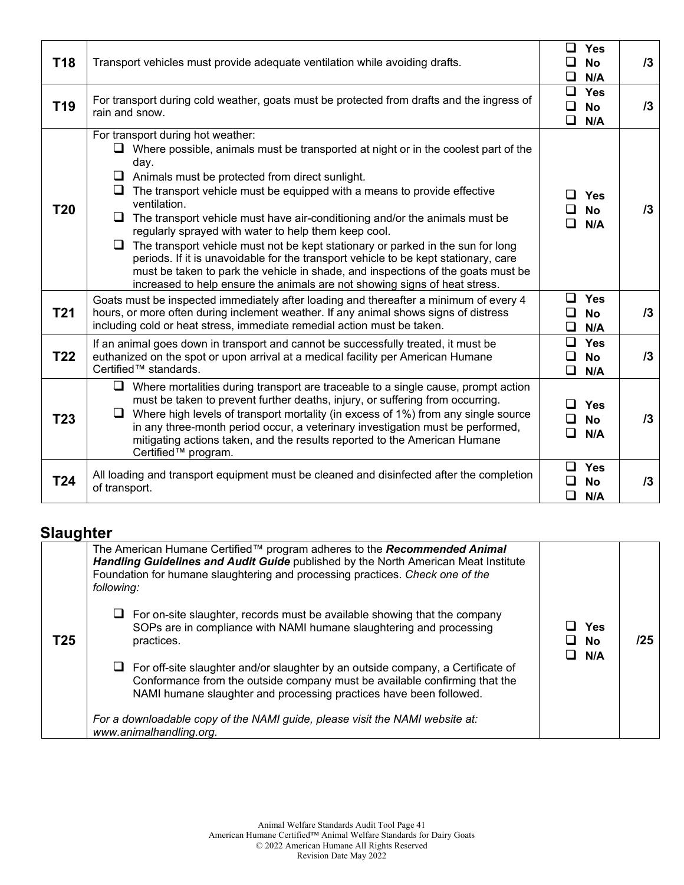| <b>T18</b>      | Transport vehicles must provide adequate ventilation while avoiding drafts.                                                                                                                                                                                                                                                                                                                                                                                                                                                                                                                                                                                                                                                                                                                          | <b>Yes</b><br>ப<br><b>No</b><br>◻<br>N/A                | $\sqrt{3}$ |
|-----------------|------------------------------------------------------------------------------------------------------------------------------------------------------------------------------------------------------------------------------------------------------------------------------------------------------------------------------------------------------------------------------------------------------------------------------------------------------------------------------------------------------------------------------------------------------------------------------------------------------------------------------------------------------------------------------------------------------------------------------------------------------------------------------------------------------|---------------------------------------------------------|------------|
| T <sub>19</sub> | For transport during cold weather, goats must be protected from drafts and the ingress of<br>rain and snow.                                                                                                                                                                                                                                                                                                                                                                                                                                                                                                                                                                                                                                                                                          | 0<br><b>Yes</b><br>$\Box$<br><b>No</b><br>❏<br>N/A      | $\sqrt{3}$ |
| T20             | For transport during hot weather:<br>$\Box$ Where possible, animals must be transported at night or in the coolest part of the<br>day.<br>$\Box$ Animals must be protected from direct sunlight.<br>$\Box$ The transport vehicle must be equipped with a means to provide effective<br>ventilation.<br>$\Box$ The transport vehicle must have air-conditioning and/or the animals must be<br>regularly sprayed with water to help them keep cool.<br>$\Box$ The transport vehicle must not be kept stationary or parked in the sun for long<br>periods. If it is unavoidable for the transport vehicle to be kept stationary, care<br>must be taken to park the vehicle in shade, and inspections of the goats must be<br>increased to help ensure the animals are not showing signs of heat stress. | <b>Yes</b><br>l 1<br><b>No</b><br>N/A<br>ப              | 13         |
| <b>T21</b>      | Goats must be inspected immediately after loading and thereafter a minimum of every 4<br>hours, or more often during inclement weather. If any animal shows signs of distress<br>including cold or heat stress, immediate remedial action must be taken.                                                                                                                                                                                                                                                                                                                                                                                                                                                                                                                                             | $\Box$ Yes<br>◻<br><b>No</b><br>$\Box$<br>N/A           | 13         |
| <b>T22</b>      | If an animal goes down in transport and cannot be successfully treated, it must be<br>euthanized on the spot or upon arrival at a medical facility per American Humane<br>Certified™ standards.                                                                                                                                                                                                                                                                                                                                                                                                                                                                                                                                                                                                      | $\Box$<br><b>Yes</b><br><b>No</b><br>❏<br>$\Box$<br>N/A | 13         |
| T <sub>23</sub> | $\Box$ Where mortalities during transport are traceable to a single cause, prompt action<br>must be taken to prevent further deaths, injury, or suffering from occurring.<br>$\Box$ Where high levels of transport mortality (in excess of 1%) from any single source<br>in any three-month period occur, a veterinary investigation must be performed,<br>mitigating actions taken, and the results reported to the American Humane<br>Certified™ program.                                                                                                                                                                                                                                                                                                                                          | $\Box$<br><b>Yes</b><br>◻<br><b>No</b><br>◻<br>N/A      | 13         |
| T24             | All loading and transport equipment must be cleaned and disinfected after the completion<br>of transport.                                                                                                                                                                                                                                                                                                                                                                                                                                                                                                                                                                                                                                                                                            | Yes<br>$\Box$<br>◻<br><b>No</b><br>$\Box$<br>N/A        | 13         |

### **Slaughter**

|     | The American Humane Certified™ program adheres to the Recommended Animal<br>Handling Guidelines and Audit Guide published by the North American Meat Institute<br>Foundation for humane slaughtering and processing practices. Check one of the<br>following: |                         |     |
|-----|---------------------------------------------------------------------------------------------------------------------------------------------------------------------------------------------------------------------------------------------------------------|-------------------------|-----|
| T25 | $\Box$ For on-site slaughter, records must be available showing that the company<br>SOPs are in compliance with NAMI humane slaughtering and processing<br>practices.                                                                                         | Yes<br>⊔ No             | 125 |
|     | $\Box$ For off-site slaughter and/or slaughter by an outside company, a Certificate of<br>Conformance from the outside company must be available confirming that the<br>NAMI humane slaughter and processing practices have been followed.                    | $\mathsf{N}/\mathsf{A}$ |     |
|     | For a downloadable copy of the NAMI guide, please visit the NAMI website at:<br>www.animalhandling.org.                                                                                                                                                       |                         |     |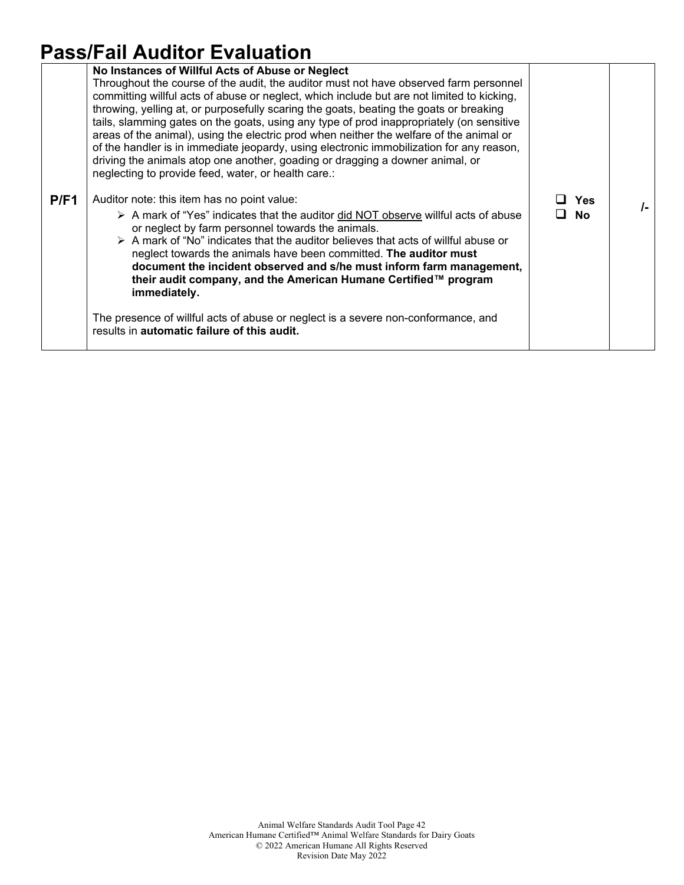# **Pass/Fail Auditor Evaluation**

|      | No Instances of Willful Acts of Abuse or Neglect<br>Throughout the course of the audit, the auditor must not have observed farm personnel<br>committing willful acts of abuse or neglect, which include but are not limited to kicking,<br>throwing, yelling at, or purposefully scaring the goats, beating the goats or breaking<br>tails, slamming gates on the goats, using any type of prod inappropriately (on sensitive<br>areas of the animal), using the electric prod when neither the welfare of the animal or<br>of the handler is in immediate jeopardy, using electronic immobilization for any reason,<br>driving the animals atop one another, goading or dragging a downer animal, or<br>neglecting to provide feed, water, or health care.: |                  |      |
|------|--------------------------------------------------------------------------------------------------------------------------------------------------------------------------------------------------------------------------------------------------------------------------------------------------------------------------------------------------------------------------------------------------------------------------------------------------------------------------------------------------------------------------------------------------------------------------------------------------------------------------------------------------------------------------------------------------------------------------------------------------------------|------------------|------|
| P/F1 | Auditor note: this item has no point value:<br>A mark of "Yes" indicates that the auditor did NOT observe willful acts of abuse<br>or neglect by farm personnel towards the animals.<br>$\triangleright$ A mark of "No" indicates that the auditor believes that acts of willful abuse or<br>neglect towards the animals have been committed. The auditor must<br>document the incident observed and s/he must inform farm management,<br>their audit company, and the American Humane Certified™ program<br>immediately.<br>The presence of willful acts of abuse or neglect is a severe non-conformance, and<br>results in automatic failure of this audit.                                                                                                | Yes<br><b>No</b> | $I-$ |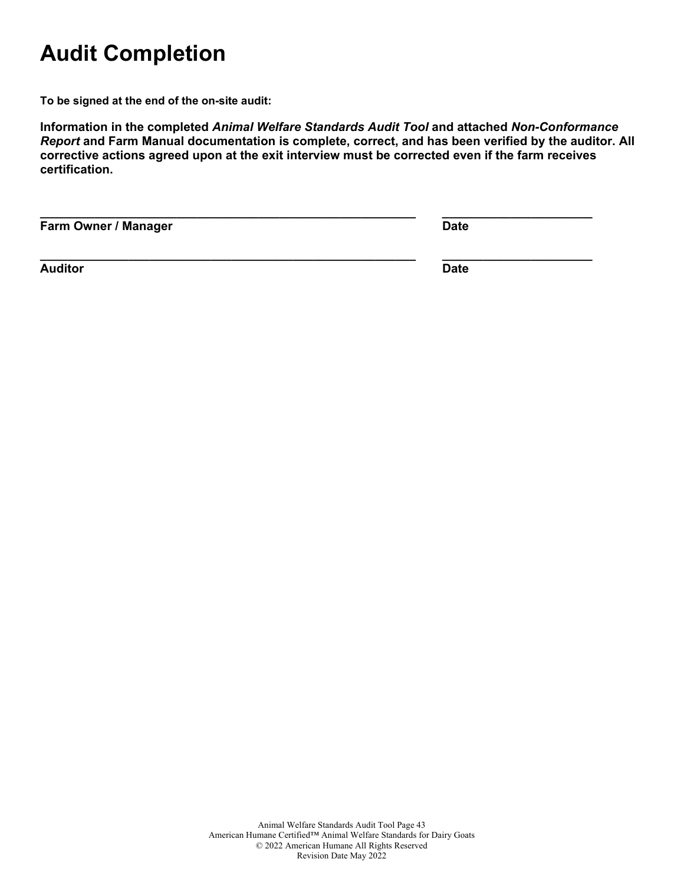# **Audit Completion**

**To be signed at the end of the on-site audit:**

**Information in the completed** *Animal Welfare Standards Audit Tool* **and attached** *Non-Conformance Report* **and Farm Manual documentation is complete, correct, and has been verified by the auditor. All corrective actions agreed upon at the exit interview must be corrected even if the farm receives certification.**

**\_\_\_\_\_\_\_\_\_\_\_\_\_\_\_\_\_\_\_\_\_\_\_\_\_\_\_\_\_\_\_\_\_\_\_\_\_\_\_\_\_\_\_\_\_\_\_\_\_\_\_\_\_\_\_ \_\_\_\_\_\_\_\_\_\_\_\_\_\_\_\_\_\_\_\_\_\_**

**Farm Owner / Manager Date** 

**Auditor Date**

**\_\_\_\_\_\_\_\_\_\_\_\_\_\_\_\_\_\_\_\_\_\_\_\_\_\_\_\_\_\_\_\_\_\_\_\_\_\_\_\_\_\_\_\_\_\_\_\_\_\_\_\_\_\_\_ \_\_\_\_\_\_\_\_\_\_\_\_\_\_\_\_\_\_\_\_\_\_**